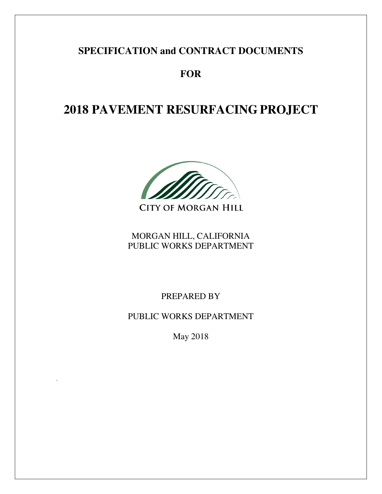# **SPECIFICATION and CONTRACT DOCUMENTS**

# **FOR**

# **2018 PAVEMENT RESURFACING PROJECT**

**CITY OF MORGAN HILL** 

MORGAN HILL, CALIFORNIA PUBLIC WORKS DEPARTMENT

PREPARED BY

PUBLIC WORKS DEPARTMENT

May 2018

.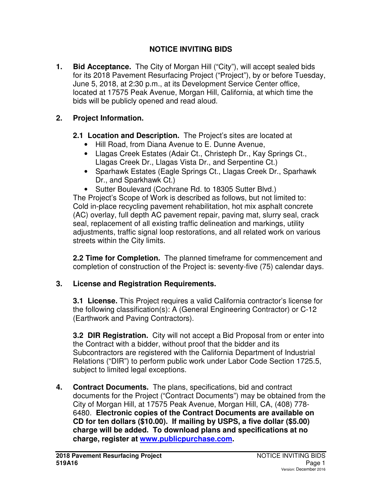# **NOTICE INVITING BIDS**

**1. Bid Acceptance.** The City of Morgan Hill ("City"), will accept sealed bids for its 2018 Pavement Resurfacing Project ("Project"), by or before Tuesday, June 5, 2018, at 2:30 p.m., at its Development Service Center office, located at 17575 Peak Avenue, Morgan Hill, California, at which time the bids will be publicly opened and read aloud.

### **2. Project Information.**

- **2.1 Location and Description.** The Project's sites are located at
	- Hill Road, from Diana Avenue to E. Dunne Avenue,
	- Llagas Creek Estates (Adair Ct., Christeph Dr., Kay Springs Ct., Llagas Creek Dr., Llagas Vista Dr., and Serpentine Ct.)
	- Sparhawk Estates (Eagle Springs Ct., Llagas Creek Dr., Sparhawk Dr., and Sparkhawk Ct.)
	- Sutter Boulevard (Cochrane Rd. to 18305 Sutter Blvd.)

The Project's Scope of Work is described as follows, but not limited to: Cold in-place recycling pavement rehabilitation, hot mix asphalt concrete (AC) overlay, full depth AC pavement repair, paving mat, slurry seal, crack seal, replacement of all existing traffic delineation and markings, utility adjustments, traffic signal loop restorations, and all related work on various streets within the City limits.

**2.2 Time for Completion.** The planned timeframe for commencement and completion of construction of the Project is: seventy-five (75) calendar days.

### **3. License and Registration Requirements.**

 **3.1 License.** This Project requires a valid California contractor's license for the following classification(s): A (General Engineering Contractor) or C-12 (Earthwork and Paving Contractors).

**3.2 DIR Registration.** City will not accept a Bid Proposal from or enter into the Contract with a bidder, without proof that the bidder and its Subcontractors are registered with the California Department of Industrial Relations ("DIR") to perform public work under Labor Code Section 1725.5, subject to limited legal exceptions.

**4. Contract Documents.** The plans, specifications, bid and contract documents for the Project ("Contract Documents") may be obtained from the City of Morgan Hill, at 17575 Peak Avenue, Morgan Hill, CA, (408) 778- 6480. **Electronic copies of the Contract Documents are available on CD for ten dollars (\$10.00). If mailing by USPS, a five dollar (\$5.00) charge will be added. To download plans and specifications at no charge, register at www.publicpurchase.com.**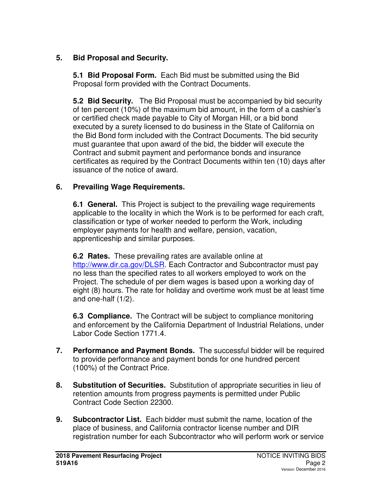# **5. Bid Proposal and Security.**

 **5.1 Bid Proposal Form.** Each Bid must be submitted using the Bid Proposal form provided with the Contract Documents.

**5.2 Bid Security.** The Bid Proposal must be accompanied by bid security of ten percent (10%) of the maximum bid amount, in the form of a cashier's or certified check made payable to City of Morgan Hill, or a bid bond executed by a surety licensed to do business in the State of California on the Bid Bond form included with the Contract Documents. The bid security must guarantee that upon award of the bid, the bidder will execute the Contract and submit payment and performance bonds and insurance certificates as required by the Contract Documents within ten (10) days after issuance of the notice of award.

### **6. Prevailing Wage Requirements.**

**6.1 General.** This Project is subject to the prevailing wage requirements applicable to the locality in which the Work is to be performed for each craft, classification or type of worker needed to perform the Work, including employer payments for health and welfare, pension, vacation, apprenticeship and similar purposes.

**6.2 Rates.** These prevailing rates are available online at http://www.dir.ca.gov/DLSR. Each Contractor and Subcontractor must pay no less than the specified rates to all workers employed to work on the Project. The schedule of per diem wages is based upon a working day of eight (8) hours. The rate for holiday and overtime work must be at least time and one-half (1/2).

**6.3 Compliance.** The Contract will be subject to compliance monitoring and enforcement by the California Department of Industrial Relations, under Labor Code Section 1771.4.

- **7. Performance and Payment Bonds.** The successful bidder will be required to provide performance and payment bonds for one hundred percent (100%) of the Contract Price.
- **8. Substitution of Securities.** Substitution of appropriate securities in lieu of retention amounts from progress payments is permitted under Public Contract Code Section 22300.
- **9. Subcontractor List.** Each bidder must submit the name, location of the place of business, and California contractor license number and DIR registration number for each Subcontractor who will perform work or service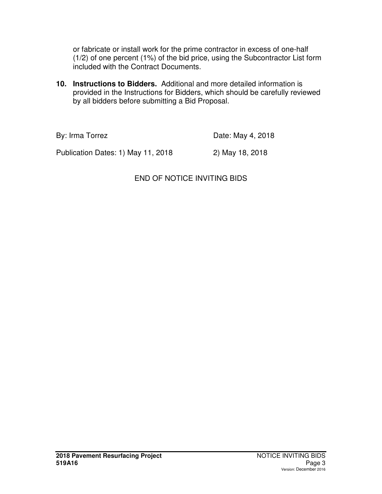or fabricate or install work for the prime contractor in excess of one-half (1/2) of one percent (1%) of the bid price, using the Subcontractor List form included with the Contract Documents.

**10. Instructions to Bidders.** Additional and more detailed information is provided in the Instructions for Bidders, which should be carefully reviewed by all bidders before submitting a Bid Proposal.

By: Irma Torrez **Date: May 4, 2018** 

Publication Dates: 1) May 11, 2018 2) May 18, 2018

# END OF NOTICE INVITING BIDS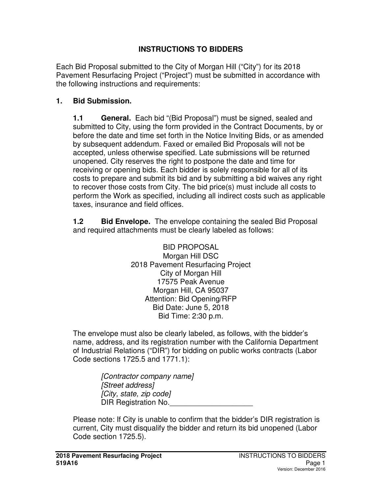### **INSTRUCTIONS TO BIDDERS**

Each Bid Proposal submitted to the City of Morgan Hill ("City") for its 2018 Pavement Resurfacing Project ("Project") must be submitted in accordance with the following instructions and requirements:

### **1. Bid Submission.**

**1.1 General.** Each bid "(Bid Proposal") must be signed, sealed and submitted to City, using the form provided in the Contract Documents, by or before the date and time set forth in the Notice Inviting Bids, or as amended by subsequent addendum. Faxed or emailed Bid Proposals will not be accepted, unless otherwise specified. Late submissions will be returned unopened. City reserves the right to postpone the date and time for receiving or opening bids. Each bidder is solely responsible for all of its costs to prepare and submit its bid and by submitting a bid waives any right to recover those costs from City. The bid price(s) must include all costs to perform the Work as specified, including all indirect costs such as applicable taxes, insurance and field offices.

**1.2 Bid Envelope.** The envelope containing the sealed Bid Proposal and required attachments must be clearly labeled as follows:

> BID PROPOSAL Morgan Hill DSC 2018 Pavement Resurfacing Project City of Morgan Hill 17575 Peak Avenue Morgan Hill, CA 95037 Attention: Bid Opening/RFP Bid Date: June 5, 2018 Bid Time: 2:30 p.m.

The envelope must also be clearly labeled, as follows, with the bidder's name, address, and its registration number with the California Department of Industrial Relations ("DIR") for bidding on public works contracts (Labor Code sections 1725.5 and 1771.1):

> *[Contractor company name] [Street address] [City, state, zip code]*  **DIR Registration No.**

Please note: If City is unable to confirm that the bidder's DIR registration is current, City must disqualify the bidder and return its bid unopened (Labor Code section 1725.5).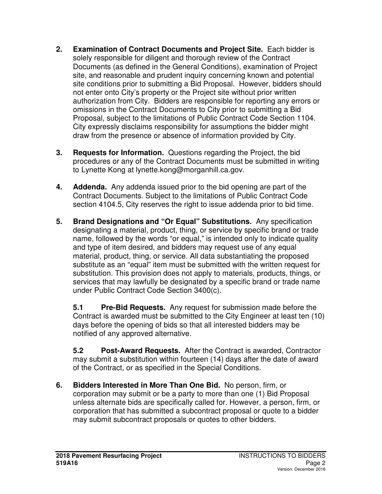- **2. Examination of Contract Documents and Project Site.** Each bidder is solely responsible for diligent and thorough review of the Contract Documents (as defined in the General Conditions), examination of Project site, and reasonable and prudent inquiry concerning known and potential site conditions prior to submitting a Bid Proposal. However, bidders should not enter onto City's property or the Project site without prior written authorization from City. Bidders are responsible for reporting any errors or omissions in the Contract Documents to City prior to submitting a Bid Proposal, subject to the limitations of Public Contract Code Section 1104. City expressly disclaims responsibility for assumptions the bidder might draw from the presence or absence of information provided by City.
- **3. Requests for Information.** Questions regarding the Project, the bid procedures or any of the Contract Documents must be submitted in writing to Lynette Kong at lynette.kong@morganhill.ca.gov.
- **4. Addenda.** Any addenda issued prior to the bid opening are part of the Contract Documents. Subject to the limitations of Public Contract Code section 4104.5, City reserves the right to issue addenda prior to bid time.
- **5. Brand Designations and "Or Equal" Substitutions.** Any specification designating a material, product, thing, or service by specific brand or trade name, followed by the words "or equal," is intended only to indicate quality and type of item desired, and bidders may request use of any equal material, product, thing, or service. All data substantiating the proposed substitute as an "equal" item must be submitted with the written request for substitution. This provision does not apply to materials, products, things, or services that may lawfully be designated by a specific brand or trade name under Public Contract Code Section 3400(c).

**5.1 Pre-Bid Requests.** Any request for submission made before the Contract is awarded must be submitted to the City Engineer at least ten (10) days before the opening of bids so that all interested bidders may be notified of any approved alternative.

**5.2 Post-Award Requests.** After the Contract is awarded, Contractor may submit a substitution within fourteen (14) days after the date of award of the Contract, or as specified in the Special Conditions.

**6. Bidders Interested in More Than One Bid.** No person, firm, or corporation may submit or be a party to more than one (1) Bid Proposal unless alternate bids are specifically called for. However, a person, firm, or corporation that has submitted a subcontract proposal or quote to a bidder may submit subcontract proposals or quotes to other bidders.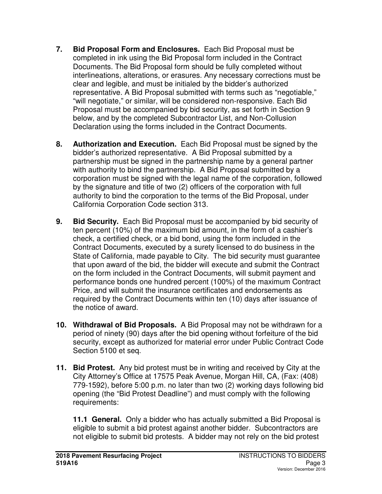- **7. Bid Proposal Form and Enclosures.** Each Bid Proposal must be completed in ink using the Bid Proposal form included in the Contract Documents. The Bid Proposal form should be fully completed without interlineations, alterations, or erasures. Any necessary corrections must be clear and legible, and must be initialed by the bidder's authorized representative. A Bid Proposal submitted with terms such as "negotiable," "will negotiate," or similar, will be considered non-responsive. Each Bid Proposal must be accompanied by bid security, as set forth in Section 9 below, and by the completed Subcontractor List, and Non-Collusion Declaration using the forms included in the Contract Documents.
- **8. Authorization and Execution.** Each Bid Proposal must be signed by the bidder's authorized representative. A Bid Proposal submitted by a partnership must be signed in the partnership name by a general partner with authority to bind the partnership. A Bid Proposal submitted by a corporation must be signed with the legal name of the corporation, followed by the signature and title of two (2) officers of the corporation with full authority to bind the corporation to the terms of the Bid Proposal, under California Corporation Code section 313.
- **9. Bid Security.** Each Bid Proposal must be accompanied by bid security of ten percent (10%) of the maximum bid amount, in the form of a cashier's check, a certified check, or a bid bond, using the form included in the Contract Documents, executed by a surety licensed to do business in the State of California, made payable to City. The bid security must guarantee that upon award of the bid, the bidder will execute and submit the Contract on the form included in the Contract Documents, will submit payment and performance bonds one hundred percent (100%) of the maximum Contract Price, and will submit the insurance certificates and endorsements as required by the Contract Documents within ten (10) days after issuance of the notice of award.
- **10. Withdrawal of Bid Proposals.** A Bid Proposal may not be withdrawn for a period of ninety (90) days after the bid opening without forfeiture of the bid security, except as authorized for material error under Public Contract Code Section 5100 et seq.
- **11. Bid Protest.** Any bid protest must be in writing and received by City at the City Attorney's Office at 17575 Peak Avenue, Morgan Hill, CA, (Fax: (408) 779-1592), before 5:00 p.m. no later than two (2) working days following bid opening (the "Bid Protest Deadline") and must comply with the following requirements:

**11.1 General.** Only a bidder who has actually submitted a Bid Proposal is eligible to submit a bid protest against another bidder. Subcontractors are not eligible to submit bid protests. A bidder may not rely on the bid protest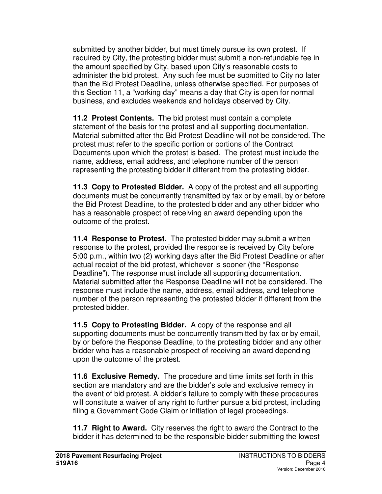submitted by another bidder, but must timely pursue its own protest. If required by City, the protesting bidder must submit a non-refundable fee in the amount specified by City, based upon City's reasonable costs to administer the bid protest. Any such fee must be submitted to City no later than the Bid Protest Deadline, unless otherwise specified. For purposes of this Section 11, a "working day" means a day that City is open for normal business, and excludes weekends and holidays observed by City.

**11.2 Protest Contents.** The bid protest must contain a complete statement of the basis for the protest and all supporting documentation. Material submitted after the Bid Protest Deadline will not be considered. The protest must refer to the specific portion or portions of the Contract Documents upon which the protest is based. The protest must include the name, address, email address, and telephone number of the person representing the protesting bidder if different from the protesting bidder.

**11.3 Copy to Protested Bidder.**A copy of the protest and all supporting documents must be concurrently transmitted by fax or by email, by or before the Bid Protest Deadline, to the protested bidder and any other bidder who has a reasonable prospect of receiving an award depending upon the outcome of the protest.

**11.4 Response to Protest.** The protested bidder may submit a written response to the protest, provided the response is received by City before 5:00 p.m., within two (2) working days after the Bid Protest Deadline or after actual receipt of the bid protest, whichever is sooner (the "Response Deadline"). The response must include all supporting documentation. Material submitted after the Response Deadline will not be considered. The response must include the name, address, email address, and telephone number of the person representing the protested bidder if different from the protested bidder.

**11.5 Copy to Protesting Bidder.**A copy of the response and all supporting documents must be concurrently transmitted by fax or by email, by or before the Response Deadline, to the protesting bidder and any other bidder who has a reasonable prospect of receiving an award depending upon the outcome of the protest.

**11.6 Exclusive Remedy.**The procedure and time limits set forth in this section are mandatory and are the bidder's sole and exclusive remedy in the event of bid protest. A bidder's failure to comply with these procedures will constitute a waiver of any right to further pursue a bid protest, including filing a Government Code Claim or initiation of legal proceedings.

**11.7 Right to Award.**City reserves the right to award the Contract to the bidder it has determined to be the responsible bidder submitting the lowest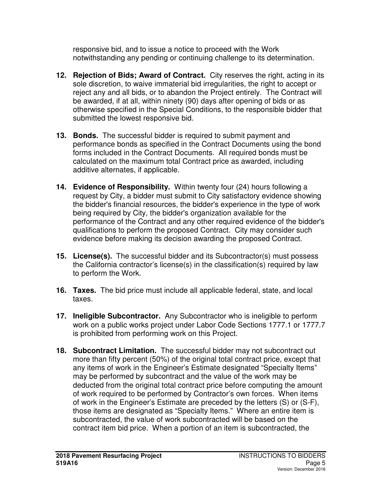responsive bid, and to issue a notice to proceed with the Work notwithstanding any pending or continuing challenge to its determination.

- **12. Rejection of Bids; Award of Contract.** City reserves the right, acting in its sole discretion, to waive immaterial bid irregularities, the right to accept or reject any and all bids, or to abandon the Project entirely. The Contract will be awarded, if at all, within ninety (90) days after opening of bids or as otherwise specified in the Special Conditions, to the responsible bidder that submitted the lowest responsive bid.
- **13. Bonds.** The successful bidder is required to submit payment and performance bonds as specified in the Contract Documents using the bond forms included in the Contract Documents. All required bonds must be calculated on the maximum total Contract price as awarded, including additive alternates, if applicable.
- **14. Evidence of Responsibility.** Within twenty four (24) hours following a request by City, a bidder must submit to City satisfactory evidence showing the bidder's financial resources, the bidder's experience in the type of work being required by City, the bidder's organization available for the performance of the Contract and any other required evidence of the bidder's qualifications to perform the proposed Contract. City may consider such evidence before making its decision awarding the proposed Contract.
- **15. License(s).** The successful bidder and its Subcontractor(s) must possess the California contractor's license(s) in the classification(s) required by law to perform the Work.
- **16. Taxes.** The bid price must include all applicable federal, state, and local taxes.
- **17. Ineligible Subcontractor.** Any Subcontractor who is ineligible to perform work on a public works project under Labor Code Sections 1777.1 or 1777.7 is prohibited from performing work on this Project.
- **18. Subcontract Limitation.** The successful bidder may not subcontract out more than fifty percent (50%) of the original total contract price, except that any items of work in the Engineer's Estimate designated "Specialty Items" may be performed by subcontract and the value of the work may be deducted from the original total contract price before computing the amount of work required to be performed by Contractor's own forces. When items of work in the Engineer's Estimate are preceded by the letters (S) or (S-F), those items are designated as "Specialty Items." Where an entire item is subcontracted, the value of work subcontracted will be based on the contract item bid price. When a portion of an item is subcontracted, the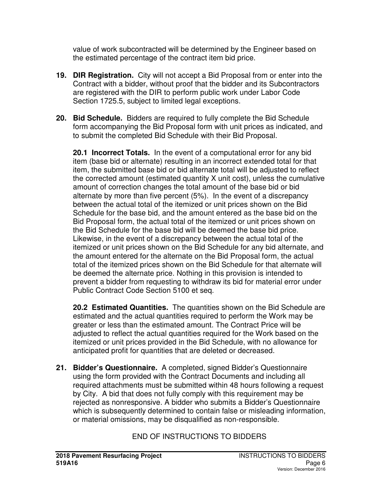value of work subcontracted will be determined by the Engineer based on the estimated percentage of the contract item bid price.

- **19. DIR Registration.** City will not accept a Bid Proposal from or enter into the Contract with a bidder, without proof that the bidder and its Subcontractors are registered with the DIR to perform public work under Labor Code Section 1725.5, subject to limited legal exceptions.
- **20. Bid Schedule.** Bidders are required to fully complete the Bid Schedule form accompanying the Bid Proposal form with unit prices as indicated, and to submit the completed Bid Schedule with their Bid Proposal.

**20.1 Incorrect Totals.** In the event of a computational error for any bid item (base bid or alternate) resulting in an incorrect extended total for that item, the submitted base bid or bid alternate total will be adjusted to reflect the corrected amount (estimated quantity X unit cost), unless the cumulative amount of correction changes the total amount of the base bid or bid alternate by more than five percent (5%). In the event of a discrepancy between the actual total of the itemized or unit prices shown on the Bid Schedule for the base bid, and the amount entered as the base bid on the Bid Proposal form, the actual total of the itemized or unit prices shown on the Bid Schedule for the base bid will be deemed the base bid price. Likewise, in the event of a discrepancy between the actual total of the itemized or unit prices shown on the Bid Schedule for any bid alternate, and the amount entered for the alternate on the Bid Proposal form, the actual total of the itemized prices shown on the Bid Schedule for that alternate will be deemed the alternate price. Nothing in this provision is intended to prevent a bidder from requesting to withdraw its bid for material error under Public Contract Code Section 5100 et seq.

**20.2 Estimated Quantities.** The quantities shown on the Bid Schedule are estimated and the actual quantities required to perform the Work may be greater or less than the estimated amount. The Contract Price will be adjusted to reflect the actual quantities required for the Work based on the itemized or unit prices provided in the Bid Schedule, with no allowance for anticipated profit for quantities that are deleted or decreased.

**21. Bidder's Questionnaire.** A completed, signed Bidder's Questionnaire using the form provided with the Contract Documents and including all required attachments must be submitted within 48 hours following a request by City. A bid that does not fully comply with this requirement may be rejected as nonresponsive. A bidder who submits a Bidder's Questionnaire which is subsequently determined to contain false or misleading information, or material omissions, may be disqualified as non-responsible.

# END OF INSTRUCTIONS TO BIDDERS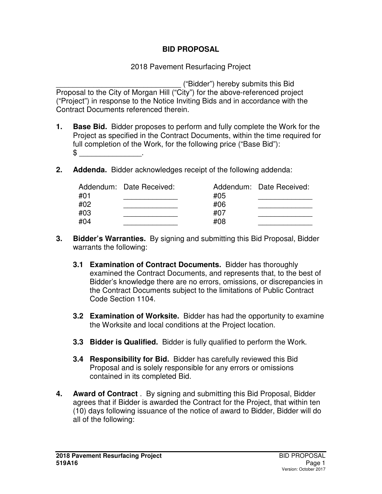### **BID PROPOSAL**

### 2018 Pavement Resurfacing Project

\_\_\_\_\_\_\_\_\_\_\_\_\_\_\_\_\_\_\_\_\_\_\_\_\_\_\_\_\_\_ ("Bidder") hereby submits this Bid Proposal to the City of Morgan Hill ("City") for the above-referenced project ("Project") in response to the Notice Inviting Bids and in accordance with the Contract Documents referenced therein.

- **1. Base Bid.** Bidder proposes to perform and fully complete the Work for the Project as specified in the Contract Documents, within the time required for full completion of the Work, for the following price ("Base Bid"):  $\mathbb S$
- **2. Addenda.** Bidder acknowledges receipt of the following addenda:

|     | Addendum: Date Received: |     | Addendum: Date Received: |
|-----|--------------------------|-----|--------------------------|
| #01 |                          | #05 |                          |
| #02 |                          | #06 |                          |
| #03 |                          | #07 |                          |
| #04 |                          | #08 |                          |

- **3. Bidder's Warranties.** By signing and submitting this Bid Proposal, Bidder warrants the following:
	- **3.1 Examination of Contract Documents.** Bidder has thoroughly examined the Contract Documents, and represents that, to the best of Bidder's knowledge there are no errors, omissions, or discrepancies in the Contract Documents subject to the limitations of Public Contract Code Section 1104.
	- **3.2 Examination of Worksite.** Bidder has had the opportunity to examine the Worksite and local conditions at the Project location.
	- **3.3 Bidder is Qualified.** Bidder is fully qualified to perform the Work.
	- **3.4 Responsibility for Bid.** Bidder has carefully reviewed this Bid Proposal and is solely responsible for any errors or omissions contained in its completed Bid.
- **4. Award of Contract** . By signing and submitting this Bid Proposal, Bidder agrees that if Bidder is awarded the Contract for the Project, that within ten (10) days following issuance of the notice of award to Bidder, Bidder will do all of the following: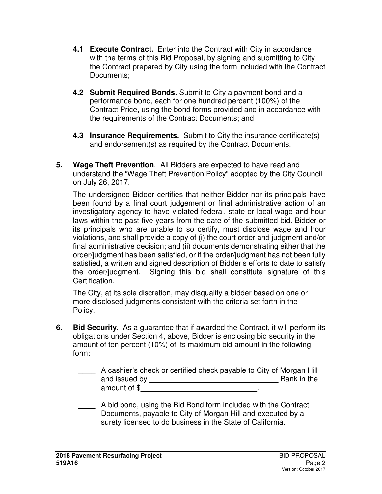- **4.1 Execute Contract.** Enter into the Contract with City in accordance with the terms of this Bid Proposal, by signing and submitting to City the Contract prepared by City using the form included with the Contract Documents;
- **4.2 Submit Required Bonds.** Submit to City a payment bond and a performance bond, each for one hundred percent (100%) of the Contract Price, using the bond forms provided and in accordance with the requirements of the Contract Documents; and
- **4.3 Insurance Requirements.** Submit to City the insurance certificate(s) and endorsement(s) as required by the Contract Documents.
- **5. Wage Theft Prevention**. All Bidders are expected to have read and understand the "Wage Theft Prevention Policy" adopted by the City Council on July 26, 2017.

The undersigned Bidder certifies that neither Bidder nor its principals have been found by a final court judgement or final administrative action of an investigatory agency to have violated federal, state or local wage and hour laws within the past five years from the date of the submitted bid. Bidder or its principals who are unable to so certify, must disclose wage and hour violations, and shall provide a copy of (i) the court order and judgment and/or final administrative decision; and (ii) documents demonstrating either that the order/judgment has been satisfied, or if the order/judgment has not been fully satisfied, a written and signed description of Bidder's efforts to date to satisfy the order/judgment. Signing this bid shall constitute signature of this Certification.

The City, at its sole discretion, may disqualify a bidder based on one or more disclosed judgments consistent with the criteria set forth in the Policy.

**6. Bid Security.** As a guarantee that if awarded the Contract, it will perform its obligations under Section 4, above, Bidder is enclosing bid security in the amount of ten percent (10%) of its maximum bid amount in the following form:

| A cashier's check or certified check payable to City of Morgan Hill |             |
|---------------------------------------------------------------------|-------------|
| and issued by                                                       | Bank in the |
| amount of \$                                                        |             |

A bid bond, using the Bid Bond form included with the Contract Documents, payable to City of Morgan Hill and executed by a surety licensed to do business in the State of California.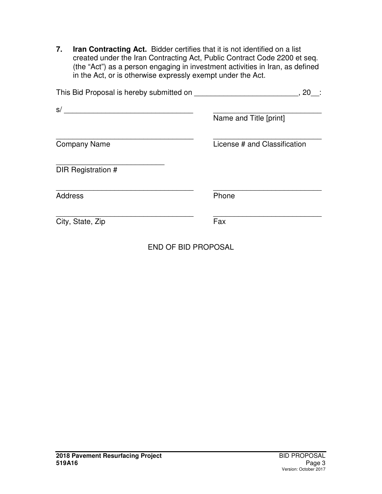**7. Iran Contracting Act.** Bidder certifies that it is not identified on a list created under the Iran Contracting Act, Public Contract Code 2200 et seq. (the "Act") as a person engaging in investment activities in Iran, as defined in the Act, or is otherwise expressly exempt under the Act.

| This Bid Proposal is hereby submitted on | 20                           |
|------------------------------------------|------------------------------|
| s/                                       | Name and Title [print]       |
| <b>Company Name</b>                      | License # and Classification |
| DIR Registration #                       |                              |
| <b>Address</b>                           | Phone                        |
| City, State, Zip                         | Fax                          |
|                                          |                              |

END OF BID PROPOSAL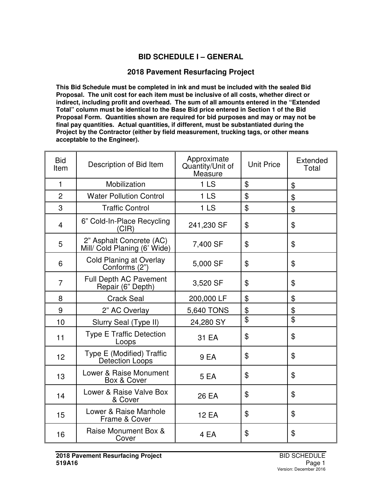### **BID SCHEDULE I – GENERAL**

#### **2018 Pavement Resurfacing Project**

**This Bid Schedule must be completed in ink and must be included with the sealed Bid Proposal. The unit cost for each item must be inclusive of all costs, whether direct or indirect, including profit and overhead. The sum of all amounts entered in the "Extended Total" column must be identical to the Base Bid price entered in Section 1 of the Bid Proposal Form. Quantities shown are required for bid purposes and may or may not be final pay quantities. Actual quantities, if different, must be substantiated during the Project by the Contractor (either by field measurement, trucking tags, or other means acceptable to the Engineer).** 

| <b>Bid</b><br>Item | Description of Bid Item                                  | Approximate<br>Quantity/Unit of<br>Measure | <b>Unit Price</b> | Extended<br>Total |
|--------------------|----------------------------------------------------------|--------------------------------------------|-------------------|-------------------|
| $\mathbf{1}$       | Mobilization                                             | 1 <sub>LS</sub>                            | \$                | \$                |
| $\overline{2}$     | <b>Water Pollution Control</b>                           | 1 <sub>LS</sub>                            | \$                | \$                |
| 3                  | <b>Traffic Control</b>                                   | 1 <sub>LS</sub>                            | $\mathfrak{F}$    | \$                |
| $\overline{4}$     | 6" Cold-In-Place Recycling<br>(CIR)                      | 241,230 SF                                 | \$                | \$                |
| 5                  | 2" Asphalt Concrete (AC)<br>Mill/ Cold Planing (6' Wide) | 7,400 SF                                   | \$                | \$                |
| 6                  | <b>Cold Planing at Overlay</b><br>Conforms (2")          | 5,000 SF                                   | \$                | \$                |
| $\overline{7}$     | <b>Full Depth AC Pavement</b><br>Repair (6" Depth)       | 3,520 SF                                   | \$                | \$                |
| 8                  | <b>Crack Seal</b>                                        | 200,000 LF                                 | \$                | \$                |
| 9                  | 2" AC Overlay                                            | 5,640 TONS                                 | \$                | \$                |
| 10                 | Slurry Seal (Type II)                                    | 24,280 SY                                  | \$                | \$                |
| 11                 | <b>Type E Traffic Detection</b><br>Loops                 | 31 EA                                      | \$                | \$                |
| 12                 | Type E (Modified) Traffic<br><b>Detection Loops</b>      | 9 EA                                       | \$                | \$                |
| 13                 | Lower & Raise Monument<br>Box & Cover                    | 5 EA                                       | \$                | \$                |
| 14                 | Lower & Raise Valve Box<br>& Cover                       | 26 EA                                      | \$                | \$                |
| 15                 | Lower & Raise Manhole<br>Frame & Cover                   | <b>12 EA</b>                               | \$                | \$                |
| 16                 | Raise Monument Box &<br>Cover                            | 4 EA                                       | \$                | \$                |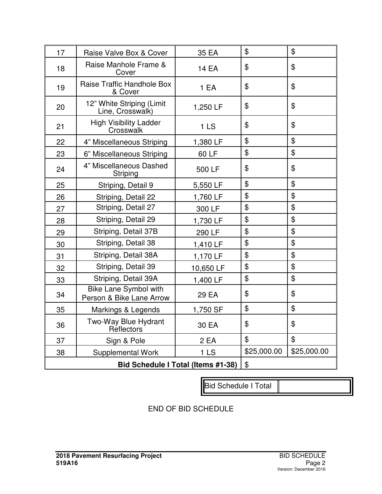| 17                                 | Raise Valve Box & Cover                                  | 35 EA           | \$                         | \$             |
|------------------------------------|----------------------------------------------------------|-----------------|----------------------------|----------------|
| 18                                 | Raise Manhole Frame &<br>Cover                           | <b>14 EA</b>    | \$                         | \$             |
| 19                                 | Raise Traffic Handhole Box<br>& Cover                    | 1 EA            | \$                         | \$             |
| 20                                 | 12" White Striping (Limit<br>Line, Crosswalk)            | 1,250 LF        | \$                         | \$             |
| 21                                 | <b>High Visibility Ladder</b><br>Crosswalk               | 1 <sub>LS</sub> | \$                         | \$             |
| 22                                 | 4" Miscellaneous Striping                                | 1,380 LF        | \$                         | \$             |
| 23                                 | 6" Miscellaneous Striping                                | 60 LF           | \$                         | \$             |
| 24                                 | 4" Miscellaneous Dashed<br>Striping                      | 500 LF          | \$                         | \$             |
| 25                                 | Striping, Detail 9                                       | 5,550 LF        | \$                         | $\mathfrak{P}$ |
| 26                                 | Striping, Detail 22                                      | 1,760 LF        | \$                         | \$             |
| 27                                 | Striping, Detail 27                                      | 300 LF          | \$                         | \$             |
| 28                                 | Striping, Detail 29                                      | 1,730 LF        | \$                         | \$             |
| 29                                 | Striping, Detail 37B                                     | 290 LF          | \$                         | \$             |
| 30                                 | Striping, Detail 38                                      | 1,410 LF        | \$                         | \$             |
| 31                                 | Striping, Detail 38A                                     | 1,170 LF        | \$                         | \$             |
| 32                                 | Striping, Detail 39                                      | 10,650 LF       | \$                         | \$             |
| 33                                 | Striping, Detail 39A                                     | 1,400 LF        | \$                         | $\mathfrak{P}$ |
| 34                                 | <b>Bike Lane Symbol with</b><br>Person & Bike Lane Arrow | 29 EA           | \$                         | \$             |
| 35                                 | Markings & Legends                                       | 1,750 SF        | \$                         | \$             |
| 36                                 | Two-Way Blue Hydrant<br>Reflectors                       | 30 EA           | \$                         | \$             |
| 37                                 | Sign & Pole                                              | 2 EA            | \$                         | $\mathfrak{D}$ |
| 38                                 | <b>Supplemental Work</b>                                 | 1LS             | \$25,000.00                | \$25,000.00    |
| Bid Schedule I Total (Items #1-38) |                                                          |                 | $\boldsymbol{\mathsf{\$}}$ |                |

Bid Schedule I Total

END OF BID SCHEDULE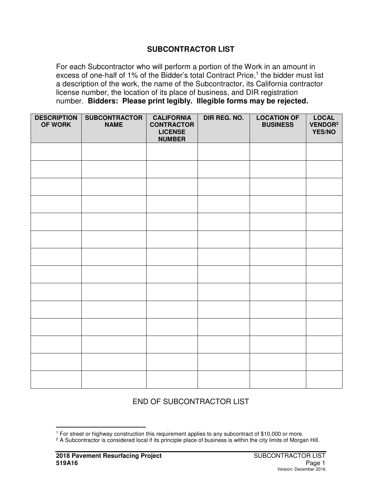#### **SUBCONTRACTOR LIST**

For each Subcontractor who will perform a portion of the Work in an amount in excess of one-half of 1% of the Bidder's total Contract Price,<sup>1</sup> the bidder must list a description of the work, the name of the Subcontractor, its California contractor license number, the location of its place of business, and DIR registration number. **Bidders: Please print legibly. Illegible forms may be rejected.** 

| <b>DESCRIPTION</b><br>OF WORK | <b>SUBCONTRACTOR</b><br><b>NAME</b> | <b>CALIFORNIA</b><br><b>CONTRACTOR</b><br><b>LICENSE</b><br><b>NUMBER</b> | DIR REG. NO. | <b>LOCATION OF</b><br><b>BUSINESS</b> | <b>LOCAL</b><br>VENDOR <sup>2</sup><br>YES/NO |
|-------------------------------|-------------------------------------|---------------------------------------------------------------------------|--------------|---------------------------------------|-----------------------------------------------|
|                               |                                     |                                                                           |              |                                       |                                               |
|                               |                                     |                                                                           |              |                                       |                                               |
|                               |                                     |                                                                           |              |                                       |                                               |
|                               |                                     |                                                                           |              |                                       |                                               |
|                               |                                     |                                                                           |              |                                       |                                               |
|                               |                                     |                                                                           |              |                                       |                                               |
|                               |                                     |                                                                           |              |                                       |                                               |
|                               |                                     |                                                                           |              |                                       |                                               |
|                               |                                     |                                                                           |              |                                       |                                               |
|                               |                                     |                                                                           |              |                                       |                                               |
|                               |                                     |                                                                           |              |                                       |                                               |
|                               |                                     |                                                                           |              |                                       |                                               |
|                               |                                     |                                                                           |              |                                       |                                               |
|                               |                                     |                                                                           |              |                                       |                                               |

### END OF SUBCONTRACTOR LIST

-

<sup>1</sup> For street or highway construction this requirement applies to any subcontract of \$10,000 or more.

<sup>&</sup>lt;sup>2</sup> A Subcontractor is considered local if its principle place of business is within the city limits of Morgan Hill.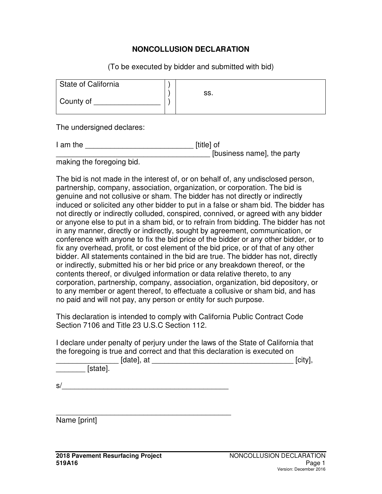### **NONCOLLUSION DECLARATION**

(To be executed by bidder and submitted with bid)

| State of California |     |
|---------------------|-----|
| County of           | SS. |

The undersigned declares:

| I am the | [title] of                 |
|----------|----------------------------|
|          | [business name], the party |
|          |                            |

making the foregoing bid.

The bid is not made in the interest of, or on behalf of, any undisclosed person, partnership, company, association, organization, or corporation. The bid is genuine and not collusive or sham. The bidder has not directly or indirectly induced or solicited any other bidder to put in a false or sham bid. The bidder has not directly or indirectly colluded, conspired, connived, or agreed with any bidder or anyone else to put in a sham bid, or to refrain from bidding. The bidder has not in any manner, directly or indirectly, sought by agreement, communication, or conference with anyone to fix the bid price of the bidder or any other bidder, or to fix any overhead, profit, or cost element of the bid price, or of that of any other bidder. All statements contained in the bid are true. The bidder has not, directly or indirectly, submitted his or her bid price or any breakdown thereof, or the contents thereof, or divulged information or data relative thereto, to any corporation, partnership, company, association, organization, bid depository, or to any member or agent thereof, to effectuate a collusive or sham bid, and has no paid and will not pay, any person or entity for such purpose.

This declaration is intended to comply with California Public Contract Code Section 7106 and Title 23 U.S.C Section 112.

I declare under penalty of perjury under the laws of the State of California that the foregoing is true and correct and that this declaration is executed on

| [date],<br>at | <b>Loiture</b><br>.:IIV |
|---------------|-------------------------|
|               |                         |

\_\_\_\_\_\_\_ [state].

 $s/$ 

\_\_\_\_\_\_\_\_\_\_\_\_\_\_\_\_\_\_\_\_\_\_\_\_\_\_\_\_\_\_\_\_\_\_\_\_\_\_\_\_\_\_

Name [print]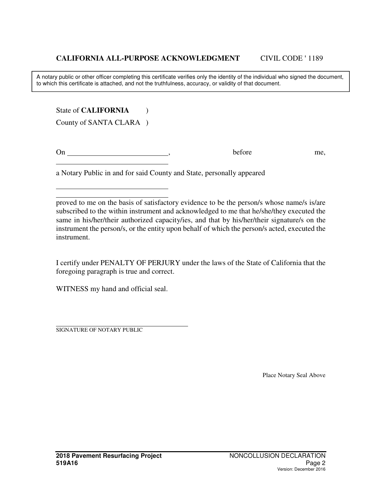A notary public or other officer completing this certificate verifies only the identity of the individual who signed the document, to which this certificate is attached, and not the truthfulness, accuracy, or validity of that document.

State of **CALIFORNIA** (1) County of SANTA CLARA )

On before me,

 $\overline{a}$ 

 $\overline{a}$ 

a Notary Public in and for said County and State, personally appeared

proved to me on the basis of satisfactory evidence to be the person/s whose name/s is/are subscribed to the within instrument and acknowledged to me that he/she/they executed the same in his/her/their authorized capacity/ies, and that by his/her/their signature/s on the instrument the person/s, or the entity upon behalf of which the person/s acted, executed the instrument.

I certify under PENALTY OF PERJURY under the laws of the State of California that the foregoing paragraph is true and correct.

WITNESS my hand and official seal.

SIGNATURE OF NOTARY PUBLIC

Place Notary Seal Above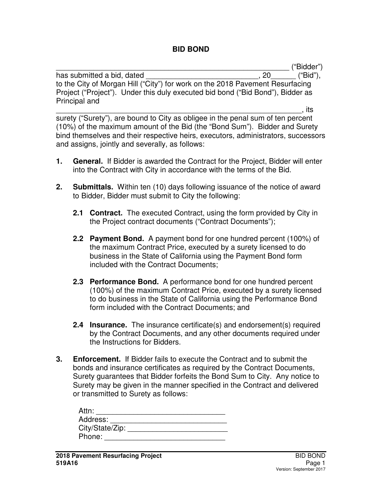### **BID BOND**

\_\_\_\_\_\_\_\_\_\_\_\_\_\_\_\_\_\_\_\_\_\_\_\_\_\_\_\_\_\_\_\_\_\_\_\_\_\_\_\_\_\_\_\_\_\_\_\_\_\_\_\_\_\_\_\_ ("Bidder")

has submitted a bid, dated  $\qquad \qquad$ , 20  $\qquad$  ("Bid"), to the City of Morgan Hill ("City") for work on the 2018 Pavement Resurfacing Project ("Project"). Under this duly executed bid bond ("Bid Bond"), Bidder as Principal and

\_\_\_\_\_\_\_\_\_\_\_\_\_\_\_\_\_\_\_\_\_\_\_\_\_\_\_\_\_\_\_\_\_\_\_\_\_\_\_\_\_\_\_\_\_\_\_\_\_\_\_\_\_\_\_\_\_\_\_, its surety ("Surety"), are bound to City as obligee in the penal sum of ten percent (10%) of the maximum amount of the Bid (the "Bond Sum"). Bidder and Surety bind themselves and their respective heirs, executors, administrators, successors and assigns, jointly and severally, as follows:

- **1. General.** If Bidder is awarded the Contract for the Project, Bidder will enter into the Contract with City in accordance with the terms of the Bid.
- **2. Submittals.** Within ten (10) days following issuance of the notice of award to Bidder, Bidder must submit to City the following:
	- **2.1 Contract.** The executed Contract, using the form provided by City in the Project contract documents ("Contract Documents");
	- **2.2 Payment Bond.** A payment bond for one hundred percent (100%) of the maximum Contract Price, executed by a surety licensed to do business in the State of California using the Payment Bond form included with the Contract Documents;
	- **2.3 Performance Bond.** A performance bond for one hundred percent (100%) of the maximum Contract Price, executed by a surety licensed to do business in the State of California using the Performance Bond form included with the Contract Documents; and
	- **2.4 Insurance.** The insurance certificate(s) and endorsement(s) required by the Contract Documents, and any other documents required under the Instructions for Bidders.
- **3. Enforcement.** If Bidder fails to execute the Contract and to submit the bonds and insurance certificates as required by the Contract Documents, Surety guarantees that Bidder forfeits the Bond Sum to City. Any notice to Surety may be given in the manner specified in the Contract and delivered or transmitted to Surety as follows:

| Attn:           |  |
|-----------------|--|
| Address:        |  |
| City/State/Zip: |  |
| Phone:          |  |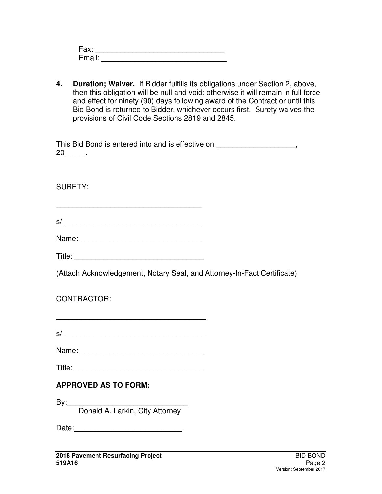| Fax:   |  |
|--------|--|
| Email: |  |

**4. Duration; Waiver.** If Bidder fulfills its obligations under Section 2, above, then this obligation will be null and void; otherwise it will remain in full force and effect for ninety (90) days following award of the Contract or until this Bid Bond is returned to Bidder, whichever occurs first. Surety waives the provisions of Civil Code Sections 2819 and 2845.

| This Bid Bond is entered into and is effective on |  |
|---------------------------------------------------|--|
| 20                                                |  |

SURETY:

| ∽<br>s. |  |  |  |
|---------|--|--|--|

\_\_\_\_\_\_\_\_\_\_\_\_\_\_\_\_\_\_\_\_\_\_\_\_\_\_\_\_\_\_\_\_\_\_\_

|  |  | Title: |
|--|--|--------|

(Attach Acknowledgement, Notary Seal, and Attorney-In-Fact Certificate)

# CONTRACTOR:

| s/ |  |  |  |
|----|--|--|--|

\_\_\_\_\_\_\_\_\_\_\_\_\_\_\_\_\_\_\_\_\_\_\_\_\_\_\_\_\_\_\_\_\_\_\_\_

Name: \_\_\_\_\_\_\_\_\_\_\_\_\_\_\_\_\_\_\_\_\_\_\_\_\_\_\_\_\_\_

Title: \_\_\_\_\_\_\_\_\_\_\_\_\_\_\_\_\_\_\_\_\_\_\_\_\_\_\_\_\_\_\_

# **APPROVED AS TO FORM:**

 $By:$ Donald A. Larkin, City Attorney

Date:\_\_\_\_\_\_\_\_\_\_\_\_\_\_\_\_\_\_\_\_\_\_\_\_\_\_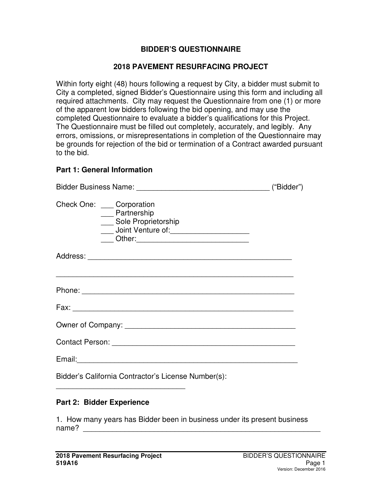### **BIDDER'S QUESTIONNAIRE**

#### **2018 PAVEMENT RESURFACING PROJECT**

Within forty eight (48) hours following a request by City, a bidder must submit to City a completed, signed Bidder's Questionnaire using this form and including all required attachments. City may request the Questionnaire from one (1) or more of the apparent low bidders following the bid opening, and may use the completed Questionnaire to evaluate a bidder's qualifications for this Project. The Questionnaire must be filled out completely, accurately, and legibly. Any errors, omissions, or misrepresentations in completion of the Questionnaire may be grounds for rejection of the bid or termination of a Contract awarded pursuant to the bid.

#### **Part 1: General Information**

| Check One: Corporation<br>___ Partnership<br>___ Sole Proprietorship<br>Joint Venture of: 1997 March 1997                                                                                                                      |  |
|--------------------------------------------------------------------------------------------------------------------------------------------------------------------------------------------------------------------------------|--|
|                                                                                                                                                                                                                                |  |
| ,我们也不会有什么。""我们的人,我们也不会有什么?""我们的人,我们也不会有什么?""我们的人,我们也不会有什么?""我们的人,我们也不会有什么?""我们的人                                                                                                                                               |  |
|                                                                                                                                                                                                                                |  |
|                                                                                                                                                                                                                                |  |
|                                                                                                                                                                                                                                |  |
| Email: experience and a series of the series of the series of the series of the series of the series of the series of the series of the series of the series of the series of the series of the series of the series of the se |  |
| Bidder's California Contractor's License Number(s):                                                                                                                                                                            |  |

#### **Part 2: Bidder Experience**

\_\_\_\_\_\_\_\_\_\_\_\_\_\_\_\_\_\_\_\_\_\_\_\_\_\_\_\_\_\_\_

1. How many years has Bidder been in business under its present business name? \_\_\_\_\_\_\_\_\_\_\_\_\_\_\_\_\_\_\_\_\_\_\_\_\_\_\_\_\_\_\_\_\_\_\_\_\_\_\_\_\_\_\_\_\_\_\_\_\_\_\_\_\_\_\_\_\_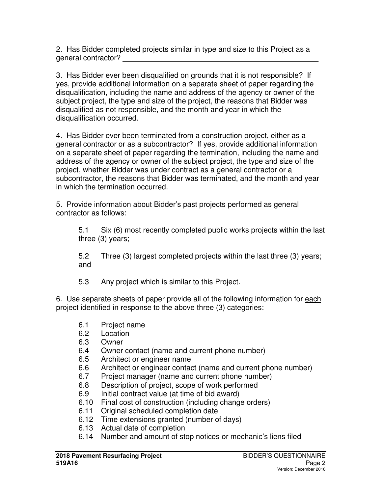2. Has Bidder completed projects similar in type and size to this Project as a general contractor? \_\_\_\_\_\_\_\_\_\_\_\_\_\_\_\_\_\_\_\_\_\_\_\_\_\_\_\_\_\_\_\_\_\_\_\_\_\_\_\_\_\_\_\_\_\_\_

3. Has Bidder ever been disqualified on grounds that it is not responsible? If yes, provide additional information on a separate sheet of paper regarding the disqualification, including the name and address of the agency or owner of the subject project, the type and size of the project, the reasons that Bidder was disqualified as not responsible, and the month and year in which the disqualification occurred.

4. Has Bidder ever been terminated from a construction project, either as a general contractor or as a subcontractor? If yes, provide additional information on a separate sheet of paper regarding the termination, including the name and address of the agency or owner of the subject project, the type and size of the project, whether Bidder was under contract as a general contractor or a subcontractor, the reasons that Bidder was terminated, and the month and year in which the termination occurred.

5. Provide information about Bidder's past projects performed as general contractor as follows:

5.1 Six (6) most recently completed public works projects within the last three (3) years;

5.2 Three (3) largest completed projects within the last three (3) years; and

5.3 Any project which is similar to this Project.

6. Use separate sheets of paper provide all of the following information for each project identified in response to the above three (3) categories:

- 6.1 Project name
- 6.2 Location
- 6.3 Owner
- 6.4 Owner contact (name and current phone number)
- 6.5 Architect or engineer name
- 6.6 Architect or engineer contact (name and current phone number)
- 6.7 Project manager (name and current phone number)
- 6.8 Description of project, scope of work performed
- 6.9 Initial contract value (at time of bid award)
- 6.10 Final cost of construction (including change orders)
- 6.11 Original scheduled completion date
- 6.12 Time extensions granted (number of days)
- 6.13 Actual date of completion
- 6.14 Number and amount of stop notices or mechanic's liens filed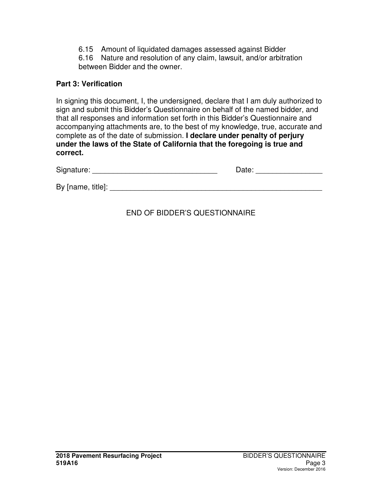6.15 Amount of liquidated damages assessed against Bidder

6.16 Nature and resolution of any claim, lawsuit, and/or arbitration between Bidder and the owner.

### **Part 3: Verification**

In signing this document, I, the undersigned, declare that I am duly authorized to sign and submit this Bidder's Questionnaire on behalf of the named bidder, and that all responses and information set forth in this Bidder's Questionnaire and accompanying attachments are, to the best of my knowledge, true, accurate and complete as of the date of submission. **I declare under penalty of perjury under the laws of the State of California that the foregoing is true and correct.**

| Signature:        | Date: |
|-------------------|-------|
| By [name, title]: |       |
|                   |       |

# END OF BIDDER'S QUESTIONNAIRE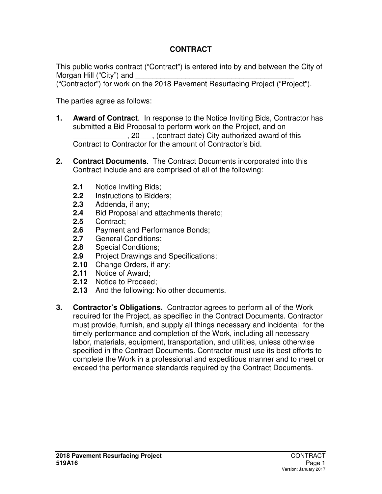# **CONTRACT**

This public works contract ("Contract") is entered into by and between the City of Morgan Hill ("City") and

("Contractor") for work on the 2018 Pavement Resurfacing Project ("Project").

The parties agree as follows:

- **1. Award of Contract**. In response to the Notice Inviting Bids, Contractor has submitted a Bid Proposal to perform work on the Project, and on \_\_\_\_\_\_\_\_\_\_\_\_\_, 20\_\_\_, (contract date) City authorized award of this Contract to Contractor for the amount of Contractor's bid.
- **2. Contract Documents**. The Contract Documents incorporated into this Contract include and are comprised of all of the following:
	- **2.1** Notice Inviting Bids;<br>**2.2** Instructions to Bidde
	- **2.2** Instructions to Bidders;
	- **2.3** Addenda, if any;
	- **2.4** Bid Proposal and attachments thereto;
	- **2.5** Contract;
	- **2.6** Payment and Performance Bonds;
	- **2.7** General Conditions;
	- **2.8** Special Conditions;
	- **2.9** Project Drawings and Specifications;
	- **2.10** Change Orders, if any;
	- **2.11** Notice of Award;
	- **2.12** Notice to Proceed;
	- **2.13** And the following: No other documents.
- **3. Contractor's Obligations.** Contractor agrees to perform all of the Work required for the Project, as specified in the Contract Documents. Contractor must provide, furnish, and supply all things necessary and incidental for the timely performance and completion of the Work, including all necessary labor, materials, equipment, transportation, and utilities, unless otherwise specified in the Contract Documents. Contractor must use its best efforts to complete the Work in a professional and expeditious manner and to meet or exceed the performance standards required by the Contract Documents.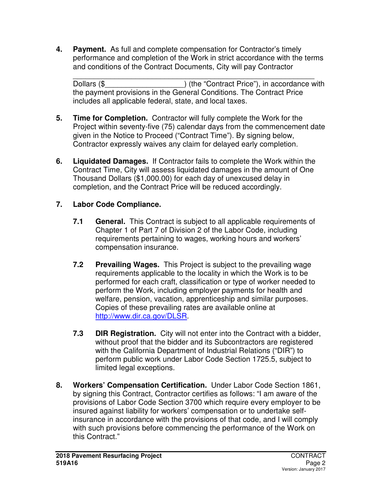**4. Payment.** As full and complete compensation for Contractor's timely performance and completion of the Work in strict accordance with the terms and conditions of the Contract Documents, City will pay Contractor

\_\_\_\_\_\_\_\_\_\_\_\_\_\_\_\_\_\_\_\_\_\_\_\_\_\_\_\_\_\_\_\_\_\_\_\_\_\_\_\_\_\_\_\_\_\_\_\_\_\_\_\_\_\_\_\_\_\_ Dollars (\$  $\blacksquare$ ) (the "Contract Price"), in accordance with the payment provisions in the General Conditions. The Contract Price includes all applicable federal, state, and local taxes.

- **5. Time for Completion.** Contractor will fully complete the Work for the Project within seventy-five (75) calendar days from the commencement date given in the Notice to Proceed ("Contract Time"). By signing below, Contractor expressly waives any claim for delayed early completion.
- **6. Liquidated Damages.** If Contractor fails to complete the Work within the Contract Time, City will assess liquidated damages in the amount of One Thousand Dollars (\$1,000.00) for each day of unexcused delay in completion, and the Contract Price will be reduced accordingly.

# **7. Labor Code Compliance.**

- **7.1 General.** This Contract is subject to all applicable requirements of Chapter 1 of Part 7 of Division 2 of the Labor Code, including requirements pertaining to wages, working hours and workers' compensation insurance.
- **7.2 Prevailing Wages.** This Project is subject to the prevailing wage requirements applicable to the locality in which the Work is to be performed for each craft, classification or type of worker needed to perform the Work, including employer payments for health and welfare, pension, vacation, apprenticeship and similar purposes. Copies of these prevailing rates are available online at http://www.dir.ca.gov/DLSR.
- **7.3 DIR Registration.** City will not enter into the Contract with a bidder, without proof that the bidder and its Subcontractors are registered with the California Department of Industrial Relations ("DIR") to perform public work under Labor Code Section 1725.5, subject to limited legal exceptions.
- **8. Workers' Compensation Certification.** Under Labor Code Section 1861, by signing this Contract, Contractor certifies as follows: "I am aware of the provisions of Labor Code Section 3700 which require every employer to be insured against liability for workers' compensation or to undertake selfinsurance in accordance with the provisions of that code, and I will comply with such provisions before commencing the performance of the Work on this Contract."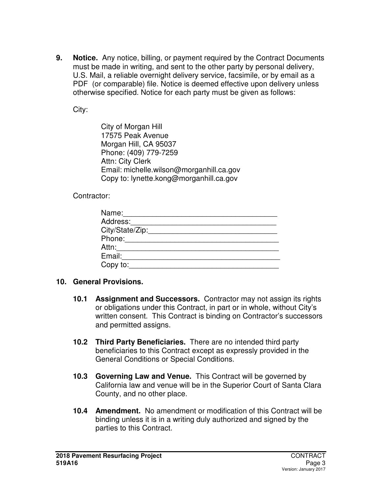**9. Notice.** Any notice, billing, or payment required by the Contract Documents must be made in writing, and sent to the other party by personal delivery, U.S. Mail, a reliable overnight delivery service, facsimile, or by email as a PDF (or comparable) file. Notice is deemed effective upon delivery unless otherwise specified. Notice for each party must be given as follows:

City:

 City of Morgan Hill 17575 Peak Avenue Morgan Hill, CA 95037 Phone: (409) 779-7259 Attn: City Clerk Email: michelle.wilson@morganhill.ca.gov Copy to: lynette.kong@morganhill.ca.gov

Contractor:

| Name:           |
|-----------------|
| Address:        |
| City/State/Zip: |
| Phone:          |
| Attn:           |
| Email:          |
| Copy to:        |

### **10. General Provisions.**

- **10.1 Assignment and Successors.** Contractor may not assign its rights or obligations under this Contract, in part or in whole, without City's written consent. This Contract is binding on Contractor's successors and permitted assigns.
- **10.2 Third Party Beneficiaries.** There are no intended third party beneficiaries to this Contract except as expressly provided in the General Conditions or Special Conditions.
- **10.3 Governing Law and Venue.** This Contract will be governed by California law and venue will be in the Superior Court of Santa Clara County, and no other place.
- **10.4 Amendment.** No amendment or modification of this Contract will be binding unless it is in a writing duly authorized and signed by the parties to this Contract.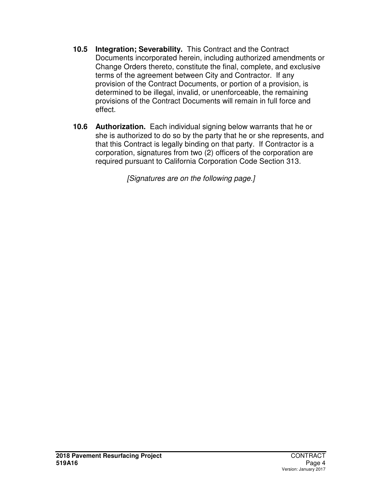- **10.5 Integration; Severability.** This Contract and the Contract Documents incorporated herein, including authorized amendments or Change Orders thereto, constitute the final, complete, and exclusive terms of the agreement between City and Contractor. If any provision of the Contract Documents, or portion of a provision, is determined to be illegal, invalid, or unenforceable, the remaining provisions of the Contract Documents will remain in full force and effect.
- **10.6 Authorization.** Each individual signing below warrants that he or she is authorized to do so by the party that he or she represents, and that this Contract is legally binding on that party. If Contractor is a corporation, signatures from two (2) officers of the corporation are required pursuant to California Corporation Code Section 313.

*[Signatures are on the following page.]*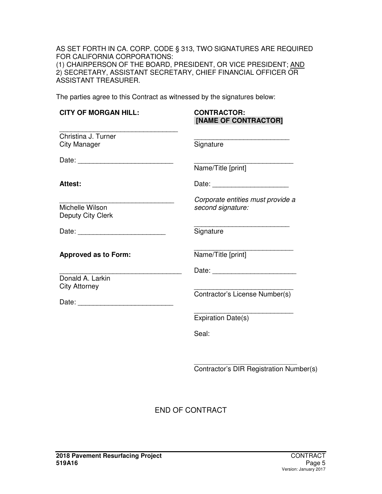AS SET FORTH IN CA. CORP. CODE § 313, TWO SIGNATURES ARE REQUIRED FOR CALIFORNIA CORPORATIONS: (1) CHAIRPERSON OF THE BOARD, PRESIDENT, OR VICE PRESIDENT; AND 2) SECRETARY, ASSISTANT SECRETARY, CHIEF FINANCIAL OFFICER OR ASSISTANT TREASURER.

The parties agree to this Contract as witnessed by the signatures below:

| <b>CONTRACTOR:</b><br>[NAME OF CONTRACTOR]             |
|--------------------------------------------------------|
| Signature                                              |
| Name/Title [print]                                     |
|                                                        |
| Corporate entities must provide a<br>second signature: |
| Signature                                              |
| Name/Title [print]                                     |
|                                                        |
| Contractor's License Number(s)                         |
| <b>Expiration Date(s)</b>                              |
| Seal:                                                  |
|                                                        |
|                                                        |

Contractor's DIR Registration Number(s)

END OF CONTRACT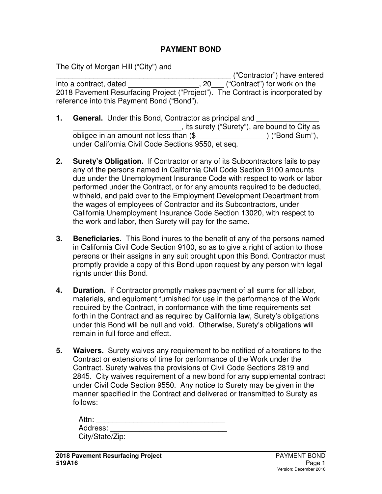### **PAYMENT BOND**

The City of Morgan Hill ("City") and

\_\_\_\_\_\_\_\_\_\_\_\_\_\_\_\_\_\_\_\_\_\_\_\_\_\_\_\_\_\_\_\_\_\_\_\_\_\_\_\_\_\_ ("Contractor") have entered into a contract, dated \_\_\_\_\_\_\_\_\_\_\_\_\_\_\_\_\_, 20\_\_\_ ("Contract") for work on the 2018 Pavement Resurfacing Project ("Project"). The Contract is incorporated by reference into this Payment Bond ("Bond").

- **1. General.** Under this Bond, Contractor as principal and \_\_\_\_\_\_\_\_\_\_\_\_\_\_\_\_\_\_\_\_\_\_\_\_\_\_, its surety ("Surety"), are bound to City as obligee in an amount not less than (\$\_\_\_\_\_\_\_\_\_\_\_\_\_\_\_\_\_) ("Bond Sum"), under California Civil Code Sections 9550, et seq.
- **2. Surety's Obligation.** If Contractor or any of its Subcontractors fails to pay any of the persons named in California Civil Code Section 9100 amounts due under the Unemployment Insurance Code with respect to work or labor performed under the Contract, or for any amounts required to be deducted, withheld, and paid over to the Employment Development Department from the wages of employees of Contractor and its Subcontractors, under California Unemployment Insurance Code Section 13020, with respect to the work and labor, then Surety will pay for the same.
- **3. Beneficiaries.** This Bond inures to the benefit of any of the persons named in California Civil Code Section 9100, so as to give a right of action to those persons or their assigns in any suit brought upon this Bond. Contractor must promptly provide a copy of this Bond upon request by any person with legal rights under this Bond.
- **4. Duration.** If Contractor promptly makes payment of all sums for all labor, materials, and equipment furnished for use in the performance of the Work required by the Contract, in conformance with the time requirements set forth in the Contract and as required by California law, Surety's obligations under this Bond will be null and void. Otherwise, Surety's obligations will remain in full force and effect.
- **5. Waivers.** Surety waives any requirement to be notified of alterations to the Contract or extensions of time for performance of the Work under the Contract. Surety waives the provisions of Civil Code Sections 2819 and 2845. City waives requirement of a new bond for any supplemental contract under Civil Code Section 9550. Any notice to Surety may be given in the manner specified in the Contract and delivered or transmitted to Surety as follows:

| Attn:           |  |
|-----------------|--|
| Address:        |  |
| City/State/Zip: |  |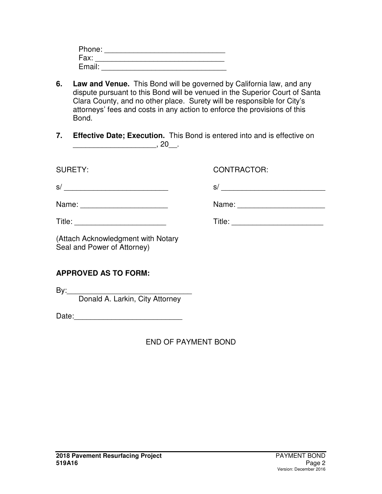| Phone: |  |
|--------|--|
| Fax:   |  |
| Email: |  |

- **6. Law and Venue.** This Bond will be governed by California law, and any dispute pursuant to this Bond will be venued in the Superior Court of Santa Clara County, and no other place. Surety will be responsible for City's attorneys' fees and costs in any action to enforce the provisions of this Bond.
- **7. Effective Date; Execution.** This Bond is entered into and is effective on  $\frac{1}{20}$ , 20\_ .

SURETY: CONTRACTOR:

| s/    | نټ    |
|-------|-------|
| Name: | Name: |

Title: \_\_\_\_\_\_\_\_\_\_\_\_\_\_\_\_\_\_\_\_\_\_ Title: \_\_\_\_\_\_\_\_\_\_\_\_\_\_\_\_\_\_\_\_\_\_

(Attach Acknowledgment with Notary Seal and Power of Attorney)

# **APPROVED AS TO FORM:**

By:\_\_\_\_\_\_\_\_\_\_\_\_\_\_\_\_\_\_\_\_\_\_\_\_\_\_\_\_\_\_

Donald A. Larkin, City Attorney

Date:\_\_\_\_\_\_\_\_\_\_\_\_\_\_\_\_\_\_\_\_\_\_\_\_\_\_

END OF PAYMENT BOND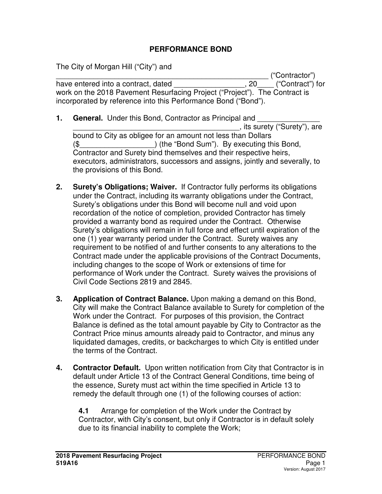### **PERFORMANCE BOND**

The City of Morgan Hill ("City") and

\_\_\_\_\_\_\_\_\_\_\_\_\_\_\_\_\_\_\_\_\_\_\_\_\_\_\_\_\_\_\_\_\_\_\_\_\_\_\_\_\_\_\_\_\_\_\_\_\_\_\_ ("Contractor") have entered into a contract, dated  $\qquad \qquad \qquad \qquad 20 \qquad \qquad$  ("Contract") for work on the 2018 Pavement Resurfacing Project ("Project"). The Contract is incorporated by reference into this Performance Bond ("Bond").

- **1. General.** Under this Bond, Contractor as Principal and \_\_\_\_\_\_\_\_\_\_\_\_\_\_\_\_\_\_\_\_\_\_\_\_\_\_\_\_\_\_\_\_\_\_\_\_\_\_\_\_, its surety ("Surety"), are bound to City as obligee for an amount not less than Dollars (\$\_\_\_\_\_\_\_\_\_\_\_\_\_\_\_\_\_\_) (the "Bond Sum"). By executing this Bond, Contractor and Surety bind themselves and their respective heirs, executors, administrators, successors and assigns, jointly and severally, to the provisions of this Bond.
- **2. Surety's Obligations; Waiver.** If Contractor fully performs its obligations under the Contract, including its warranty obligations under the Contract, Surety's obligations under this Bond will become null and void upon recordation of the notice of completion, provided Contractor has timely provided a warranty bond as required under the Contract. Otherwise Surety's obligations will remain in full force and effect until expiration of the one (1) year warranty period under the Contract. Surety waives any requirement to be notified of and further consents to any alterations to the Contract made under the applicable provisions of the Contract Documents, including changes to the scope of Work or extensions of time for performance of Work under the Contract. Surety waives the provisions of Civil Code Sections 2819 and 2845.
- **3. Application of Contract Balance.** Upon making a demand on this Bond, City will make the Contract Balance available to Surety for completion of the Work under the Contract. For purposes of this provision, the Contract Balance is defined as the total amount payable by City to Contractor as the Contract Price minus amounts already paid to Contractor, and minus any liquidated damages, credits, or backcharges to which City is entitled under the terms of the Contract.
- **4. Contractor Default.** Upon written notification from City that Contractor is in default under Article 13 of the Contract General Conditions, time being of the essence, Surety must act within the time specified in Article 13 to remedy the default through one (1) of the following courses of action:

**4.1** Arrange for completion of the Work under the Contract by Contractor, with City's consent, but only if Contractor is in default solely due to its financial inability to complete the Work;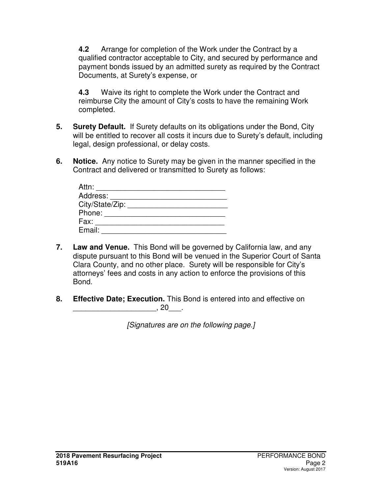**4.2** Arrange for completion of the Work under the Contract by a qualified contractor acceptable to City, and secured by performance and payment bonds issued by an admitted surety as required by the Contract Documents, at Surety's expense, or

**4.3** Waive its right to complete the Work under the Contract and reimburse City the amount of City's costs to have the remaining Work completed.

- **5. Surety Default.** If Surety defaults on its obligations under the Bond, City will be entitled to recover all costs it incurs due to Surety's default, including legal, design professional, or delay costs.
- **6. Notice.** Any notice to Surety may be given in the manner specified in the Contract and delivered or transmitted to Surety as follows:

| Attn:           |  |
|-----------------|--|
| Address:        |  |
| City/State/Zip: |  |
| Phone:          |  |
| Fax:            |  |
| Email:          |  |

- **7. Law and Venue.** This Bond will be governed by California law, and any dispute pursuant to this Bond will be venued in the Superior Court of Santa Clara County, and no other place. Surety will be responsible for City's attorneys' fees and costs in any action to enforce the provisions of this Bond.
- **8. Effective Date; Execution.** This Bond is entered into and effective on  $\,$ , 20 $\,$ .

*[Signatures are on the following page.]*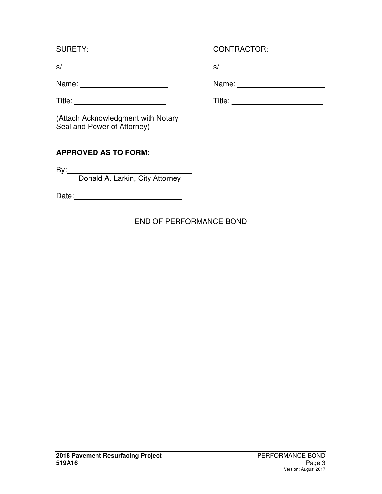s/ \_\_\_\_\_\_\_\_\_\_\_\_\_\_\_\_\_\_\_\_\_\_\_\_\_ s/ \_\_\_\_\_\_\_\_\_\_\_\_\_\_\_\_\_\_\_\_\_\_\_\_\_

Name: \_\_\_\_\_\_\_\_\_\_\_\_\_\_\_\_\_\_\_\_\_ Name: \_\_\_\_\_\_\_\_\_\_\_\_\_\_\_\_\_\_\_\_\_

(Attach Acknowledgment with Notary Seal and Power of Attorney)

# **APPROVED AS TO FORM:**

 $By:$ 

Donald A. Larkin, City Attorney

Date:\_\_\_\_\_\_\_\_\_\_\_\_\_\_\_\_\_\_\_\_\_\_\_\_\_\_

# END OF PERFORMANCE BOND

# SURETY: CONTRACTOR:

Title: \_\_\_\_\_\_\_\_\_\_\_\_\_\_\_\_\_\_\_\_\_\_ Title: \_\_\_\_\_\_\_\_\_\_\_\_\_\_\_\_\_\_\_\_\_\_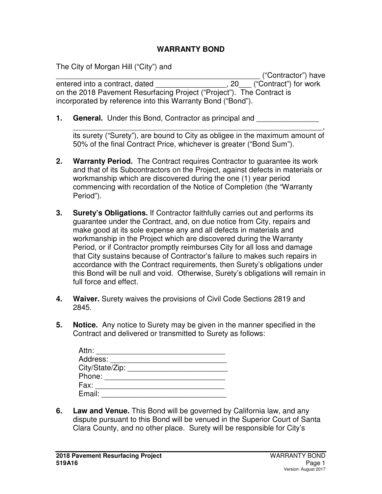### **WARRANTY BOND**

The City of Morgan Hill ("City") and

\_\_\_\_\_\_\_\_\_\_\_\_\_\_\_\_\_\_\_\_\_\_\_\_\_\_\_\_\_\_\_\_\_\_\_\_\_\_\_\_\_\_\_\_\_\_\_\_\_ ("Contractor") have entered into a contract, dated entered into a contract, dated  $\sim$  . 20 ("Contract") for work on the 2018 Pavement Resurfacing Project ("Project"). The Contract is incorporated by reference into this Warranty Bond ("Bond").

**1. General.** Under this Bond, Contractor as principal and

\_\_\_\_\_\_\_\_\_\_\_\_\_\_\_\_\_\_\_\_\_\_\_\_\_\_\_\_\_\_\_\_\_\_\_\_\_\_\_\_\_\_\_\_\_\_\_\_\_\_\_\_\_\_\_\_\_\_\_\_, its surety ("Surety"), are bound to City as obligee in the maximum amount of 50% of the final Contract Price, whichever is greater ("Bond Sum").

- **2. Warranty Period.** The Contract requires Contractor to guarantee its work and that of its Subcontractors on the Project, against defects in materials or workmanship which are discovered during the one (1) year period commencing with recordation of the Notice of Completion (the "Warranty Period").
- **3. Surety's Obligations.** If Contractor faithfully carries out and performs its guarantee under the Contract, and, on due notice from City, repairs and make good at its sole expense any and all defects in materials and workmanship in the Project which are discovered during the Warranty Period, or if Contractor promptly reimburses City for all loss and damage that City sustains because of Contractor's failure to makes such repairs in accordance with the Contract requirements, then Surety's obligations under this Bond will be null and void. Otherwise, Surety's obligations will remain in full force and effect.
- **4. Waiver.** Surety waives the provisions of Civil Code Sections 2819 and 2845.
- **5. Notice.** Any notice to Surety may be given in the manner specified in the Contract and delivered or transmitted to Surety as follows:

| Attn:           |  |
|-----------------|--|
| Address:        |  |
| City/State/Zip: |  |
| Phone:          |  |
| Fax:            |  |
| Email:          |  |

**6. Law and Venue.** This Bond will be governed by California law, and any dispute pursuant to this Bond will be venued in the Superior Court of Santa Clara County, and no other place. Surety will be responsible for City's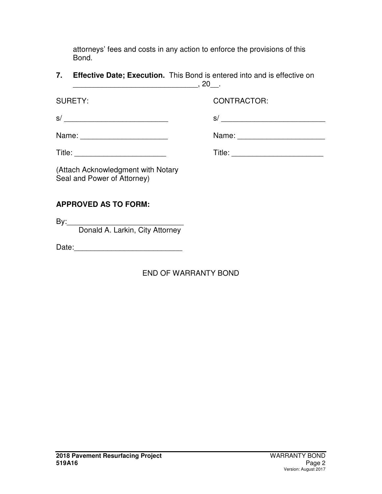attorneys' fees and costs in any action to enforce the provisions of this Bond.

**7. Effective Date; Execution.** This Bond is entered into and is effective on \_\_\_\_\_\_\_\_\_\_\_\_\_\_\_\_\_\_\_\_\_\_\_\_\_\_\_\_\_\_, 20\_\_.

SURFTY: CONTRACTOR:

s/ \_\_\_\_\_\_\_\_\_\_\_\_\_\_\_\_\_\_\_\_\_\_\_\_\_ s/ \_\_\_\_\_\_\_\_\_\_\_\_\_\_\_\_\_\_\_\_\_\_\_\_\_

| Name: |  |
|-------|--|
|-------|--|

Title: \_\_\_\_\_\_\_\_\_\_\_\_\_\_\_\_\_\_\_\_\_\_ Title: \_\_\_\_\_\_\_\_\_\_\_\_\_\_\_\_\_\_\_\_\_\_

Name:  $\Box$ 

(Attach Acknowledgment with Notary Seal and Power of Attorney)

# **APPROVED AS TO FORM:**

By:\_\_\_\_\_\_\_\_\_\_\_\_\_\_\_\_\_\_\_\_\_\_\_\_\_\_\_\_

Donald A. Larkin, City Attorney

Date:

# END OF WARRANTY BOND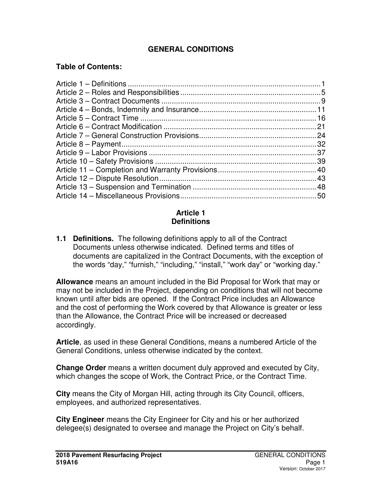# **GENERAL CONDITIONS**

### **Table of Contents:**

#### **Article 1 Definitions**

**1.1 Definitions.** The following definitions apply to all of the Contract Documents unless otherwise indicated. Defined terms and titles of documents are capitalized in the Contract Documents, with the exception of the words "day," "furnish," "including," "install," "work day" or "working day."

**Allowance** means an amount included in the Bid Proposal for Work that may or may not be included in the Project, depending on conditions that will not become known until after bids are opened. If the Contract Price includes an Allowance and the cost of performing the Work covered by that Allowance is greater or less than the Allowance, the Contract Price will be increased or decreased accordingly.

**Article**, as used in these General Conditions, means a numbered Article of the General Conditions, unless otherwise indicated by the context.

**Change Order** means a written document duly approved and executed by City, which changes the scope of Work, the Contract Price, or the Contract Time.

**City** means the City of Morgan Hill, acting through its City Council, officers, employees, and authorized representatives.

**City Engineer** means the City Engineer for City and his or her authorized delegee(s) designated to oversee and manage the Project on City's behalf.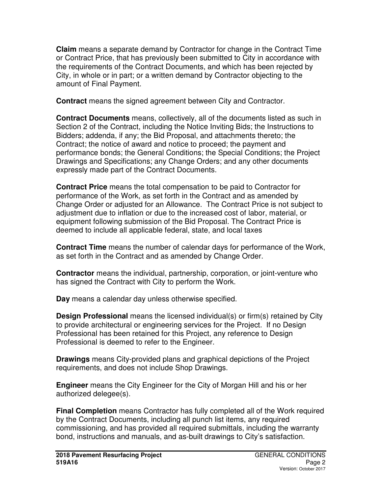**Claim** means a separate demand by Contractor for change in the Contract Time or Contract Price, that has previously been submitted to City in accordance with the requirements of the Contract Documents, and which has been rejected by City, in whole or in part; or a written demand by Contractor objecting to the amount of Final Payment.

**Contract** means the signed agreement between City and Contractor.

**Contract Documents** means, collectively, all of the documents listed as such in Section 2 of the Contract, including the Notice Inviting Bids; the Instructions to Bidders; addenda, if any; the Bid Proposal, and attachments thereto; the Contract; the notice of award and notice to proceed; the payment and performance bonds; the General Conditions; the Special Conditions; the Project Drawings and Specifications; any Change Orders; and any other documents expressly made part of the Contract Documents.

**Contract Price** means the total compensation to be paid to Contractor for performance of the Work, as set forth in the Contract and as amended by Change Order or adjusted for an Allowance. The Contract Price is not subject to adjustment due to inflation or due to the increased cost of labor, material, or equipment following submission of the Bid Proposal. The Contract Price is deemed to include all applicable federal, state, and local taxes

**Contract Time** means the number of calendar days for performance of the Work, as set forth in the Contract and as amended by Change Order.

**Contractor** means the individual, partnership, corporation, or joint-venture who has signed the Contract with City to perform the Work.

**Day** means a calendar day unless otherwise specified.

**Design Professional** means the licensed individual(s) or firm(s) retained by City to provide architectural or engineering services for the Project. If no Design Professional has been retained for this Project, any reference to Design Professional is deemed to refer to the Engineer.

**Drawings** means City-provided plans and graphical depictions of the Project requirements, and does not include Shop Drawings.

**Engineer** means the City Engineer for the City of Morgan Hill and his or her authorized delegee(s).

**Final Completion** means Contractor has fully completed all of the Work required by the Contract Documents, including all punch list items, any required commissioning, and has provided all required submittals, including the warranty bond, instructions and manuals, and as-built drawings to City's satisfaction.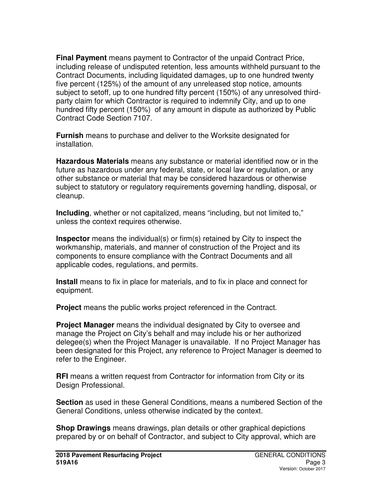**Final Payment** means payment to Contractor of the unpaid Contract Price, including release of undisputed retention, less amounts withheld pursuant to the Contract Documents, including liquidated damages, up to one hundred twenty five percent (125%) of the amount of any unreleased stop notice, amounts subject to setoff, up to one hundred fifty percent (150%) of any unresolved thirdparty claim for which Contractor is required to indemnify City, and up to one hundred fifty percent (150%) of any amount in dispute as authorized by Public Contract Code Section 7107.

**Furnish** means to purchase and deliver to the Worksite designated for installation.

**Hazardous Materials** means any substance or material identified now or in the future as hazardous under any federal, state, or local law or regulation, or any other substance or material that may be considered hazardous or otherwise subject to statutory or regulatory requirements governing handling, disposal, or cleanup.

**Including**, whether or not capitalized, means "including, but not limited to," unless the context requires otherwise.

**Inspector** means the individual(s) or firm(s) retained by City to inspect the workmanship, materials, and manner of construction of the Project and its components to ensure compliance with the Contract Documents and all applicable codes, regulations, and permits.

**Install** means to fix in place for materials, and to fix in place and connect for equipment.

**Project** means the public works project referenced in the Contract.

**Project Manager** means the individual designated by City to oversee and manage the Project on City's behalf and may include his or her authorized delegee(s) when the Project Manager is unavailable. If no Project Manager has been designated for this Project, any reference to Project Manager is deemed to refer to the Engineer.

**RFI** means a written request from Contractor for information from City or its Design Professional.

**Section** as used in these General Conditions, means a numbered Section of the General Conditions, unless otherwise indicated by the context.

**Shop Drawings** means drawings, plan details or other graphical depictions prepared by or on behalf of Contractor, and subject to City approval, which are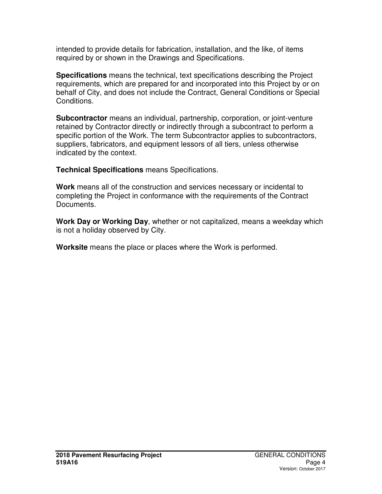intended to provide details for fabrication, installation, and the like, of items required by or shown in the Drawings and Specifications.

**Specifications** means the technical, text specifications describing the Project requirements, which are prepared for and incorporated into this Project by or on behalf of City, and does not include the Contract, General Conditions or Special Conditions.

**Subcontractor** means an individual, partnership, corporation, or joint-venture retained by Contractor directly or indirectly through a subcontract to perform a specific portion of the Work. The term Subcontractor applies to subcontractors, suppliers, fabricators, and equipment lessors of all tiers, unless otherwise indicated by the context.

**Technical Specifications** means Specifications.

**Work** means all of the construction and services necessary or incidental to completing the Project in conformance with the requirements of the Contract Documents.

**Work Day or Working Day**, whether or not capitalized, means a weekday which is not a holiday observed by City.

**Worksite** means the place or places where the Work is performed.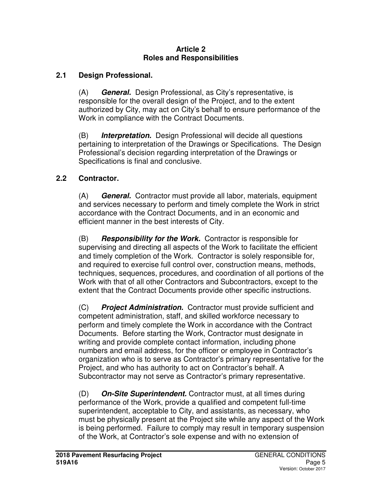#### **Article 2 Roles and Responsibilities**

### **2.1 Design Professional.**

(A) **General.**Design Professional, as City's representative, is responsible for the overall design of the Project, and to the extent authorized by City, may act on City's behalf to ensure performance of the Work in compliance with the Contract Documents.

(B) **Interpretation.**Design Professional will decide all questions pertaining to interpretation of the Drawings or Specifications. The Design Professional's decision regarding interpretation of the Drawings or Specifications is final and conclusive.

### **2.2 Contractor.**

(A) **General.**Contractor must provide all labor, materials, equipment and services necessary to perform and timely complete the Work in strict accordance with the Contract Documents, and in an economic and efficient manner in the best interests of City.

(B) **Responsibility for the Work.**Contractor is responsible for supervising and directing all aspects of the Work to facilitate the efficient and timely completion of the Work. Contractor is solely responsible for, and required to exercise full control over, construction means, methods, techniques, sequences, procedures, and coordination of all portions of the Work with that of all other Contractors and Subcontractors, except to the extent that the Contract Documents provide other specific instructions.

(C) **Project Administration.**Contractor must provide sufficient and competent administration, staff, and skilled workforce necessary to perform and timely complete the Work in accordance with the Contract Documents. Before starting the Work, Contractor must designate in writing and provide complete contact information, including phone numbers and email address, for the officer or employee in Contractor's organization who is to serve as Contractor's primary representative for the Project, and who has authority to act on Contractor's behalf. A Subcontractor may not serve as Contractor's primary representative.

(D) **On-Site Superintendent.** Contractor must, at all times during performance of the Work, provide a qualified and competent full-time superintendent, acceptable to City, and assistants, as necessary, who must be physically present at the Project site while any aspect of the Work is being performed. Failure to comply may result in temporary suspension of the Work, at Contractor's sole expense and with no extension of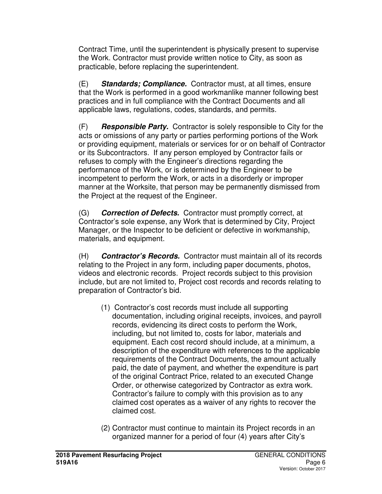Contract Time, until the superintendent is physically present to supervise the Work. Contractor must provide written notice to City, as soon as practicable, before replacing the superintendent.

(E) **Standards; Compliance.**Contractor must, at all times, ensure that the Work is performed in a good workmanlike manner following best practices and in full compliance with the Contract Documents and all applicable laws, regulations, codes, standards, and permits.

(F) **Responsible Party.** Contractor is solely responsible to City for the acts or omissions of any party or parties performing portions of the Work or providing equipment, materials or services for or on behalf of Contractor or its Subcontractors. If any person employed by Contractor fails or refuses to comply with the Engineer's directions regarding the performance of the Work, or is determined by the Engineer to be incompetent to perform the Work, or acts in a disorderly or improper manner at the Worksite, that person may be permanently dismissed from the Project at the request of the Engineer.

(G) **Correction of Defects.**Contractor must promptly correct, at Contractor's sole expense, any Work that is determined by City, Project Manager, or the Inspector to be deficient or defective in workmanship, materials, and equipment.

(H) **Contractor's Records.**Contractor must maintain all of its records relating to the Project in any form, including paper documents, photos, videos and electronic records. Project records subject to this provision include, but are not limited to, Project cost records and records relating to preparation of Contractor's bid.

- (1) Contractor's cost records must include all supporting documentation, including original receipts, invoices, and payroll records, evidencing its direct costs to perform the Work, including, but not limited to, costs for labor, materials and equipment. Each cost record should include, at a minimum, a description of the expenditure with references to the applicable requirements of the Contract Documents, the amount actually paid, the date of payment, and whether the expenditure is part of the original Contract Price, related to an executed Change Order, or otherwise categorized by Contractor as extra work. Contractor's failure to comply with this provision as to any claimed cost operates as a waiver of any rights to recover the claimed cost.
- (2) Contractor must continue to maintain its Project records in an organized manner for a period of four (4) years after City's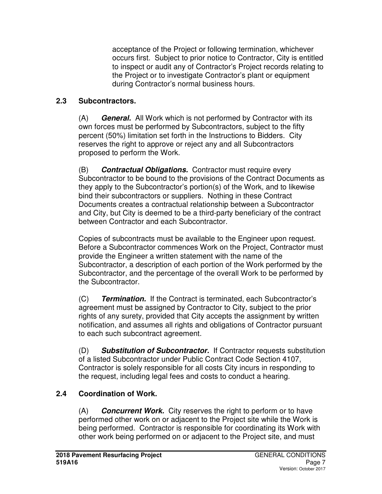acceptance of the Project or following termination, whichever occurs first. Subject to prior notice to Contractor, City is entitled to inspect or audit any of Contractor's Project records relating to the Project or to investigate Contractor's plant or equipment during Contractor's normal business hours.

## **2.3 Subcontractors.**

(A) **General.**All Work which is not performed by Contractor with its own forces must be performed by Subcontractors, subject to the fifty percent (50%) limitation set forth in the Instructions to Bidders. City reserves the right to approve or reject any and all Subcontractors proposed to perform the Work.

(B) **Contractual Obligations.**Contractor must require every Subcontractor to be bound to the provisions of the Contract Documents as they apply to the Subcontractor's portion(s) of the Work, and to likewise bind their subcontractors or suppliers. Nothing in these Contract Documents creates a contractual relationship between a Subcontractor and City, but City is deemed to be a third-party beneficiary of the contract between Contractor and each Subcontractor.

Copies of subcontracts must be available to the Engineer upon request. Before a Subcontractor commences Work on the Project, Contractor must provide the Engineer a written statement with the name of the Subcontractor, a description of each portion of the Work performed by the Subcontractor, and the percentage of the overall Work to be performed by the Subcontractor.

(C) **Termination.**If the Contract is terminated, each Subcontractor's agreement must be assigned by Contractor to City, subject to the prior rights of any surety, provided that City accepts the assignment by written notification, and assumes all rights and obligations of Contractor pursuant to each such subcontract agreement.

(D) **Substitution of Subcontractor.** If Contractor requests substitution of a listed Subcontractor under Public Contract Code Section 4107, Contractor is solely responsible for all costs City incurs in responding to the request, including legal fees and costs to conduct a hearing.

# **2.4 Coordination of Work.**

(A) **Concurrent Work.**City reserves the right to perform or to have performed other work on or adjacent to the Project site while the Work is being performed. Contractor is responsible for coordinating its Work with other work being performed on or adjacent to the Project site, and must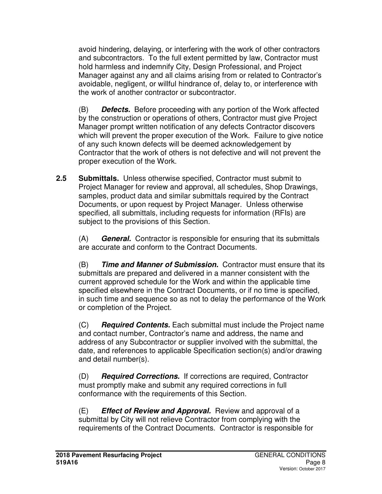avoid hindering, delaying, or interfering with the work of other contractors and subcontractors. To the full extent permitted by law, Contractor must hold harmless and indemnify City, Design Professional, and Project Manager against any and all claims arising from or related to Contractor's avoidable, negligent, or willful hindrance of, delay to, or interference with the work of another contractor or subcontractor.

(B) **Defects.** Before proceeding with any portion of the Work affected by the construction or operations of others, Contractor must give Project Manager prompt written notification of any defects Contractor discovers which will prevent the proper execution of the Work. Failure to give notice of any such known defects will be deemed acknowledgement by Contractor that the work of others is not defective and will not prevent the proper execution of the Work.

**2.5 Submittals.** Unless otherwise specified, Contractor must submit to Project Manager for review and approval, all schedules, Shop Drawings, samples, product data and similar submittals required by the Contract Documents, or upon request by Project Manager. Unless otherwise specified, all submittals, including requests for information (RFIs) are subject to the provisions of this Section.

(A) **General.**Contractor is responsible for ensuring that its submittals are accurate and conform to the Contract Documents.

(B) **Time and Manner of Submission.**Contractor must ensure that its submittals are prepared and delivered in a manner consistent with the current approved schedule for the Work and within the applicable time specified elsewhere in the Contract Documents, or if no time is specified, in such time and sequence so as not to delay the performance of the Work or completion of the Project.

(C) **Required Contents.** Each submittal must include the Project name and contact number, Contractor's name and address, the name and address of any Subcontractor or supplier involved with the submittal, the date, and references to applicable Specification section(s) and/or drawing and detail number(s).

(D) **Required Corrections.**If corrections are required, Contractor must promptly make and submit any required corrections in full conformance with the requirements of this Section.

(E) **Effect of Review and Approval.** Review and approval of a submittal by City will not relieve Contractor from complying with the requirements of the Contract Documents. Contractor is responsible for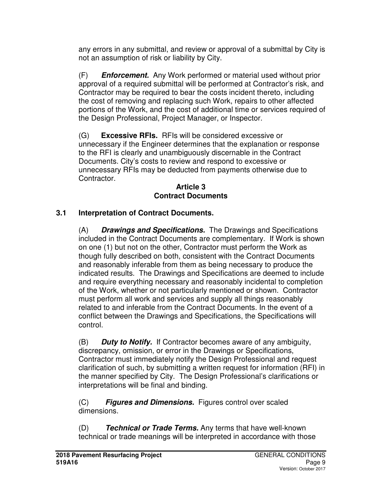any errors in any submittal, and review or approval of a submittal by City is not an assumption of risk or liability by City.

(F) **Enforcement.**Any Work performed or material used without prior approval of a required submittal will be performed at Contractor's risk, and Contractor may be required to bear the costs incident thereto, including the cost of removing and replacing such Work, repairs to other affected portions of the Work, and the cost of additional time or services required of the Design Professional, Project Manager, or Inspector.

(G) **Excessive RFIs.** RFIs will be considered excessive or unnecessary if the Engineer determines that the explanation or response to the RFI is clearly and unambiguously discernable in the Contract Documents. City's costs to review and respond to excessive or unnecessary RFIs may be deducted from payments otherwise due to Contractor.

#### **Article 3 Contract Documents**

## **3.1 Interpretation of Contract Documents.**

(A) **Drawings and Specifications.** The Drawings and Specifications included in the Contract Documents are complementary. If Work is shown on one (1) but not on the other, Contractor must perform the Work as though fully described on both, consistent with the Contract Documents and reasonably inferable from them as being necessary to produce the indicated results. The Drawings and Specifications are deemed to include and require everything necessary and reasonably incidental to completion of the Work, whether or not particularly mentioned or shown. Contractor must perform all work and services and supply all things reasonably related to and inferable from the Contract Documents. In the event of a conflict between the Drawings and Specifications, the Specifications will control.

(B) **Duty to Notify.**If Contractor becomes aware of any ambiguity, discrepancy, omission, or error in the Drawings or Specifications, Contractor must immediately notify the Design Professional and request clarification of such, by submitting a written request for information (RFI) in the manner specified by City. The Design Professional's clarifications or interpretations will be final and binding.

(C) **Figures and Dimensions.**Figures control over scaled dimensions.

(D) **Technical or Trade Terms.** Any terms that have well-known technical or trade meanings will be interpreted in accordance with those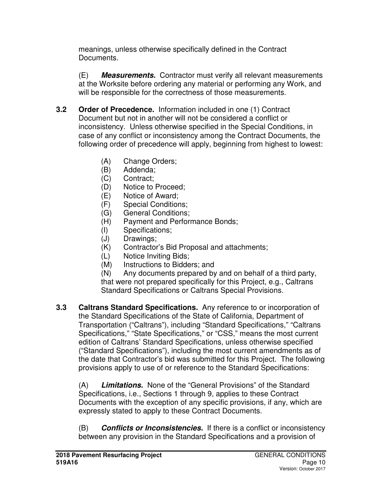meanings, unless otherwise specifically defined in the Contract Documents.

(E) **Measurements.**Contractor must verify all relevant measurements at the Worksite before ordering any material or performing any Work, and will be responsible for the correctness of those measurements.

- **3.2 Order of Precedence.** Information included in one (1) Contract Document but not in another will not be considered a conflict or inconsistency. Unless otherwise specified in the Special Conditions, in case of any conflict or inconsistency among the Contract Documents, the following order of precedence will apply, beginning from highest to lowest:
	- (A) Change Orders;
	- (B) Addenda;
	- (C) Contract;
	- (D) Notice to Proceed;
	- (E) Notice of Award;
	- (F) Special Conditions;
	- (G) General Conditions;
	- (H) Payment and Performance Bonds;
	- (I) Specifications;
	- (J) Drawings;
	- (K) Contractor's Bid Proposal and attachments;
	- (L) Notice Inviting Bids;
	- (M) Instructions to Bidders; and

(N) Any documents prepared by and on behalf of a third party, that were not prepared specifically for this Project, e.g., Caltrans Standard Specifications or Caltrans Special Provisions.

**3.3 Caltrans Standard Specifications.** Any reference to or incorporation of the Standard Specifications of the State of California, Department of Transportation ("Caltrans"), including "Standard Specifications," "Caltrans Specifications," "State Specifications," or "CSS," means the most current edition of Caltrans' Standard Specifications, unless otherwise specified ("Standard Specifications"), including the most current amendments as of the date that Contractor's bid was submitted for this Project. The following provisions apply to use of or reference to the Standard Specifications:

(A) **Limitations.**None of the "General Provisions" of the Standard Specifications, i.e., Sections 1 through 9, applies to these Contract Documents with the exception of any specific provisions, if any, which are expressly stated to apply to these Contract Documents.

(B) **Conflicts or Inconsistencies.**If there is a conflict or inconsistency between any provision in the Standard Specifications and a provision of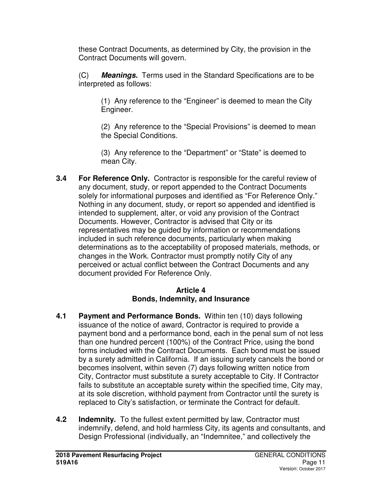these Contract Documents, as determined by City, the provision in the Contract Documents will govern.

(C) **Meanings.**Terms used in the Standard Specifications are to be interpreted as follows:

(1) Any reference to the "Engineer" is deemed to mean the City Engineer.

(2) Any reference to the "Special Provisions" is deemed to mean the Special Conditions.

(3) Any reference to the "Department" or "State" is deemed to mean City.

**3.4 For Reference Only.** Contractor is responsible for the careful review of any document, study, or report appended to the Contract Documents solely for informational purposes and identified as "For Reference Only." Nothing in any document, study, or report so appended and identified is intended to supplement, alter, or void any provision of the Contract Documents. However, Contractor is advised that City or its representatives may be guided by information or recommendations included in such reference documents, particularly when making determinations as to the acceptability of proposed materials, methods, or changes in the Work. Contractor must promptly notify City of any perceived or actual conflict between the Contract Documents and any document provided For Reference Only.

### **Article 4 Bonds, Indemnity, and Insurance**

- **4.1 Payment and Performance Bonds.** Within ten (10) days following issuance of the notice of award, Contractor is required to provide a payment bond and a performance bond, each in the penal sum of not less than one hundred percent (100%) of the Contract Price, using the bond forms included with the Contract Documents.Each bond must be issued by a surety admitted in California. If an issuing surety cancels the bond or becomes insolvent, within seven (7) days following written notice from City, Contractor must substitute a surety acceptable to City. If Contractor fails to substitute an acceptable surety within the specified time, City may, at its sole discretion, withhold payment from Contractor until the surety is replaced to City's satisfaction, or terminate the Contract for default.
- **4.2 Indemnity.** To the fullest extent permitted by law, Contractor must indemnify, defend, and hold harmless City, its agents and consultants, and Design Professional (individually, an "Indemnitee," and collectively the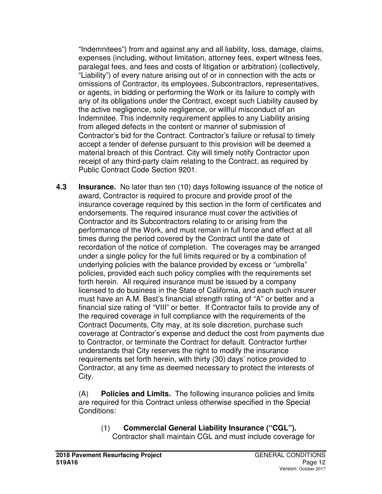"Indemnitees") from and against any and all liability, loss, damage, claims, expenses (including, without limitation, attorney fees, expert witness fees, paralegal fees, and fees and costs of litigation or arbitration) (collectively, "Liability") of every nature arising out of or in connection with the acts or omissions of Contractor, its employees, Subcontractors, representatives, or agents, in bidding or performing the Work or its failure to comply with any of its obligations under the Contract, except such Liability caused by the active negligence, sole negligence, or willful misconduct of an Indemnitee. This indemnity requirement applies to any Liability arising from alleged defects in the content or manner of submission of Contractor's bid for the Contract. Contractor's failure or refusal to timely accept a tender of defense pursuant to this provision will be deemed a material breach of this Contract. City will timely notify Contractor upon receipt of any third-party claim relating to the Contract, as required by Public Contract Code Section 9201.

**4.3 Insurance.** No later than ten (10) days following issuance of the notice of award, Contractor is required to procure and provide proof of the insurance coverage required by this section in the form of certificates and endorsements. The required insurance must cover the activities of Contractor and its Subcontractors relating to or arising from the performance of the Work, and must remain in full force and effect at all times during the period covered by the Contract until the date of recordation of the notice of completion. The coverages may be arranged under a single policy for the full limits required or by a combination of underlying policies with the balance provided by excess or "umbrella" policies, provided each such policy complies with the requirements set forth herein. All required insurance must be issued by a company licensed to do business in the State of California, and each such insurer must have an A.M. Best's financial strength rating of "A" or better and a financial size rating of "VIII" or better. If Contractor fails to provide any of the required coverage in full compliance with the requirements of the Contract Documents, City may, at its sole discretion, purchase such coverage at Contractor's expense and deduct the cost from payments due to Contractor, or terminate the Contract for default. Contractor further understands that City reserves the right to modify the insurance requirements set forth herein, with thirty (30) days' notice provided to Contractor, at any time as deemed necessary to protect the interests of City.

(A) **Policies and Limits.**The following insurance policies and limits are required for this Contract unless otherwise specified in the Special Conditions:

(1) **Commercial General Liability Insurance ("CGL").** Contractor shall maintain CGL and must include coverage for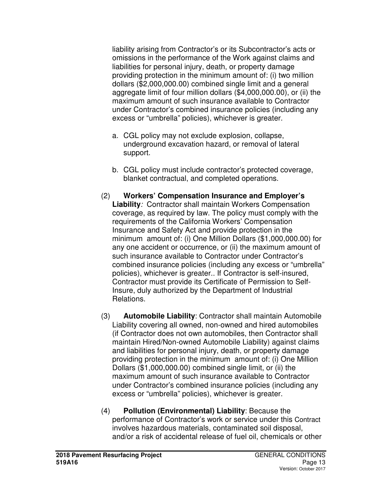liability arising from Contractor's or its Subcontractor's acts or omissions in the performance of the Work against claims and liabilities for personal injury, death, or property damage providing protection in the minimum amount of: (i) two million dollars (\$2,000,000.00) combined single limit and a general aggregate limit of four million dollars (\$4,000,000.00), or (ii) the maximum amount of such insurance available to Contractor under Contractor's combined insurance policies (including any excess or "umbrella" policies), whichever is greater.

- a. CGL policy may not exclude explosion, collapse, underground excavation hazard, or removal of lateral support.
- b. CGL policy must include contractor's protected coverage, blanket contractual, and completed operations.
- (2) **Workers' Compensation Insurance and Employer's Liability***:* Contractor shall maintain Workers Compensation coverage, as required by law. The policy must comply with the requirements of the California Workers' Compensation Insurance and Safety Act and provide protection in the minimum amount of: (i) One Million Dollars (\$1,000,000.00) for any one accident or occurrence, or (ii) the maximum amount of such insurance available to Contractor under Contractor's combined insurance policies (including any excess or "umbrella" policies), whichever is greater.. If Contractor is self-insured, Contractor must provide its Certificate of Permission to Self-Insure, duly authorized by the Department of Industrial Relations.
- (3) **Automobile Liability**: Contractor shall maintain Automobile Liability covering all owned, non-owned and hired automobiles (if Contractor does not own automobiles, then Contractor shall maintain Hired/Non-owned Automobile Liability) against claims and liabilities for personal injury, death, or property damage providing protection in the minimum amount of: (i) One Million Dollars (\$1,000,000.00) combined single limit, or (ii) the maximum amount of such insurance available to Contractor under Contractor's combined insurance policies (including any excess or "umbrella" policies), whichever is greater.
- (4) **Pollution (Environmental) Liability**: Because the performance of Contractor's work or service under this Contract involves hazardous materials, contaminated soil disposal, and/or a risk of accidental release of fuel oil, chemicals or other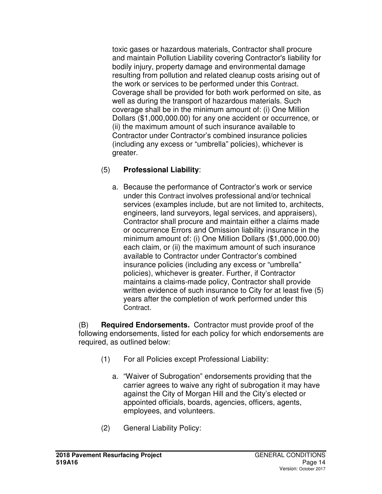toxic gases or hazardous materials, Contractor shall procure and maintain Pollution Liability covering Contractor's liability for bodily injury, property damage and environmental damage resulting from pollution and related cleanup costs arising out of the work or services to be performed under this Contract. Coverage shall be provided for both work performed on site, as well as during the transport of hazardous materials. Such coverage shall be in the minimum amount of: (i) One Million Dollars (\$1,000,000.00) for any one accident or occurrence, or (ii) the maximum amount of such insurance available to Contractor under Contractor's combined insurance policies (including any excess or "umbrella" policies), whichever is greater.

## (5) **Professional Liability**:

a. Because the performance of Contractor's work or service under this Contract involves professional and/or technical services (examples include, but are not limited to, architects, engineers, land surveyors, legal services, and appraisers), Contractor shall procure and maintain either a claims made or occurrence Errors and Omission liability insurance in the minimum amount of: (i) One Million Dollars (\$1,000,000.00) each claim, or (ii) the maximum amount of such insurance available to Contractor under Contractor's combined insurance policies (including any excess or "umbrella" policies), whichever is greater. Further, if Contractor maintains a claims-made policy, Contractor shall provide written evidence of such insurance to City for at least five (5) years after the completion of work performed under this Contract.

(B) **Required Endorsements.** Contractor must provide proof of the following endorsements, listed for each policy for which endorsements are required, as outlined below:

- (1) For all Policies except Professional Liability:
	- a. "Waiver of Subrogation" endorsements providing that the carrier agrees to waive any right of subrogation it may have against the City of Morgan Hill and the City's elected or appointed officials, boards, agencies, officers, agents, employees, and volunteers.
- (2) General Liability Policy: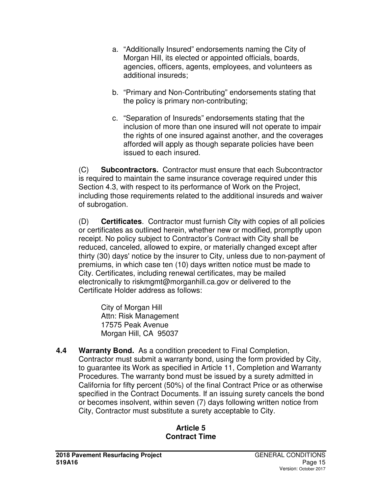- a. "Additionally Insured" endorsements naming the City of Morgan Hill, its elected or appointed officials, boards, agencies, officers, agents, employees, and volunteers as additional insureds;
- b. "Primary and Non-Contributing" endorsements stating that the policy is primary non-contributing;
- c. "Separation of Insureds" endorsements stating that the inclusion of more than one insured will not operate to impair the rights of one insured against another, and the coverages afforded will apply as though separate policies have been issued to each insured.

(C) **Subcontractors.**Contractor must ensure that each Subcontractor is required to maintain the same insurance coverage required under this Section 4.3, with respect to its performance of Work on the Project, including those requirements related to the additional insureds and waiver of subrogation.

(D) **Certificates**. Contractor must furnish City with copies of all policies or certificates as outlined herein, whether new or modified, promptly upon receipt. No policy subject to Contractor's Contract with City shall be reduced, canceled, allowed to expire, or materially changed except after thirty (30) days' notice by the insurer to City, unless due to non-payment of premiums, in which case ten (10) days written notice must be made to City. Certificates, including renewal certificates, may be mailed electronically to riskmgmt@morganhill.ca.gov or delivered to the Certificate Holder address as follows:

City of Morgan Hill Attn: Risk Management 17575 Peak Avenue Morgan Hill, CA 95037

**4.4 Warranty Bond.** As a condition precedent to Final Completion, Contractor must submit a warranty bond, using the form provided by City, to guarantee its Work as specified in Article 11, Completion and Warranty Procedures. The warranty bond must be issued by a surety admitted in California for fifty percent (50%) of the final Contract Price or as otherwise specified in the Contract Documents. If an issuing surety cancels the bond or becomes insolvent, within seven (7) days following written notice from City, Contractor must substitute a surety acceptable to City.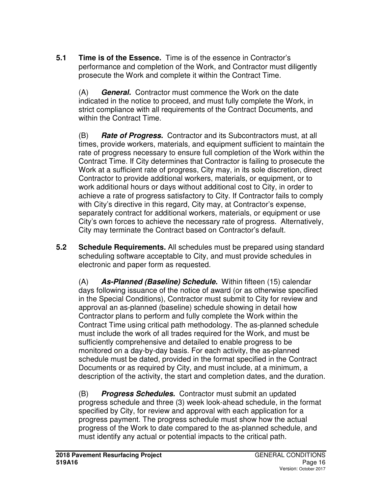**5.1 Time is of the Essence.** Time is of the essence in Contractor's performance and completion of the Work, and Contractor must diligently prosecute the Work and complete it within the Contract Time.

(A) **General.**Contractor must commence the Work on the date indicated in the notice to proceed, and must fully complete the Work, in strict compliance with all requirements of the Contract Documents, and within the Contract Time.

(B) **Rate of Progress.**Contractor and its Subcontractors must, at all times, provide workers, materials, and equipment sufficient to maintain the rate of progress necessary to ensure full completion of the Work within the Contract Time. If City determines that Contractor is failing to prosecute the Work at a sufficient rate of progress, City may, in its sole discretion, direct Contractor to provide additional workers, materials, or equipment, or to work additional hours or days without additional cost to City, in order to achieve a rate of progress satisfactory to City. If Contractor fails to comply with City's directive in this regard, City may, at Contractor's expense, separately contract for additional workers, materials, or equipment or use City's own forces to achieve the necessary rate of progress. Alternatively, City may terminate the Contract based on Contractor's default.

**5.2 Schedule Requirements.** All schedules must be prepared using standard scheduling software acceptable to City, and must provide schedules in electronic and paper form as requested.

(A) **As-Planned (Baseline) Schedule.**Within fifteen (15) calendar days following issuance of the notice of award (or as otherwise specified in the Special Conditions), Contractor must submit to City for review and approval an as-planned (baseline) schedule showing in detail how Contractor plans to perform and fully complete the Work within the Contract Time using critical path methodology. The as-planned schedule must include the work of all trades required for the Work, and must be sufficiently comprehensive and detailed to enable progress to be monitored on a day-by-day basis. For each activity, the as-planned schedule must be dated, provided in the format specified in the Contract Documents or as required by City, and must include, at a minimum, a description of the activity, the start and completion dates, and the duration.

(B) **Progress Schedules.**Contractor must submit an updated progress schedule and three (3) week look-ahead schedule, in the format specified by City, for review and approval with each application for a progress payment. The progress schedule must show how the actual progress of the Work to date compared to the as-planned schedule, and must identify any actual or potential impacts to the critical path.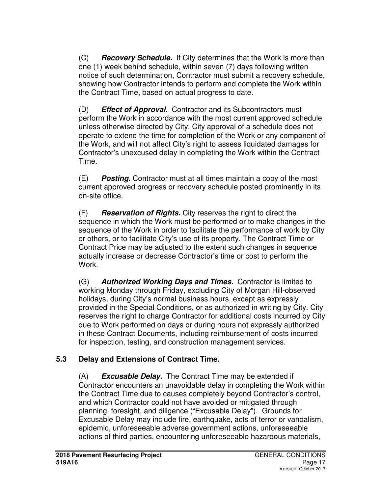(C) **Recovery Schedule.** If City determines that the Work is more than one (1) week behind schedule, within seven (7) days following written notice of such determination, Contractor must submit a recovery schedule, showing how Contractor intends to perform and complete the Work within the Contract Time, based on actual progress to date.

(D) **Effect of Approval.**Contractor and its Subcontractors must perform the Work in accordance with the most current approved schedule unless otherwise directed by City. City approval of a schedule does not operate to extend the time for completion of the Work or any component of the Work, and will not affect City's right to assess liquidated damages for Contractor's unexcused delay in completing the Work within the Contract Time.

(E) **Posting.** Contractor must at all times maintain a copy of the most current approved progress or recovery schedule posted prominently in its on-site office.

(F) **Reservation of Rights.** City reserves the right to direct the sequence in which the Work must be performed or to make changes in the sequence of the Work in order to facilitate the performance of work by City or others, or to facilitate City's use of its property. The Contract Time or Contract Price may be adjusted to the extent such changes in sequence actually increase or decrease Contractor's time or cost to perform the Work.

(G) **Authorized Working Days and Times.**Contractor is limited to working Monday through Friday, excluding City of Morgan Hill-observed holidays, during City's normal business hours, except as expressly provided in the Special Conditions, or as authorized in writing by City. City reserves the right to charge Contractor for additional costs incurred by City due to Work performed on days or during hours not expressly authorized in these Contract Documents, including reimbursement of costs incurred for inspection, testing, and construction management services.

## **5.3 Delay and Extensions of Contract Time.**

(A) **Excusable Delay.**The Contract Time may be extended if Contractor encounters an unavoidable delay in completing the Work within the Contract Time due to causes completely beyond Contractor's control, and which Contractor could not have avoided or mitigated through planning, foresight, and diligence ("Excusable Delay"). Grounds for Excusable Delay may include fire, earthquake, acts of terror or vandalism, epidemic, unforeseeable adverse government actions, unforeseeable actions of third parties, encountering unforeseeable hazardous materials,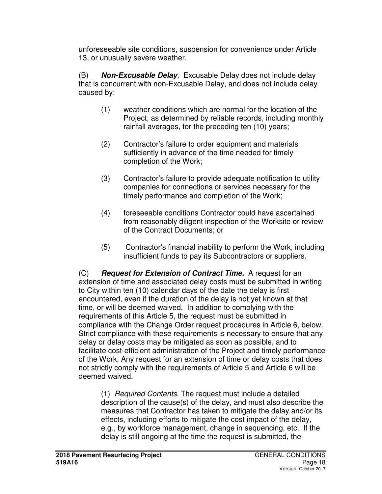unforeseeable site conditions, suspension for convenience under Article 13, or unusually severe weather.

(B) **Non-Excusable Delay***.* Excusable Delay does not include delay that is concurrent with non-Excusable Delay, and does not include delay caused by:

- (1) weather conditions which are normal for the location of the Project, as determined by reliable records, including monthly rainfall averages, for the preceding ten (10) years;
- (2) Contractor's failure to order equipment and materials sufficiently in advance of the time needed for timely completion of the Work;
- (3) Contractor's failure to provide adequate notification to utility companies for connections or services necessary for the timely performance and completion of the Work;
- (4) foreseeable conditions Contractor could have ascertained from reasonably diligent inspection of the Worksite or review of the Contract Documents; or
- (5) Contractor's financial inability to perform the Work, including insufficient funds to pay its Subcontractors or suppliers.

(C) **Request for Extension of Contract Time.**A request for an extension of time and associated delay costs must be submitted in writing to City within ten (10) calendar days of the date the delay is first encountered, even if the duration of the delay is not yet known at that time, or will be deemed waived. In addition to complying with the requirements of this Article 5, the request must be submitted in compliance with the Change Order request procedures in Article 6, below. Strict compliance with these requirements is necessary to ensure that any delay or delay costs may be mitigated as soon as possible, and to facilitate cost-efficient administration of the Project and timely performance of the Work. Any request for an extension of time or delay costs that does not strictly comply with the requirements of Article 5 and Article 6 will be deemed waived.

(1) *Required Contents.* The request must include a detailed description of the cause(s) of the delay, and must also describe the measures that Contractor has taken to mitigate the delay and/or its effects, including efforts to mitigate the cost impact of the delay, e.g., by workforce management, change in sequencing, etc. If the delay is still ongoing at the time the request is submitted, the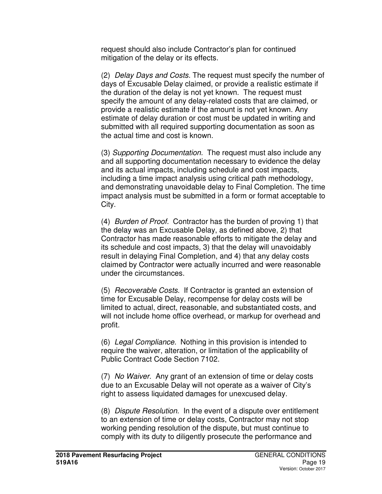request should also include Contractor's plan for continued mitigation of the delay or its effects.

(2) *Delay Days and Costs.* The request must specify the number of days of Excusable Delay claimed, or provide a realistic estimate if the duration of the delay is not yet known. The request must specify the amount of any delay-related costs that are claimed, or provide a realistic estimate if the amount is not yet known. Any estimate of delay duration or cost must be updated in writing and submitted with all required supporting documentation as soon as the actual time and cost is known.

(3) *Supporting Documentation.* The request must also include any and all supporting documentation necessary to evidence the delay and its actual impacts, including schedule and cost impacts, including a time impact analysis using critical path methodology, and demonstrating unavoidable delay to Final Completion. The time impact analysis must be submitted in a form or format acceptable to City.

(4) *Burden of Proof.* Contractor has the burden of proving 1) that the delay was an Excusable Delay, as defined above, 2) that Contractor has made reasonable efforts to mitigate the delay and its schedule and cost impacts, 3) that the delay will unavoidably result in delaying Final Completion, and 4) that any delay costs claimed by Contractor were actually incurred and were reasonable under the circumstances.

(5) *Recoverable Costs.* If Contractor is granted an extension of time for Excusable Delay, recompense for delay costs will be limited to actual, direct, reasonable, and substantiated costs, and will not include home office overhead, or markup for overhead and profit.

(6) *Legal Compliance.* Nothing in this provision is intended to require the waiver, alteration, or limitation of the applicability of Public Contract Code Section 7102.

(7) *No Waiver.* Any grant of an extension of time or delay costs due to an Excusable Delay will not operate as a waiver of City's right to assess liquidated damages for unexcused delay.

(8) *Dispute Resolution.* In the event of a dispute over entitlement to an extension of time or delay costs, Contractor may not stop working pending resolution of the dispute, but must continue to comply with its duty to diligently prosecute the performance and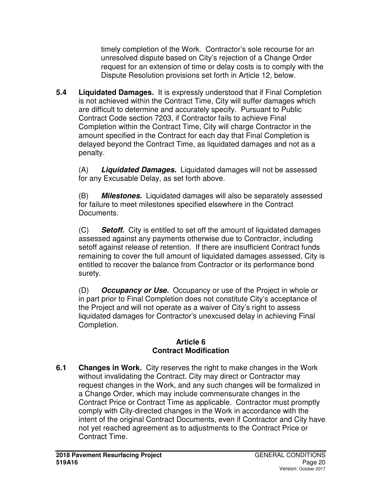timely completion of the Work. Contractor's sole recourse for an unresolved dispute based on City's rejection of a Change Order request for an extension of time or delay costs is to comply with the Dispute Resolution provisions set forth in Article 12, below.

**5.4 Liquidated Damages.** It is expressly understood that if Final Completion is not achieved within the Contract Time, City will suffer damages which are difficult to determine and accurately specify. Pursuant to Public Contract Code section 7203, if Contractor fails to achieve Final Completion within the Contract Time, City will charge Contractor in the amount specified in the Contract for each day that Final Completion is delayed beyond the Contract Time, as liquidated damages and not as a penalty.

(A) **Liquidated Damages.** Liquidated damages will not be assessed for any Excusable Delay, as set forth above.

(B) **Milestones.** Liquidated damages will also be separately assessed for failure to meet milestones specified elsewhere in the Contract Documents.

(C) **Setoff.** City is entitled to set off the amount of liquidated damages assessed against any payments otherwise due to Contractor, including setoff against release of retention. If there are insufficient Contract funds remaining to cover the full amount of liquidated damages assessed, City is entitled to recover the balance from Contractor or its performance bond surety.

(D) **Occupancy or Use.** Occupancy or use of the Project in whole or in part prior to Final Completion does not constitute City's acceptance of the Project and will not operate as a waiver of City's right to assess liquidated damages for Contractor's unexcused delay in achieving Final Completion.

#### **Article 6 Contract Modification**

**6.1 Changes in Work.** City reserves the right to make changes in the Work without invalidating the Contract. City may direct or Contractor may request changes in the Work, and any such changes will be formalized in a Change Order, which may include commensurate changes in the Contract Price or Contract Time as applicable. Contractor must promptly comply with City-directed changes in the Work in accordance with the intent of the original Contract Documents, even if Contractor and City have not yet reached agreement as to adjustments to the Contract Price or Contract Time.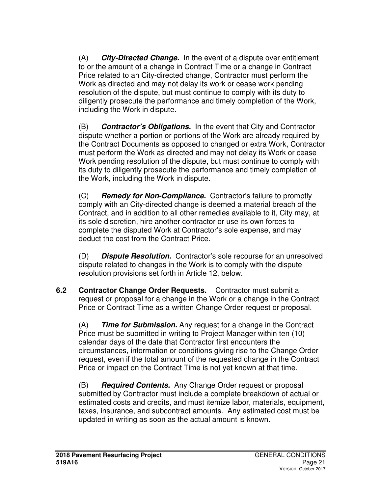(A) **City-Directed Change.**In the event of a dispute over entitlement to or the amount of a change in Contract Time or a change in Contract Price related to an City-directed change, Contractor must perform the Work as directed and may not delay its work or cease work pending resolution of the dispute, but must continue to comply with its duty to diligently prosecute the performance and timely completion of the Work, including the Work in dispute.

(B) **Contractor's Obligations.**In the event that City and Contractor dispute whether a portion or portions of the Work are already required by the Contract Documents as opposed to changed or extra Work, Contractor must perform the Work as directed and may not delay its Work or cease Work pending resolution of the dispute, but must continue to comply with its duty to diligently prosecute the performance and timely completion of the Work, including the Work in dispute.

(C) **Remedy for Non-Compliance.**Contractor's failure to promptly comply with an City-directed change is deemed a material breach of the Contract, and in addition to all other remedies available to it, City may, at its sole discretion, hire another contractor or use its own forces to complete the disputed Work at Contractor's sole expense, and may deduct the cost from the Contract Price.

(D) **Dispute Resolution.**Contractor's sole recourse for an unresolved dispute related to changes in the Work is to comply with the dispute resolution provisions set forth in Article 12, below.

**6.2 Contractor Change Order Requests.** Contractor must submit a request or proposal for a change in the Work or a change in the Contract Price or Contract Time as a written Change Order request or proposal.

(A) **Time for Submission.** Any request for a change in the Contract Price must be submitted in writing to Project Manager within ten (10) calendar days of the date that Contractor first encounters the circumstances, information or conditions giving rise to the Change Order request, even if the total amount of the requested change in the Contract Price or impact on the Contract Time is not yet known at that time.

(B) **Required Contents.**Any Change Order request or proposal submitted by Contractor must include a complete breakdown of actual or estimated costs and credits, and must itemize labor, materials, equipment, taxes, insurance, and subcontract amounts. Any estimated cost must be updated in writing as soon as the actual amount is known.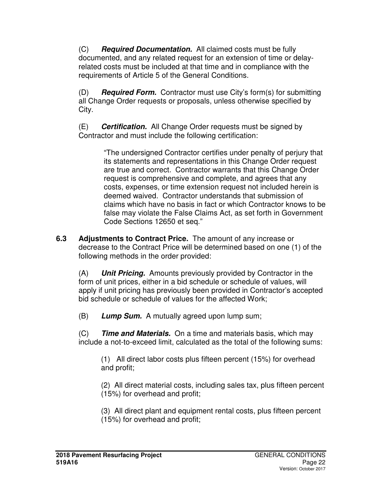(C) **Required Documentation.**All claimed costs must be fully documented, and any related request for an extension of time or delayrelated costs must be included at that time and in compliance with the requirements of Article 5 of the General Conditions.

(D) **Required Form.**Contractor must use City's form(s) for submitting all Change Order requests or proposals, unless otherwise specified by City.

(E) **Certification.**All Change Order requests must be signed by Contractor and must include the following certification:

> "The undersigned Contractor certifies under penalty of perjury that its statements and representations in this Change Order request are true and correct. Contractor warrants that this Change Order request is comprehensive and complete, and agrees that any costs, expenses, or time extension request not included herein is deemed waived. Contractor understands that submission of claims which have no basis in fact or which Contractor knows to be false may violate the False Claims Act, as set forth in Government Code Sections 12650 et seq."

**6.3 Adjustments to Contract Price.** The amount of any increase or decrease to the Contract Price will be determined based on one (1) of the following methods in the order provided:

(A) **Unit Pricing.**Amounts previously provided by Contractor in the form of unit prices, either in a bid schedule or schedule of values, will apply if unit pricing has previously been provided in Contractor's accepted bid schedule or schedule of values for the affected Work;

(B) **Lump Sum.**A mutually agreed upon lump sum;

(C) **Time and Materials.**On a time and materials basis, which may include a not-to-exceed limit, calculated as the total of the following sums:

(1) All direct labor costs plus fifteen percent (15%) for overhead and profit;

(2) All direct material costs, including sales tax, plus fifteen percent (15%) for overhead and profit;

(3) All direct plant and equipment rental costs, plus fifteen percent (15%) for overhead and profit;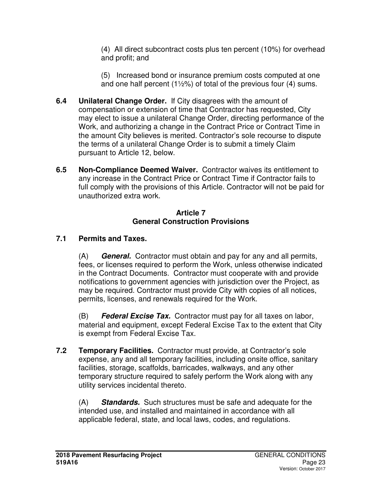(4) All direct subcontract costs plus ten percent (10%) for overhead and profit; and

(5) Increased bond or insurance premium costs computed at one and one half percent  $(1\frac{1}{2}\%)$  of total of the previous four  $(4)$  sums.

- **6.4 Unilateral Change Order.**If City disagrees with the amount of compensation or extension of time that Contractor has requested, City may elect to issue a unilateral Change Order, directing performance of the Work, and authorizing a change in the Contract Price or Contract Time in the amount City believes is merited. Contractor's sole recourse to dispute the terms of a unilateral Change Order is to submit a timely Claim pursuant to Article 12, below.
- **6.5 Non-Compliance Deemed Waiver.** Contractor waives its entitlement to any increase in the Contract Price or Contract Time if Contractor fails to full comply with the provisions of this Article. Contractor will not be paid for unauthorized extra work.

#### **Article 7 General Construction Provisions**

## **7.1 Permits and Taxes.**

(A) **General.**Contractor must obtain and pay for any and all permits, fees, or licenses required to perform the Work, unless otherwise indicated in the Contract Documents. Contractor must cooperate with and provide notifications to government agencies with jurisdiction over the Project, as may be required. Contractor must provide City with copies of all notices, permits, licenses, and renewals required for the Work.

(B) **Federal Excise Tax.**Contractor must pay for all taxes on labor, material and equipment, except Federal Excise Tax to the extent that City is exempt from Federal Excise Tax.

**7.2 Temporary Facilities.** Contractor must provide, at Contractor's sole expense, any and all temporary facilities, including onsite office, sanitary facilities, storage, scaffolds, barricades, walkways, and any other temporary structure required to safely perform the Work along with any utility services incidental thereto.

(A) **Standards.**Such structures must be safe and adequate for the intended use, and installed and maintained in accordance with all applicable federal, state, and local laws, codes, and regulations.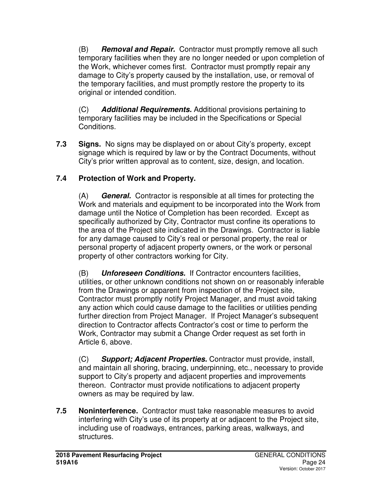(B) **Removal and Repair.**Contractor must promptly remove all such temporary facilities when they are no longer needed or upon completion of the Work, whichever comes first. Contractor must promptly repair any damage to City's property caused by the installation, use, or removal of the temporary facilities, and must promptly restore the property to its original or intended condition.

(C) **Additional Requirements.** Additional provisions pertaining to temporary facilities may be included in the Specifications or Special Conditions.

**7.3 Signs.** No signs may be displayed on or about City's property, except signage which is required by law or by the Contract Documents, without City's prior written approval as to content, size, design, and location.

## **7.4 Protection of Work and Property.**

(A) **General.**Contractor is responsible at all times for protecting the Work and materials and equipment to be incorporated into the Work from damage until the Notice of Completion has been recorded. Except as specifically authorized by City, Contractor must confine its operations to the area of the Project site indicated in the Drawings. Contractor is liable for any damage caused to City's real or personal property, the real or personal property of adjacent property owners, or the work or personal property of other contractors working for City.

(B) **Unforeseen Conditions.**If Contractor encounters facilities, utilities, or other unknown conditions not shown on or reasonably inferable from the Drawings or apparent from inspection of the Project site, Contractor must promptly notify Project Manager, and must avoid taking any action which could cause damage to the facilities or utilities pending further direction from Project Manager. If Project Manager's subsequent direction to Contractor affects Contractor's cost or time to perform the Work, Contractor may submit a Change Order request as set forth in Article 6, above.

(C) **Support; Adjacent Properties.** Contractor must provide, install, and maintain all shoring, bracing, underpinning, etc., necessary to provide support to City's property and adjacent properties and improvements thereon. Contractor must provide notifications to adjacent property owners as may be required by law.

**7.5 Noninterference.** Contractor must take reasonable measures to avoid interfering with City's use of its property at or adjacent to the Project site, including use of roadways, entrances, parking areas, walkways, and structures.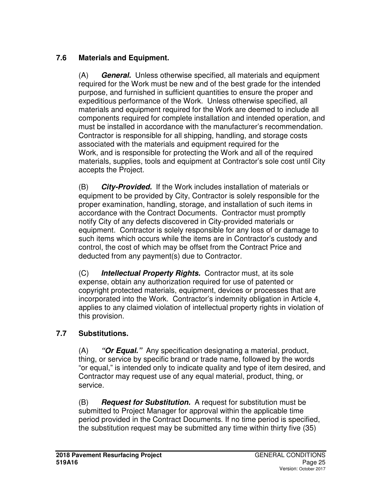## **7.6 Materials and Equipment.**

(A) **General.**Unless otherwise specified, all materials and equipment required for the Work must be new and of the best grade for the intended purpose, and furnished in sufficient quantities to ensure the proper and expeditious performance of the Work. Unless otherwise specified, all materials and equipment required for the Work are deemed to include all components required for complete installation and intended operation, and must be installed in accordance with the manufacturer's recommendation. Contractor is responsible for all shipping, handling, and storage costs associated with the materials and equipment required for the Work, and is responsible for protecting the Work and all of the required materials, supplies, tools and equipment at Contractor's sole cost until City accepts the Project.

(B) **City-Provided.**If the Work includes installation of materials or equipment to be provided by City, Contractor is solely responsible for the proper examination, handling, storage, and installation of such items in accordance with the Contract Documents. Contractor must promptly notify City of any defects discovered in City-provided materials or equipment. Contractor is solely responsible for any loss of or damage to such items which occurs while the items are in Contractor's custody and control, the cost of which may be offset from the Contract Price and deducted from any payment(s) due to Contractor.

(C) **Intellectual Property Rights.** Contractor must, at its sole expense, obtain any authorization required for use of patented or copyright protected materials, equipment, devices or processes that are incorporated into the Work. Contractor's indemnity obligation in Article 4, applies to any claimed violation of intellectual property rights in violation of this provision.

## **7.7 Substitutions.**

(A) **"Or Equal."**Any specification designating a material, product, thing, or service by specific brand or trade name, followed by the words "or equal," is intended only to indicate quality and type of item desired, and Contractor may request use of any equal material, product, thing, or service.

(B) **Request for Substitution.**A request for substitution must be submitted to Project Manager for approval within the applicable time period provided in the Contract Documents. If no time period is specified, the substitution request may be submitted any time within thirty five (35)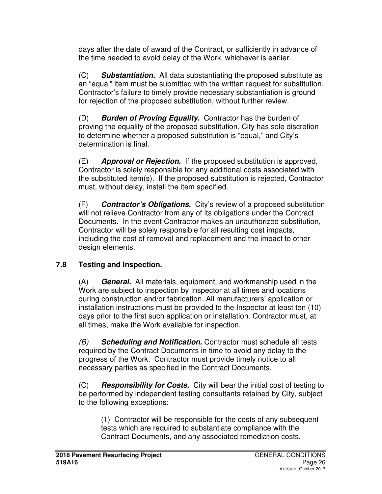days after the date of award of the Contract, or sufficiently in advance of the time needed to avoid delay of the Work, whichever is earlier.

(C) **Substantiation.**All data substantiating the proposed substitute as an "equal" item must be submitted with the written request for substitution. Contractor's failure to timely provide necessary substantiation is ground for rejection of the proposed substitution, without further review.

(D) **Burden of Proving Equality.**Contractor has the burden of proving the equality of the proposed substitution. City has sole discretion to determine whether a proposed substitution is "equal," and City's determination is final.

(E) **Approval or Rejection.**If the proposed substitution is approved, Contractor is solely responsible for any additional costs associated with the substituted item(s). If the proposed substitution is rejected, Contractor must, without delay, install the item specified.

(F) **Contractor's Obligations.**City's review of a proposed substitution will not relieve Contractor from any of its obligations under the Contract Documents. In the event Contractor makes an unauthorized substitution, Contractor will be solely responsible for all resulting cost impacts, including the cost of removal and replacement and the impact to other design elements.

## **7.8 Testing and Inspection.**

(A) **General.**All materials, equipment, and workmanship used in the Work are subject to inspection by Inspector at all times and locations during construction and/or fabrication. All manufacturers' application or installation instructions must be provided to the Inspector at least ten (10) days prior to the first such application or installation. Contractor must, at all times, make the Work available for inspection.

*(B)* **Scheduling and Notification.** Contractor must schedule all tests required by the Contract Documents in time to avoid any delay to the progress of the Work. Contractor must provide timely notice to all necessary parties as specified in the Contract Documents.

(C) **Responsibility for Costs.**City will bear the initial cost of testing to be performed by independent testing consultants retained by City, subject to the following exceptions:

(1) Contractor will be responsible for the costs of any subsequent tests which are required to substantiate compliance with the Contract Documents, and any associated remediation costs.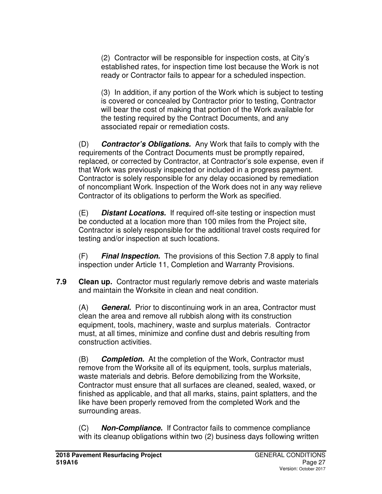(2) Contractor will be responsible for inspection costs, at City's established rates, for inspection time lost because the Work is not ready or Contractor fails to appear for a scheduled inspection.

(3) In addition, if any portion of the Work which is subject to testing is covered or concealed by Contractor prior to testing, Contractor will bear the cost of making that portion of the Work available for the testing required by the Contract Documents, and any associated repair or remediation costs.

(D) **Contractor's Obligations.**Any Work that fails to comply with the requirements of the Contract Documents must be promptly repaired, replaced, or corrected by Contractor, at Contractor's sole expense, even if that Work was previously inspected or included in a progress payment. Contractor is solely responsible for any delay occasioned by remediation of noncompliant Work. Inspection of the Work does not in any way relieve Contractor of its obligations to perform the Work as specified.

(E) **Distant Locations.**If required off-site testing or inspection must be conducted at a location more than 100 miles from the Project site, Contractor is solely responsible for the additional travel costs required for testing and/or inspection at such locations.

(F) **Final Inspection.**The provisions of this Section 7.8 apply to final inspection under Article 11, Completion and Warranty Provisions.

**7.9 Clean up.** Contractor must regularly remove debris and waste materials and maintain the Worksite in clean and neat condition.

(A) **General.**Prior to discontinuing work in an area, Contractor must clean the area and remove all rubbish along with its construction equipment, tools, machinery, waste and surplus materials. Contractor must, at all times, minimize and confine dust and debris resulting from construction activities.

(B) **Completion.**At the completion of the Work, Contractor must remove from the Worksite all of its equipment, tools, surplus materials, waste materials and debris. Before demobilizing from the Worksite, Contractor must ensure that all surfaces are cleaned, sealed, waxed, or finished as applicable, and that all marks, stains, paint splatters, and the like have been properly removed from the completed Work and the surrounding areas.

(C) **Non-Compliance.** If Contractor fails to commence compliance with its cleanup obligations within two (2) business days following written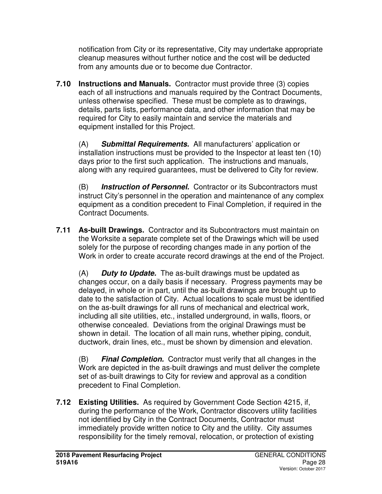notification from City or its representative, City may undertake appropriate cleanup measures without further notice and the cost will be deducted from any amounts due or to become due Contractor.

**7.10 Instructions and Manuals.** Contractor must provide three (3) copies each of all instructions and manuals required by the Contract Documents, unless otherwise specified. These must be complete as to drawings, details, parts lists, performance data, and other information that may be required for City to easily maintain and service the materials and equipment installed for this Project.

(A) **Submittal Requirements.**All manufacturers' application or installation instructions must be provided to the Inspector at least ten (10) days prior to the first such application. The instructions and manuals, along with any required guarantees, must be delivered to City for review.

(B) **Instruction of Personnel.**Contractor or its Subcontractors must instruct City's personnel in the operation and maintenance of any complex equipment as a condition precedent to Final Completion, if required in the Contract Documents.

**7.11 As-built Drawings.** Contractor and its Subcontractors must maintain on the Worksite a separate complete set of the Drawings which will be used solely for the purpose of recording changes made in any portion of the Work in order to create accurate record drawings at the end of the Project.

(A) **Duty to Update.**The as-built drawings must be updated as changes occur, on a daily basis if necessary. Progress payments may be delayed, in whole or in part, until the as-built drawings are brought up to date to the satisfaction of City. Actual locations to scale must be identified on the as-built drawings for all runs of mechanical and electrical work, including all site utilities, etc., installed underground, in walls, floors, or otherwise concealed. Deviations from the original Drawings must be shown in detail. The location of all main runs, whether piping, conduit, ductwork, drain lines, etc., must be shown by dimension and elevation.

(B) **Final Completion.**Contractor must verify that all changes in the Work are depicted in the as-built drawings and must deliver the complete set of as-built drawings to City for review and approval as a condition precedent to Final Completion.

**7.12 Existing Utilities.** As required by Government Code Section 4215, if, during the performance of the Work, Contractor discovers utility facilities not identified by City in the Contract Documents, Contractor must immediately provide written notice to City and the utility. City assumes responsibility for the timely removal, relocation, or protection of existing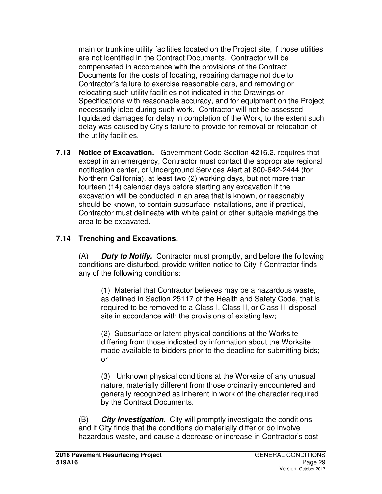main or trunkline utility facilities located on the Project site, if those utilities are not identified in the Contract Documents. Contractor will be compensated in accordance with the provisions of the Contract Documents for the costs of locating, repairing damage not due to Contractor's failure to exercise reasonable care, and removing or relocating such utility facilities not indicated in the Drawings or Specifications with reasonable accuracy, and for equipment on the Project necessarily idled during such work. Contractor will not be assessed liquidated damages for delay in completion of the Work, to the extent such delay was caused by City's failure to provide for removal or relocation of the utility facilities.

**7.13 Notice of Excavation.** Government Code Section 4216.2, requires that except in an emergency, Contractor must contact the appropriate regional notification center, or Underground Services Alert at 800-642-2444 (for Northern California), at least two (2) working days, but not more than fourteen (14) calendar days before starting any excavation if the excavation will be conducted in an area that is known, or reasonably should be known, to contain subsurface installations, and if practical, Contractor must delineate with white paint or other suitable markings the area to be excavated.

## **7.14 Trenching and Excavations.**

(A) **Duty to Notify.** Contractor must promptly, and before the following conditions are disturbed, provide written notice to City if Contractor finds any of the following conditions:

(1) Material that Contractor believes may be a hazardous waste, as defined in Section 25117 of the Health and Safety Code, that is required to be removed to a Class I, Class II, or Class III disposal site in accordance with the provisions of existing law;

(2) Subsurface or latent physical conditions at the Worksite differing from those indicated by information about the Worksite made available to bidders prior to the deadline for submitting bids; or

(3) Unknown physical conditions at the Worksite of any unusual nature, materially different from those ordinarily encountered and generally recognized as inherent in work of the character required by the Contract Documents.

(B) **City Investigation.** City will promptly investigate the conditions and if City finds that the conditions do materially differ or do involve hazardous waste, and cause a decrease or increase in Contractor's cost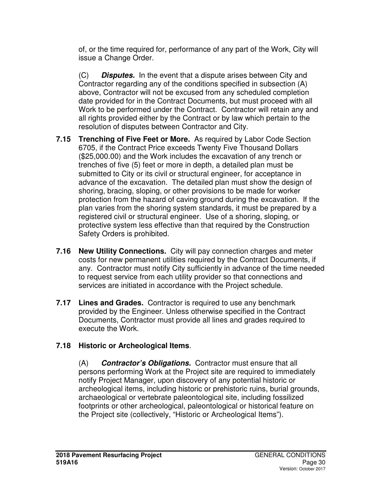of, or the time required for, performance of any part of the Work, City will issue a Change Order.

(C) **Disputes.** In the event that a dispute arises between City and Contractor regarding any of the conditions specified in subsection (A) above, Contractor will not be excused from any scheduled completion date provided for in the Contract Documents, but must proceed with all Work to be performed under the Contract. Contractor will retain any and all rights provided either by the Contract or by law which pertain to the resolution of disputes between Contractor and City.

- **7.15 Trenching of Five Feet or More.** As required by Labor Code Section 6705, if the Contract Price exceeds Twenty Five Thousand Dollars (\$25,000.00) and the Work includes the excavation of any trench or trenches of five (5) feet or more in depth, a detailed plan must be submitted to City or its civil or structural engineer, for acceptance in advance of the excavation. The detailed plan must show the design of shoring, bracing, sloping, or other provisions to be made for worker protection from the hazard of caving ground during the excavation. If the plan varies from the shoring system standards, it must be prepared by a registered civil or structural engineer. Use of a shoring, sloping, or protective system less effective than that required by the Construction Safety Orders is prohibited.
- **7.16 New Utility Connections.** City will pay connection charges and meter costs for new permanent utilities required by the Contract Documents, if any. Contractor must notify City sufficiently in advance of the time needed to request service from each utility provider so that connections and services are initiated in accordance with the Project schedule.
- **7.17 Lines and Grades.** Contractor is required to use any benchmark provided by the Engineer. Unless otherwise specified in the Contract Documents, Contractor must provide all lines and grades required to execute the Work.

## **7.18 Historic or Archeological Items**.

(A) **Contractor's Obligations.**Contractor must ensure that all persons performing Work at the Project site are required to immediately notify Project Manager, upon discovery of any potential historic or archeological items, including historic or prehistoric ruins, burial grounds, archaeological or vertebrate paleontological site, including fossilized footprints or other archeological, paleontological or historical feature on the Project site (collectively, "Historic or Archeological Items").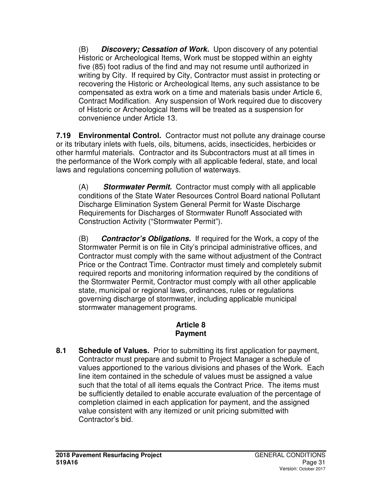(B) **Discovery; Cessation of Work.**Upon discovery of any potential Historic or Archeological Items, Work must be stopped within an eighty five (85) foot radius of the find and may not resume until authorized in writing by City. If required by City, Contractor must assist in protecting or recovering the Historic or Archeological Items, any such assistance to be compensated as extra work on a time and materials basis under Article 6, Contract Modification. Any suspension of Work required due to discovery of Historic or Archeological Items will be treated as a suspension for convenience under Article 13.

**7.19 Environmental Control.** Contractor must not pollute any drainage course or its tributary inlets with fuels, oils, bitumens, acids, insecticides, herbicides or other harmful materials. Contractor and its Subcontractors must at all times in the performance of the Work comply with all applicable federal, state, and local laws and regulations concerning pollution of waterways.

(A) **Stormwater Permit.** Contractor must comply with all applicable conditions of the State Water Resources Control Board national Pollutant Discharge Elimination System General Permit for Waste Discharge Requirements for Discharges of Stormwater Runoff Associated with Construction Activity ("Stormwater Permit").

(B) **Contractor's Obligations.** If required for the Work, a copy of the Stormwater Permit is on file in City's principal administrative offices, and Contractor must comply with the same without adjustment of the Contract Price or the Contract Time. Contractor must timely and completely submit required reports and monitoring information required by the conditions of the Stormwater Permit, Contractor must comply with all other applicable state, municipal or regional laws, ordinances, rules or regulations governing discharge of stormwater, including applicable municipal stormwater management programs.

### **Article 8 Payment**

**8.1 Schedule of Values.** Prior to submitting its first application for payment, Contractor must prepare and submit to Project Manager a schedule of values apportioned to the various divisions and phases of the Work. Each line item contained in the schedule of values must be assigned a value such that the total of all items equals the Contract Price. The items must be sufficiently detailed to enable accurate evaluation of the percentage of completion claimed in each application for payment, and the assigned value consistent with any itemized or unit pricing submitted with Contractor's bid.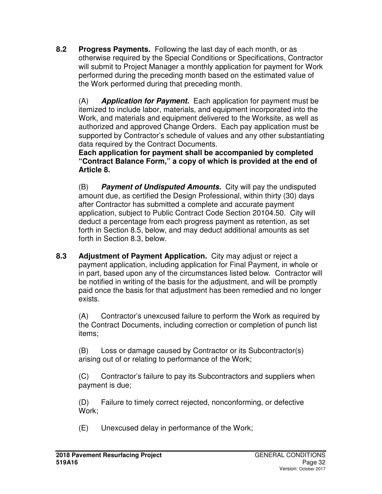**8.2 Progress Payments.** Following the last day of each month, or as otherwise required by the Special Conditions or Specifications, Contractor will submit to Project Manager a monthly application for payment for Work performed during the preceding month based on the estimated value of the Work performed during that preceding month.

(A) **Application for Payment.**Each application for payment must be itemized to include labor, materials, and equipment incorporated into the Work, and materials and equipment delivered to the Worksite, as well as authorized and approved Change Orders. Each pay application must be supported by Contractor's schedule of values and any other substantiating data required by the Contract Documents.

**Each application for payment shall be accompanied by completed "Contract Balance Form," a copy of which is provided at the end of Article 8.**

(B) **Payment of Undisputed Amounts.**City will pay the undisputed amount due, as certified the Design Professional, within thirty (30) days after Contractor has submitted a complete and accurate payment application, subject to Public Contract Code Section 20104.50. City will deduct a percentage from each progress payment as retention, as set forth in Section 8.5, below, and may deduct additional amounts as set forth in Section 8.3, below.

**8.3 Adjustment of Payment Application.** City may adjust or reject a payment application, including application for Final Payment, in whole or in part, based upon any of the circumstances listed below. Contractor will be notified in writing of the basis for the adjustment, and will be promptly paid once the basis for that adjustment has been remedied and no longer exists.

(A) Contractor's unexcused failure to perform the Work as required by the Contract Documents, including correction or completion of punch list items;

(B) Loss or damage caused by Contractor or its Subcontractor(s) arising out of or relating to performance of the Work;

(C) Contractor's failure to pay its Subcontractors and suppliers when payment is due;

(D) Failure to timely correct rejected, nonconforming, or defective Work;

(E) Unexcused delay in performance of the Work;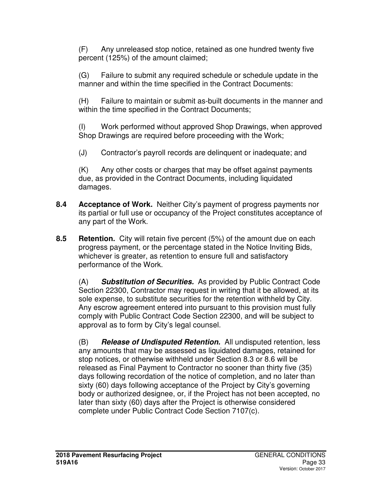(F) Any unreleased stop notice, retained as one hundred twenty five percent (125%) of the amount claimed;

(G) Failure to submit any required schedule or schedule update in the manner and within the time specified in the Contract Documents:

(H) Failure to maintain or submit as-built documents in the manner and within the time specified in the Contract Documents;

(I) Work performed without approved Shop Drawings, when approved Shop Drawings are required before proceeding with the Work;

(J) Contractor's payroll records are delinquent or inadequate; and

(K) Any other costs or charges that may be offset against payments due, as provided in the Contract Documents, including liquidated damages.

- **8.4 Acceptance of Work.** Neither City's payment of progress payments nor its partial or full use or occupancy of the Project constitutes acceptance of any part of the Work.
- **8.5 Retention.** City will retain five percent (5%) of the amount due on each progress payment, or the percentage stated in the Notice Inviting Bids, whichever is greater, as retention to ensure full and satisfactory performance of the Work.

(A) **Substitution of Securities.**As provided by Public Contract Code Section 22300, Contractor may request in writing that it be allowed, at its sole expense, to substitute securities for the retention withheld by City. Any escrow agreement entered into pursuant to this provision must fully comply with Public Contract Code Section 22300, and will be subject to approval as to form by City's legal counsel.

(B) **Release of Undisputed Retention.**All undisputed retention, less any amounts that may be assessed as liquidated damages, retained for stop notices, or otherwise withheld under Section 8.3 or 8.6 will be released as Final Payment to Contractor no sooner than thirty five (35) days following recordation of the notice of completion, and no later than sixty (60) days following acceptance of the Project by City's governing body or authorized designee, or, if the Project has not been accepted, no later than sixty (60) days after the Project is otherwise considered complete under Public Contract Code Section 7107(c).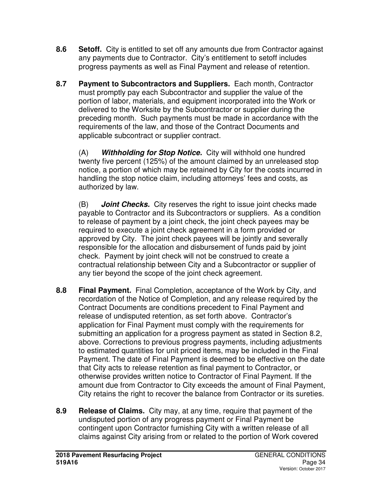- **8.6 Setoff.** City is entitled to set off any amounts due from Contractor against any payments due to Contractor. City's entitlement to setoff includes progress payments as well as Final Payment and release of retention.
- **8.7 Payment to Subcontractors and Suppliers.** Each month, Contractor must promptly pay each Subcontractor and supplier the value of the portion of labor, materials, and equipment incorporated into the Work or delivered to the Worksite by the Subcontractor or supplier during the preceding month. Such payments must be made in accordance with the requirements of the law, and those of the Contract Documents and applicable subcontract or supplier contract.

(A) **Withholding for Stop Notice.**City will withhold one hundred twenty five percent (125%) of the amount claimed by an unreleased stop notice, a portion of which may be retained by City for the costs incurred in handling the stop notice claim, including attorneys' fees and costs, as authorized by law.

(B) **Joint Checks.**City reserves the right to issue joint checks made payable to Contractor and its Subcontractors or suppliers. As a condition to release of payment by a joint check, the joint check payees may be required to execute a joint check agreement in a form provided or approved by City. The joint check payees will be jointly and severally responsible for the allocation and disbursement of funds paid by joint check. Payment by joint check will not be construed to create a contractual relationship between City and a Subcontractor or supplier of any tier beyond the scope of the joint check agreement.

- **8.8 Final Payment.** Final Completion, acceptance of the Work by City, and recordation of the Notice of Completion, and any release required by the Contract Documents are conditions precedent to Final Payment and release of undisputed retention, as set forth above. Contractor's application for Final Payment must comply with the requirements for submitting an application for a progress payment as stated in Section 8.2, above. Corrections to previous progress payments, including adjustments to estimated quantities for unit priced items, may be included in the Final Payment. The date of Final Payment is deemed to be effective on the date that City acts to release retention as final payment to Contractor, or otherwise provides written notice to Contractor of Final Payment. If the amount due from Contractor to City exceeds the amount of Final Payment, City retains the right to recover the balance from Contractor or its sureties.
- **8.9 Release of Claims.** City may, at any time, require that payment of the undisputed portion of any progress payment or Final Payment be contingent upon Contractor furnishing City with a written release of all claims against City arising from or related to the portion of Work covered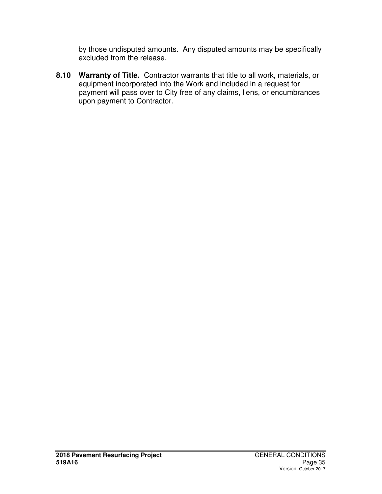by those undisputed amounts. Any disputed amounts may be specifically excluded from the release.

**8.10 Warranty of Title.** Contractor warrants that title to all work, materials, or equipment incorporated into the Work and included in a request for payment will pass over to City free of any claims, liens, or encumbrances upon payment to Contractor.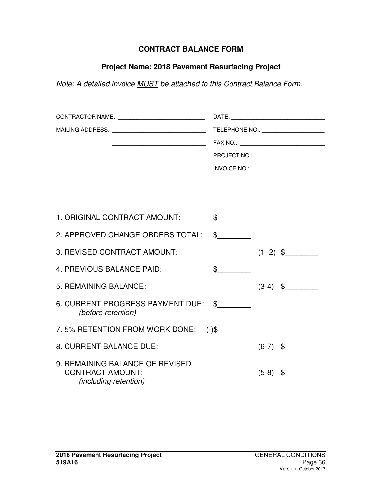### **CONTRACT BALANCE FORM**

### **Project Name: 2018 Pavement Resurfacing Project**

*Note: A detailed invoice MUST be attached to this Contract Balance Form.*

|                              | TELEPHONE NO.: _______________________    |
|------------------------------|-------------------------------------------|
|                              | FAX NO.: ________________________________ |
|                              | PROJECT NO.: _______________________      |
|                              | INVOICE NO.: <u>_____________________</u> |
|                              |                                           |
|                              |                                           |
|                              |                                           |
| 1 ORIGINAL CONTRACT AMOLINT. | ¢                                         |

| <u>I. UNUINAL UUNTIMUT AMUUNT.</u>                                                         |               |         |               |
|--------------------------------------------------------------------------------------------|---------------|---------|---------------|
| 2. APPROVED CHANGE ORDERS TOTAL:                                                           | $\frac{1}{2}$ |         |               |
| 3. REVISED CONTRACT AMOUNT:                                                                |               |         | $(1+2)$ \$    |
| 4. PREVIOUS BALANCE PAID:                                                                  | \$            |         |               |
| 5. REMAINING BALANCE:                                                                      |               |         | $(3-4)$ \$    |
| 6. CURRENT PROGRESS PAYMENT DUE: \$<br>(before retention)                                  |               |         |               |
| 7.5% RETENTION FROM WORK DONE: (-)\$                                                       |               |         |               |
| 8. CURRENT BALANCE DUE:                                                                    |               |         | $(6-7)$ \$    |
| 9. REMAINING BALANCE OF REVISED<br><b>CONTRACT AMOUNT:</b><br><i>(including retention)</i> |               | $(5-8)$ | $\frac{1}{2}$ |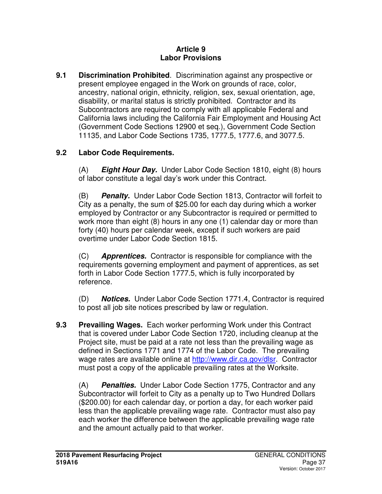#### **Article 9 Labor Provisions**

**9.1 Discrimination Prohibited**. Discrimination against any prospective or present employee engaged in the Work on grounds of race, color, ancestry, national origin, ethnicity, religion, sex, sexual orientation, age, disability, or marital status is strictly prohibited. Contractor and its Subcontractors are required to comply with all applicable Federal and California laws including the California Fair Employment and Housing Act (Government Code Sections 12900 et seq.), Government Code Section 11135, and Labor Code Sections 1735, 1777.5, 1777.6, and 3077.5.

## **9.2 Labor Code Requirements.**

(A) **Eight Hour Day.** Under Labor Code Section 1810, eight (8) hours of labor constitute a legal day's work under this Contract.

(B) **Penalty.** Under Labor Code Section 1813, Contractor will forfeit to City as a penalty, the sum of \$25.00 for each day during which a worker employed by Contractor or any Subcontractor is required or permitted to work more than eight (8) hours in any one (1) calendar day or more than forty (40) hours per calendar week, except if such workers are paid overtime under Labor Code Section 1815.

(C) **Apprentices.** Contractor is responsible for compliance with the requirements governing employment and payment of apprentices, as set forth in Labor Code Section 1777.5, which is fully incorporated by reference.

(D) **Notices.** Under Labor Code Section 1771.4, Contractor is required to post all job site notices prescribed by law or regulation.

**9.3 Prevailing Wages.** Each worker performing Work under this Contract that is covered under Labor Code Section 1720, including cleanup at the Project site, must be paid at a rate not less than the prevailing wage as defined in Sections 1771 and 1774 of the Labor Code. The prevailing wage rates are available online at http://www.dir.ca.gov/dlsr. Contractor must post a copy of the applicable prevailing rates at the Worksite.

(A) **Penalties.** Under Labor Code Section 1775, Contractor and any Subcontractor will forfeit to City as a penalty up to Two Hundred Dollars (\$200.00) for each calendar day, or portion a day, for each worker paid less than the applicable prevailing wage rate. Contractor must also pay each worker the difference between the applicable prevailing wage rate and the amount actually paid to that worker.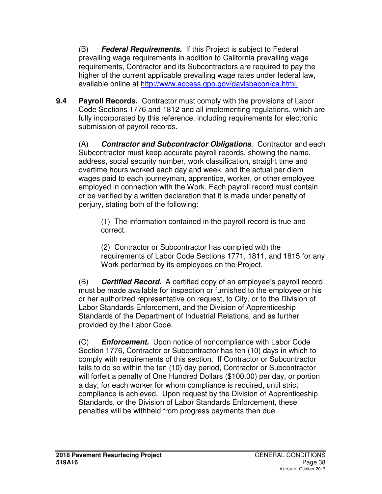(B) **Federal Requirements.** If this Project is subject to Federal prevailing wage requirements in addition to California prevailing wage requirements, Contractor and its Subcontractors are required to pay the higher of the current applicable prevailing wage rates under federal law, available online at http://www.access.gpo.gov/davisbacon/ca.html.

**9.4 Payroll Records.** Contractor must comply with the provisions of Labor Code Sections 1776 and 1812 and all implementing regulations, which are fully incorporated by this reference, including requirements for electronic submission of payroll records.

(A) **Contractor and Subcontractor Obligations**. Contractor and each Subcontractor must keep accurate payroll records, showing the name, address, social security number, work classification, straight time and overtime hours worked each day and week, and the actual per diem wages paid to each journeyman, apprentice, worker, or other employee employed in connection with the Work. Each payroll record must contain or be verified by a written declaration that it is made under penalty of perjury, stating both of the following:

(1) The information contained in the payroll record is true and correct.

(2) Contractor or Subcontractor has complied with the requirements of Labor Code Sections 1771, 1811, and 1815 for any Work performed by its employees on the Project.

(B) **Certified Record.** A certified copy of an employee's payroll record must be made available for inspection or furnished to the employee or his or her authorized representative on request, to City, or to the Division of Labor Standards Enforcement, and the Division of Apprenticeship Standards of the Department of Industrial Relations, and as further provided by the Labor Code.

(C) **Enforcement.** Upon notice of noncompliance with Labor Code Section 1776, Contractor or Subcontractor has ten (10) days in which to comply with requirements of this section. If Contractor or Subcontractor fails to do so within the ten (10) day period, Contractor or Subcontractor will forfeit a penalty of One Hundred Dollars (\$100.00) per day, or portion a day, for each worker for whom compliance is required, until strict compliance is achieved. Upon request by the Division of Apprenticeship Standards, or the Division of Labor Standards Enforcement, these penalties will be withheld from progress payments then due.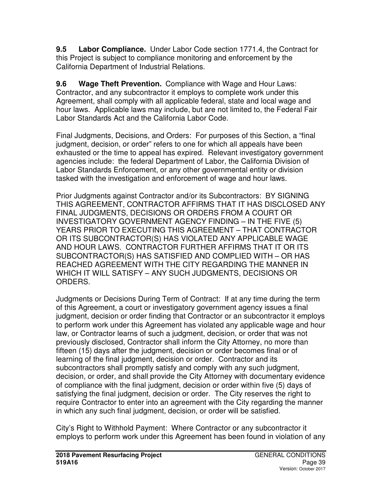**9.5 Labor Compliance.** Under Labor Code section 1771.4, the Contract for this Project is subject to compliance monitoring and enforcement by the California Department of Industrial Relations.

**9.6 Wage Theft Prevention.** Compliance with Wage and Hour Laws: Contractor, and any subcontractor it employs to complete work under this Agreement, shall comply with all applicable federal, state and local wage and hour laws. Applicable laws may include, but are not limited to, the Federal Fair Labor Standards Act and the California Labor Code.

Final Judgments, Decisions, and Orders: For purposes of this Section, a "final judgment, decision, or order" refers to one for which all appeals have been exhausted or the time to appeal has expired. Relevant investigatory government agencies include: the federal Department of Labor, the California Division of Labor Standards Enforcement, or any other governmental entity or division tasked with the investigation and enforcement of wage and hour laws.

Prior Judgments against Contractor and/or its Subcontractors: BY SIGNING THIS AGREEMENT, CONTRACTOR AFFIRMS THAT IT HAS DISCLOSED ANY FINAL JUDGMENTS, DECISIONS OR ORDERS FROM A COURT OR INVESTIGATORY GOVERNMENT AGENCY FINDING – IN THE FIVE (5) YEARS PRIOR TO EXECUTING THIS AGREEMENT – THAT CONTRACTOR OR ITS SUBCONTRACTOR(S) HAS VIOLATED ANY APPLICABLE WAGE AND HOUR LAWS. CONTRACTOR FURTHER AFFIRMS THAT IT OR ITS SUBCONTRACTOR(S) HAS SATISFIED AND COMPLIED WITH – OR HAS REACHED AGREEMENT WITH THE CITY REGARDING THE MANNER IN WHICH IT WILL SATISFY – ANY SUCH JUDGMENTS, DECISIONS OR ORDERS.

Judgments or Decisions During Term of Contract: If at any time during the term of this Agreement, a court or investigatory government agency issues a final judgment, decision or order finding that Contractor or an subcontractor it employs to perform work under this Agreement has violated any applicable wage and hour law, or Contractor learns of such a judgment, decision, or order that was not previously disclosed, Contractor shall inform the City Attorney, no more than fifteen (15) days after the judgment, decision or order becomes final or of learning of the final judgment, decision or order. Contractor and its subcontractors shall promptly satisfy and comply with any such judgment, decision, or order, and shall provide the City Attorney with documentary evidence of compliance with the final judgment, decision or order within five (5) days of satisfying the final judgment, decision or order. The City reserves the right to require Contractor to enter into an agreement with the City regarding the manner in which any such final judgment, decision, or order will be satisfied.

City's Right to Withhold Payment: Where Contractor or any subcontractor it employs to perform work under this Agreement has been found in violation of any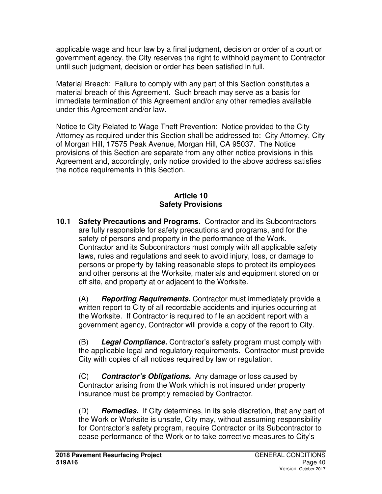applicable wage and hour law by a final judgment, decision or order of a court or government agency, the City reserves the right to withhold payment to Contractor until such judgment, decision or order has been satisfied in full.

Material Breach: Failure to comply with any part of this Section constitutes a material breach of this Agreement. Such breach may serve as a basis for immediate termination of this Agreement and/or any other remedies available under this Agreement and/or law.

Notice to City Related to Wage Theft Prevention: Notice provided to the City Attorney as required under this Section shall be addressed to: City Attorney, City of Morgan Hill, 17575 Peak Avenue, Morgan Hill, CA 95037. The Notice provisions of this Section are separate from any other notice provisions in this Agreement and, accordingly, only notice provided to the above address satisfies the notice requirements in this Section.

# **Article 10 Safety Provisions**

**10.1 Safety Precautions and Programs.** Contractor and its Subcontractors are fully responsible for safety precautions and programs, and for the safety of persons and property in the performance of the Work. Contractor and its Subcontractors must comply with all applicable safety laws, rules and regulations and seek to avoid injury, loss, or damage to persons or property by taking reasonable steps to protect its employees and other persons at the Worksite, materials and equipment stored on or off site, and property at or adjacent to the Worksite.

(A) **Reporting Requirements.** Contractor must immediately provide a written report to City of all recordable accidents and injuries occurring at the Worksite. If Contractor is required to file an accident report with a government agency, Contractor will provide a copy of the report to City.

(B) **Legal Compliance.** Contractor's safety program must comply with the applicable legal and regulatory requirements. Contractor must provide City with copies of all notices required by law or regulation.

(C) **Contractor's Obligations.**Any damage or loss caused by Contractor arising from the Work which is not insured under property insurance must be promptly remedied by Contractor.

(D) **Remedies.**If City determines, in its sole discretion, that any part of the Work or Worksite is unsafe, City may, without assuming responsibility for Contractor's safety program, require Contractor or its Subcontractor to cease performance of the Work or to take corrective measures to City's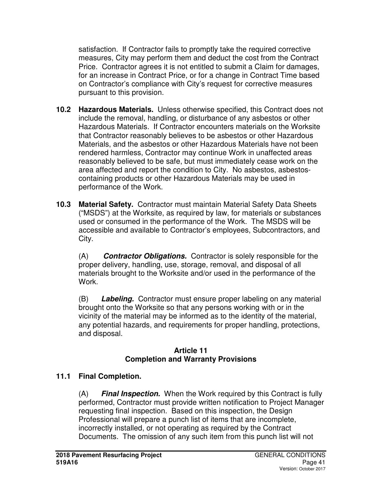satisfaction. If Contractor fails to promptly take the required corrective measures, City may perform them and deduct the cost from the Contract Price. Contractor agrees it is not entitled to submit a Claim for damages, for an increase in Contract Price, or for a change in Contract Time based on Contractor's compliance with City's request for corrective measures pursuant to this provision.

- **10.2 Hazardous Materials.** Unless otherwise specified, this Contract does not include the removal, handling, or disturbance of any asbestos or other Hazardous Materials. If Contractor encounters materials on the Worksite that Contractor reasonably believes to be asbestos or other Hazardous Materials, and the asbestos or other Hazardous Materials have not been rendered harmless, Contractor may continue Work in unaffected areas reasonably believed to be safe, but must immediately cease work on the area affected and report the condition to City. No asbestos, asbestoscontaining products or other Hazardous Materials may be used in performance of the Work.
- **10.3 Material Safety.** Contractor must maintain Material Safety Data Sheets ("MSDS") at the Worksite, as required by law, for materials or substances used or consumed in the performance of the Work. The MSDS will be accessible and available to Contractor's employees, Subcontractors, and City.

(A) **Contractor Obligations.** Contractor is solely responsible for the proper delivery, handling, use, storage, removal, and disposal of all materials brought to the Worksite and/or used in the performance of the Work.

(B) **Labeling.** Contractor must ensure proper labeling on any material brought onto the Worksite so that any persons working with or in the vicinity of the material may be informed as to the identity of the material, any potential hazards, and requirements for proper handling, protections, and disposal.

## **Article 11 Completion and Warranty Provisions**

# **11.1 Final Completion.**

(A) **Final Inspection.**When the Work required by this Contract is fully performed, Contractor must provide written notification to Project Manager requesting final inspection. Based on this inspection, the Design Professional will prepare a punch list of items that are incomplete, incorrectly installed, or not operating as required by the Contract Documents. The omission of any such item from this punch list will not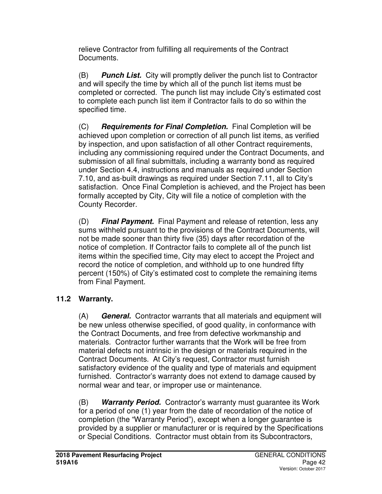relieve Contractor from fulfilling all requirements of the Contract Documents.

(B) **Punch List.**City will promptly deliver the punch list to Contractor and will specify the time by which all of the punch list items must be completed or corrected. The punch list may include City's estimated cost to complete each punch list item if Contractor fails to do so within the specified time.

(C) **Requirements for Final Completion.**Final Completion will be achieved upon completion or correction of all punch list items, as verified by inspection, and upon satisfaction of all other Contract requirements, including any commissioning required under the Contract Documents, and submission of all final submittals, including a warranty bond as required under Section 4.4, instructions and manuals as required under Section 7.10, and as-built drawings as required under Section 7.11, all to City's satisfaction. Once Final Completion is achieved, and the Project has been formally accepted by City, City will file a notice of completion with the County Recorder.

(D) **Final Payment.**Final Payment and release of retention, less any sums withheld pursuant to the provisions of the Contract Documents, will not be made sooner than thirty five (35) days after recordation of the notice of completion. If Contractor fails to complete all of the punch list items within the specified time, City may elect to accept the Project and record the notice of completion, and withhold up to one hundred fifty percent (150%) of City's estimated cost to complete the remaining items from Final Payment.

# **11.2 Warranty.**

(A) **General.** Contractor warrants that all materials and equipment will be new unless otherwise specified, of good quality, in conformance with the Contract Documents, and free from defective workmanship and materials. Contractor further warrants that the Work will be free from material defects not intrinsic in the design or materials required in the Contract Documents. At City's request, Contractor must furnish satisfactory evidence of the quality and type of materials and equipment furnished. Contractor's warranty does not extend to damage caused by normal wear and tear, or improper use or maintenance.

(B) **Warranty Period.** Contractor's warranty must guarantee its Work for a period of one (1) year from the date of recordation of the notice of completion (the "Warranty Period"), except when a longer guarantee is provided by a supplier or manufacturer or is required by the Specifications or Special Conditions. Contractor must obtain from its Subcontractors,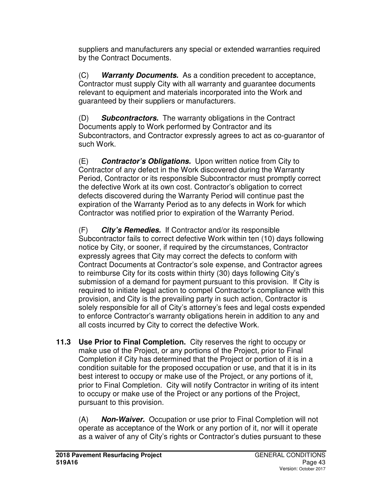suppliers and manufacturers any special or extended warranties required by the Contract Documents.

(C) **Warranty Documents.**As a condition precedent to acceptance, Contractor must supply City with all warranty and guarantee documents relevant to equipment and materials incorporated into the Work and guaranteed by their suppliers or manufacturers.

(D) **Subcontractors.**The warranty obligations in the Contract Documents apply to Work performed by Contractor and its Subcontractors, and Contractor expressly agrees to act as co-guarantor of such Work.

(E) **Contractor's Obligations.**Upon written notice from City to Contractor of any defect in the Work discovered during the Warranty Period, Contractor or its responsible Subcontractor must promptly correct the defective Work at its own cost. Contractor's obligation to correct defects discovered during the Warranty Period will continue past the expiration of the Warranty Period as to any defects in Work for which Contractor was notified prior to expiration of the Warranty Period.

(F) **City's Remedies.**If Contractor and/or its responsible Subcontractor fails to correct defective Work within ten (10) days following notice by City, or sooner, if required by the circumstances, Contractor expressly agrees that City may correct the defects to conform with Contract Documents at Contractor's sole expense, and Contractor agrees to reimburse City for its costs within thirty (30) days following City's submission of a demand for payment pursuant to this provision. If City is required to initiate legal action to compel Contractor's compliance with this provision, and City is the prevailing party in such action, Contractor is solely responsible for all of City's attorney's fees and legal costs expended to enforce Contractor's warranty obligations herein in addition to any and all costs incurred by City to correct the defective Work.

**11.3 Use Prior to Final Completion.** City reserves the right to occupy or make use of the Project, or any portions of the Project, prior to Final Completion if City has determined that the Project or portion of it is in a condition suitable for the proposed occupation or use, and that it is in its best interest to occupy or make use of the Project, or any portions of it, prior to Final Completion. City will notify Contractor in writing of its intent to occupy or make use of the Project or any portions of the Project, pursuant to this provision.

(A) **Non-Waiver.**Occupation or use prior to Final Completion will not operate as acceptance of the Work or any portion of it, nor will it operate as a waiver of any of City's rights or Contractor's duties pursuant to these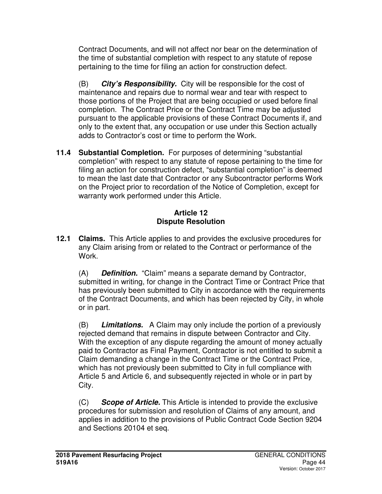Contract Documents, and will not affect nor bear on the determination of the time of substantial completion with respect to any statute of repose pertaining to the time for filing an action for construction defect.

(B) **City's Responsibility.**City will be responsible for the cost of maintenance and repairs due to normal wear and tear with respect to those portions of the Project that are being occupied or used before final completion. The Contract Price or the Contract Time may be adjusted pursuant to the applicable provisions of these Contract Documents if, and only to the extent that, any occupation or use under this Section actually adds to Contractor's cost or time to perform the Work.

**11.4 Substantial Completion.** For purposes of determining "substantial completion" with respect to any statute of repose pertaining to the time for filing an action for construction defect, "substantial completion" is deemed to mean the last date that Contractor or any Subcontractor performs Work on the Project prior to recordation of the Notice of Completion, except for warranty work performed under this Article.

# **Article 12 Dispute Resolution**

**12.1 Claims.** This Article applies to and provides the exclusive procedures for any Claim arising from or related to the Contract or performance of the Work.

(A) **Definition.**"Claim" means a separate demand by Contractor, submitted in writing, for change in the Contract Time or Contract Price that has previously been submitted to City in accordance with the requirements of the Contract Documents, and which has been rejected by City, in whole or in part.

(B) **Limitations.**A Claim may only include the portion of a previously rejected demand that remains in dispute between Contractor and City. With the exception of any dispute regarding the amount of money actually paid to Contractor as Final Payment, Contractor is not entitled to submit a Claim demanding a change in the Contract Time or the Contract Price, which has not previously been submitted to City in full compliance with Article 5 and Article 6, and subsequently rejected in whole or in part by City.

(C) **Scope of Article.** This Article is intended to provide the exclusive procedures for submission and resolution of Claims of any amount, and applies in addition to the provisions of Public Contract Code Section 9204 and Sections 20104 et seq.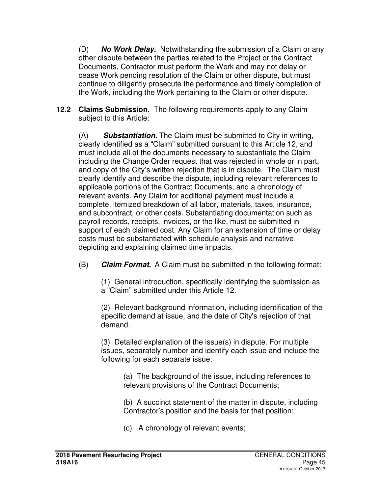(D) **No Work Delay.** Notwithstanding the submission of a Claim or any other dispute between the parties related to the Project or the Contract Documents, Contractor must perform the Work and may not delay or cease Work pending resolution of the Claim or other dispute, but must continue to diligently prosecute the performance and timely completion of the Work, including the Work pertaining to the Claim or other dispute.

**12.2 Claims Submission.** The following requirements apply to any Claim subject to this Article:

(A) **Substantiation.** The Claim must be submitted to City in writing, clearly identified as a "Claim" submitted pursuant to this Article 12, and must include all of the documents necessary to substantiate the Claim including the Change Order request that was rejected in whole or in part, and copy of the City's written rejection that is in dispute. The Claim must clearly identify and describe the dispute, including relevant references to applicable portions of the Contract Documents, and a chronology of relevant events. Any Claim for additional payment must include a complete, itemized breakdown of all labor, materials, taxes, insurance, and subcontract, or other costs. Substantiating documentation such as payroll records, receipts, invoices, or the like, must be submitted in support of each claimed cost. Any Claim for an extension of time or delay costs must be substantiated with schedule analysis and narrative depicting and explaining claimed time impacts.

(B) **Claim Format.** A Claim must be submitted in the following format:

(1) General introduction, specifically identifying the submission as a "Claim" submitted under this Article 12.

(2) Relevant background information, including identification of the specific demand at issue, and the date of City's rejection of that demand.

(3) Detailed explanation of the issue(s) in dispute. For multiple issues, separately number and identify each issue and include the following for each separate issue:

> (a) The background of the issue, including references to relevant provisions of the Contract Documents;

(b) A succinct statement of the matter in dispute, including Contractor's position and the basis for that position;

(c) A chronology of relevant events;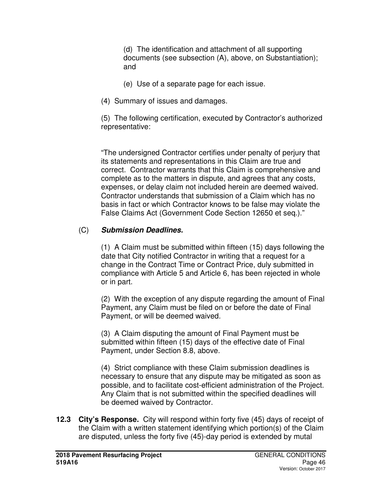(d) The identification and attachment of all supporting documents (see subsection (A), above, on Substantiation); and

- (e) Use of a separate page for each issue.
- (4) Summary of issues and damages.

(5) The following certification, executed by Contractor's authorized representative:

"The undersigned Contractor certifies under penalty of perjury that its statements and representations in this Claim are true and correct. Contractor warrants that this Claim is comprehensive and complete as to the matters in dispute, and agrees that any costs, expenses, or delay claim not included herein are deemed waived. Contractor understands that submission of a Claim which has no basis in fact or which Contractor knows to be false may violate the False Claims Act (Government Code Section 12650 et seq.)."

# (C) **Submission Deadlines.**

(1) A Claim must be submitted within fifteen (15) days following the date that City notified Contractor in writing that a request for a change in the Contract Time or Contract Price, duly submitted in compliance with Article 5 and Article 6, has been rejected in whole or in part.

(2) With the exception of any dispute regarding the amount of Final Payment, any Claim must be filed on or before the date of Final Payment, or will be deemed waived.

(3) A Claim disputing the amount of Final Payment must be submitted within fifteen (15) days of the effective date of Final Payment, under Section 8.8, above.

(4) Strict compliance with these Claim submission deadlines is necessary to ensure that any dispute may be mitigated as soon as possible, and to facilitate cost-efficient administration of the Project. Any Claim that is not submitted within the specified deadlines will be deemed waived by Contractor.

**12.3 City's Response.** City will respond within forty five (45) days of receipt of the Claim with a written statement identifying which portion(s) of the Claim are disputed, unless the forty five (45)-day period is extended by mutal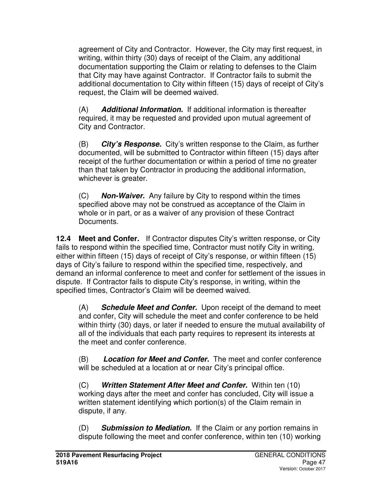agreement of City and Contractor. However, the City may first request, in writing, within thirty (30) days of receipt of the Claim, any additional documentation supporting the Claim or relating to defenses to the Claim that City may have against Contractor. If Contractor fails to submit the additional documentation to City within fifteen (15) days of receipt of City's request, the Claim will be deemed waived.

(A) **Additional Information.** If additional information is thereafter required, it may be requested and provided upon mutual agreement of City and Contractor.

(B) **City's Response.** City's written response to the Claim, as further documented, will be submitted to Contractor within fifteen (15) days after receipt of the further documentation or within a period of time no greater than that taken by Contractor in producing the additional information, whichever is greater.

(C) **Non-Waiver.** Any failure by City to respond within the times specified above may not be construed as acceptance of the Claim in whole or in part, or as a waiver of any provision of these Contract Documents.

**12.4 Meet and Confer.** If Contractor disputes City's written response, or City fails to respond within the specified time, Contractor must notify City in writing, either within fifteen (15) days of receipt of City's response, or within fifteen (15) days of City's failure to respond within the specified time, respectively, and demand an informal conference to meet and confer for settlement of the issues in dispute. If Contractor fails to dispute City's response, in writing, within the specified times, Contractor's Claim will be deemed waived.

(A) **Schedule Meet and Confer.** Upon receipt of the demand to meet and confer, City will schedule the meet and confer conference to be held within thirty (30) days, or later if needed to ensure the mutual availability of all of the individuals that each party requires to represent its interests at the meet and confer conference.

(B) **Location for Meet and Confer.** The meet and confer conference will be scheduled at a location at or near City's principal office.

(C) **Written Statement After Meet and Confer.** Within ten (10) working days after the meet and confer has concluded, City will issue a written statement identifying which portion(s) of the Claim remain in dispute, if any.

(D) **Submission to Mediation.** If the Claim or any portion remains in dispute following the meet and confer conference, within ten (10) working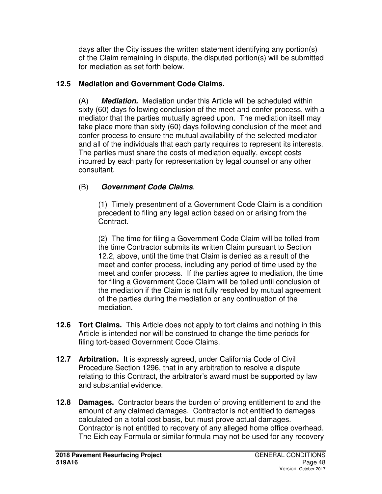days after the City issues the written statement identifying any portion(s) of the Claim remaining in dispute, the disputed portion(s) will be submitted for mediation as set forth below.

# **12.5 Mediation and Government Code Claims.**

(A) **Mediation.** Mediation under this Article will be scheduled within sixty (60) days following conclusion of the meet and confer process, with a mediator that the parties mutually agreed upon. The mediation itself may take place more than sixty (60) days following conclusion of the meet and confer process to ensure the mutual availability of the selected mediator and all of the individuals that each party requires to represent its interests. The parties must share the costs of mediation equally, except costs incurred by each party for representation by legal counsel or any other consultant.

# (B) **Government Code Claims**.

(1)Timely presentment of a Government Code Claim is a condition precedent to filing any legal action based on or arising from the Contract.

(2) The time for filing a Government Code Claim will be tolled from the time Contractor submits its written Claim pursuant to Section 12.2, above, until the time that Claim is denied as a result of the meet and confer process, including any period of time used by the meet and confer process. If the parties agree to mediation, the time for filing a Government Code Claim will be tolled until conclusion of the mediation if the Claim is not fully resolved by mutual agreement of the parties during the mediation or any continuation of the mediation.

- **12.6 Tort Claims.** This Article does not apply to tort claims and nothing in this Article is intended nor will be construed to change the time periods for filing tort-based Government Code Claims.
- **12.7 Arbitration.** It is expressly agreed, under California Code of Civil Procedure Section 1296, that in any arbitration to resolve a dispute relating to this Contract, the arbitrator's award must be supported by law and substantial evidence.
- **12.8 Damages.** Contractor bears the burden of proving entitlement to and the amount of any claimed damages. Contractor is not entitled to damages calculated on a total cost basis, but must prove actual damages. Contractor is not entitled to recovery of any alleged home office overhead. The Eichleay Formula or similar formula may not be used for any recovery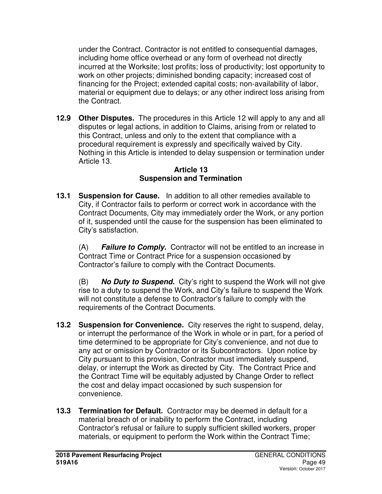under the Contract. Contractor is not entitled to consequential damages, including home office overhead or any form of overhead not directly incurred at the Worksite; lost profits; loss of productivity; lost opportunity to work on other projects; diminished bonding capacity; increased cost of financing for the Project; extended capital costs; non-availability of labor, material or equipment due to delays; or any other indirect loss arising from the Contract.

**12.9 Other Disputes.** The procedures in this Article 12 will apply to any and all disputes or legal actions, in addition to Claims, arising from or related to this Contract, unless and only to the extent that compliance with a procedural requirement is expressly and specifically waived by City. Nothing in this Article is intended to delay suspension or termination under Article 13.

#### **Article 13 Suspension and Termination**

**13.1 Suspension for Cause.** In addition to all other remedies available to City, if Contractor fails to perform or correct work in accordance with the Contract Documents, City may immediately order the Work, or any portion of it, suspended until the cause for the suspension has been eliminated to City's satisfaction.

(A) **Failure to Comply.** Contractor will not be entitled to an increase in Contract Time or Contract Price for a suspension occasioned by Contractor's failure to comply with the Contract Documents.

(B) **No Duty to Suspend.** City's right to suspend the Work will not give rise to a duty to suspend the Work, and City's failure to suspend the Work will not constitute a defense to Contractor's failure to comply with the requirements of the Contract Documents.

- **13.2 Suspension for Convenience.** City reserves the right to suspend, delay, or interrupt the performance of the Work in whole or in part, for a period of time determined to be appropriate for City's convenience, and not due to any act or omission by Contractor or its Subcontractors. Upon notice by City pursuant to this provision, Contractor must immediately suspend, delay, or interrupt the Work as directed by City. The Contract Price and the Contract Time will be equitably adjusted by Change Order to reflect the cost and delay impact occasioned by such suspension for convenience.
- **13.3 Termination for Default.** Contractor may be deemed in default for a material breach of or inability to perform the Contract, including Contractor's refusal or failure to supply sufficient skilled workers, proper materials, or equipment to perform the Work within the Contract Time;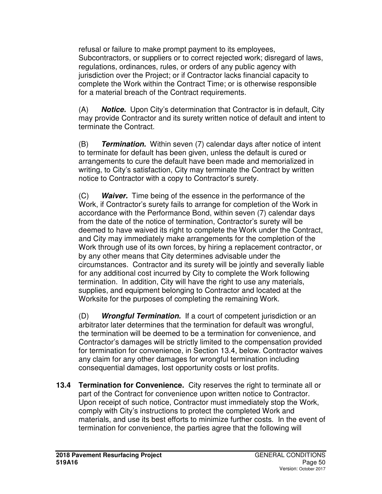refusal or failure to make prompt payment to its employees, Subcontractors, or suppliers or to correct rejected work; disregard of laws, regulations, ordinances, rules, or orders of any public agency with jurisdiction over the Project; or if Contractor lacks financial capacity to complete the Work within the Contract Time; or is otherwise responsible for a material breach of the Contract requirements.

(A) **Notice.** Upon City's determination that Contractor is in default, City may provide Contractor and its surety written notice of default and intent to terminate the Contract.

(B) **Termination.** Within seven (7) calendar days after notice of intent to terminate for default has been given, unless the default is cured or arrangements to cure the default have been made and memorialized in writing, to City's satisfaction, City may terminate the Contract by written notice to Contractor with a copy to Contractor's surety.

(C) **Waiver.** Time being of the essence in the performance of the Work, if Contractor's surety fails to arrange for completion of the Work in accordance with the Performance Bond, within seven (7) calendar days from the date of the notice of termination, Contractor's surety will be deemed to have waived its right to complete the Work under the Contract, and City may immediately make arrangements for the completion of the Work through use of its own forces, by hiring a replacement contractor, or by any other means that City determines advisable under the circumstances. Contractor and its surety will be jointly and severally liable for any additional cost incurred by City to complete the Work following termination. In addition, City will have the right to use any materials, supplies, and equipment belonging to Contractor and located at the Worksite for the purposes of completing the remaining Work.

(D) **Wrongful Termination.** If a court of competent jurisdiction or an arbitrator later determines that the termination for default was wrongful, the termination will be deemed to be a termination for convenience, and Contractor's damages will be strictly limited to the compensation provided for termination for convenience, in Section 13.4, below. Contractor waives any claim for any other damages for wrongful termination including consequential damages, lost opportunity costs or lost profits.

**13.4 Termination for Convenience.** City reserves the right to terminate all or part of the Contract for convenience upon written notice to Contractor. Upon receipt of such notice, Contractor must immediately stop the Work, comply with City's instructions to protect the completed Work and materials, and use its best efforts to minimize further costs. In the event of termination for convenience, the parties agree that the following will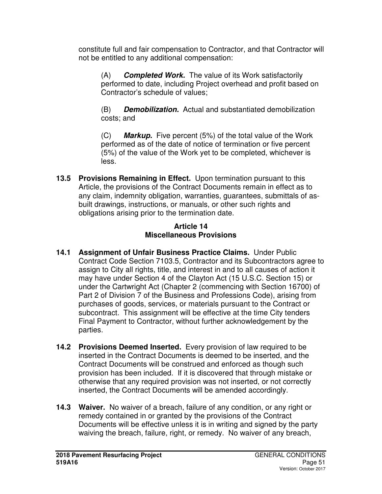constitute full and fair compensation to Contractor, and that Contractor will not be entitled to any additional compensation:

(A) **Completed Work.** The value of its Work satisfactorily performed to date, including Project overhead and profit based on Contractor's schedule of values;

(B) **Demobilization.** Actual and substantiated demobilization costs; and

(C) **Markup.** Five percent (5%) of the total value of the Work performed as of the date of notice of termination or five percent (5%) of the value of the Work yet to be completed, whichever is less.

**13.5 Provisions Remaining in Effect.** Upon termination pursuant to this Article, the provisions of the Contract Documents remain in effect as to any claim, indemnity obligation, warranties, guarantees, submittals of asbuilt drawings, instructions, or manuals, or other such rights and obligations arising prior to the termination date.

# **Article 14 Miscellaneous Provisions**

- **14.1 Assignment of Unfair Business Practice Claims.** Under Public Contract Code Section 7103.5, Contractor and its Subcontractors agree to assign to City all rights, title, and interest in and to all causes of action it may have under Section 4 of the Clayton Act (15 U.S.C. Section 15) or under the Cartwright Act (Chapter 2 (commencing with Section 16700) of Part 2 of Division 7 of the Business and Professions Code), arising from purchases of goods, services, or materials pursuant to the Contract or subcontract. This assignment will be effective at the time City tenders Final Payment to Contractor, without further acknowledgement by the parties.
- **14.2 Provisions Deemed Inserted.** Every provision of law required to be inserted in the Contract Documents is deemed to be inserted, and the Contract Documents will be construed and enforced as though such provision has been included. If it is discovered that through mistake or otherwise that any required provision was not inserted, or not correctly inserted, the Contract Documents will be amended accordingly.
- **14.3 Waiver.** No waiver of a breach, failure of any condition, or any right or remedy contained in or granted by the provisions of the Contract Documents will be effective unless it is in writing and signed by the party waiving the breach, failure, right, or remedy. No waiver of any breach,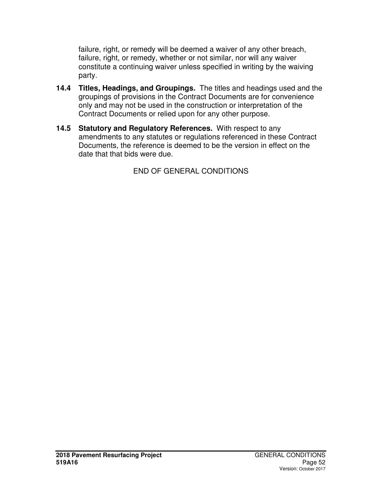failure, right, or remedy will be deemed a waiver of any other breach, failure, right, or remedy, whether or not similar, nor will any waiver constitute a continuing waiver unless specified in writing by the waiving party.

- **14.4 Titles, Headings, and Groupings.** The titles and headings used and the groupings of provisions in the Contract Documents are for convenience only and may not be used in the construction or interpretation of the Contract Documents or relied upon for any other purpose.
- **14.5 Statutory and Regulatory References.** With respect to any amendments to any statutes or regulations referenced in these Contract Documents, the reference is deemed to be the version in effect on the date that that bids were due.

END OF GENERAL CONDITIONS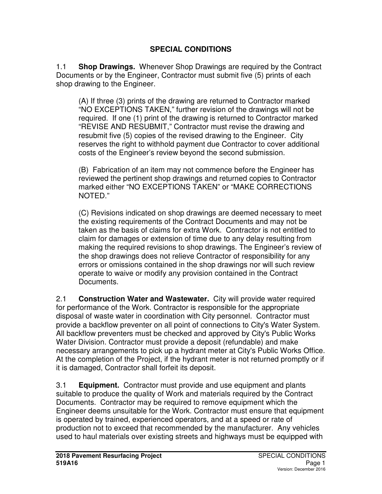# **SPECIAL CONDITIONS**

1.1 **Shop Drawings.** Whenever Shop Drawings are required by the Contract Documents or by the Engineer, Contractor must submit five (5) prints of each shop drawing to the Engineer.

(A) If three (3) prints of the drawing are returned to Contractor marked "NO EXCEPTIONS TAKEN," further revision of the drawings will not be required. If one (1) print of the drawing is returned to Contractor marked "REVISE AND RESUBMIT," Contractor must revise the drawing and resubmit five (5) copies of the revised drawing to the Engineer. City reserves the right to withhold payment due Contractor to cover additional costs of the Engineer's review beyond the second submission.

(B) Fabrication of an item may not commence before the Engineer has reviewed the pertinent shop drawings and returned copies to Contractor marked either "NO EXCEPTIONS TAKEN" or "MAKE CORRECTIONS NOTED."

(C) Revisions indicated on shop drawings are deemed necessary to meet the existing requirements of the Contract Documents and may not be taken as the basis of claims for extra Work. Contractor is not entitled to claim for damages or extension of time due to any delay resulting from making the required revisions to shop drawings. The Engineer's review of the shop drawings does not relieve Contractor of responsibility for any errors or omissions contained in the shop drawings nor will such review operate to waive or modify any provision contained in the Contract Documents.

2.1 **Construction Water and Wastewater.** City will provide water required for performance of the Work. Contractor is responsible for the appropriate disposal of waste water in coordination with City personnel. Contractor must provide a backflow preventer on all point of connections to City's Water System. All backflow preventers must be checked and approved by City's Public Works Water Division. Contractor must provide a deposit (refundable) and make necessary arrangements to pick up a hydrant meter at City's Public Works Office. At the completion of the Project, if the hydrant meter is not returned promptly or if it is damaged, Contractor shall forfeit its deposit.

3.1 **Equipment.** Contractor must provide and use equipment and plants suitable to produce the quality of Work and materials required by the Contract Documents. Contractor may be required to remove equipment which the Engineer deems unsuitable for the Work. Contractor must ensure that equipment is operated by trained, experienced operators, and at a speed or rate of production not to exceed that recommended by the manufacturer. Any vehicles used to haul materials over existing streets and highways must be equipped with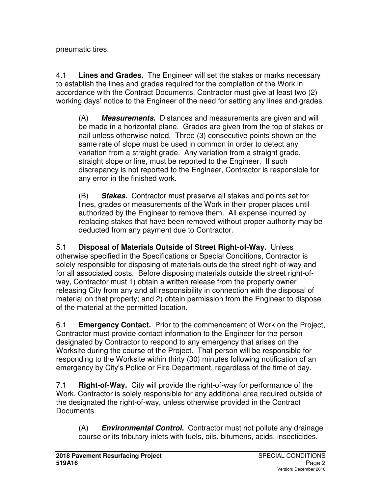pneumatic tires.

4.1 **Lines and Grades.** The Engineer will set the stakes or marks necessary to establish the lines and grades required for the completion of the Work in accordance with the Contract Documents. Contractor must give at least two (2) working days' notice to the Engineer of the need for setting any lines and grades.

(A) **Measurements.** Distances and measurements are given and will be made in a horizontal plane. Grades are given from the top of stakes or nail unless otherwise noted. Three (3) consecutive points shown on the same rate of slope must be used in common in order to detect any variation from a straight grade. Any variation from a straight grade, straight slope or line, must be reported to the Engineer. If such discrepancy is not reported to the Engineer, Contractor is responsible for any error in the finished work.

(B) **Stakes.** Contractor must preserve all stakes and points set for lines, grades or measurements of the Work in their proper places until authorized by the Engineer to remove them. All expense incurred by replacing stakes that have been removed without proper authority may be deducted from any payment due to Contractor.

5.1 **Disposal of Materials Outside of Street Right-of-Way.** Unless otherwise specified in the Specifications or Special Conditions, Contractor is solely responsible for disposing of materials outside the street right-of-way and for all associated costs. Before disposing materials outside the street right-ofway, Contractor must 1) obtain a written release from the property owner releasing City from any and all responsibility in connection with the disposal of material on that property; and 2) obtain permission from the Engineer to dispose of the material at the permitted location.

6.1 **Emergency Contact.** Prior to the commencement of Work on the Project, Contractor must provide contact information to the Engineer for the person designated by Contractor to respond to any emergency that arises on the Worksite during the course of the Project. That person will be responsible for responding to the Worksite within thirty (30) minutes following notification of an emergency by City's Police or Fire Department, regardless of the time of day.

7.1 **Right-of-Way.** City will provide the right-of-way for performance of the Work. Contractor is solely responsible for any additional area required outside of the designated the right-of-way, unless otherwise provided in the Contract Documents.

(A) **Environmental Control.** Contractor must not pollute any drainage course or its tributary inlets with fuels, oils, bitumens, acids, insecticides,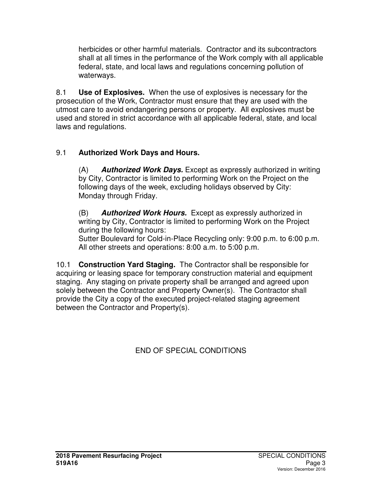herbicides or other harmful materials. Contractor and its subcontractors shall at all times in the performance of the Work comply with all applicable federal, state, and local laws and regulations concerning pollution of waterways.

8.1 **Use of Explosives.** When the use of explosives is necessary for the prosecution of the Work, Contractor must ensure that they are used with the utmost care to avoid endangering persons or property. All explosives must be used and stored in strict accordance with all applicable federal, state, and local laws and regulations.

# 9.1 **Authorized Work Days and Hours.**

(A) **Authorized Work Days.** Except as expressly authorized in writing by City, Contractor is limited to performing Work on the Project on the following days of the week, excluding holidays observed by City: Monday through Friday.

(B) **Authorized Work Hours.** Except as expressly authorized in writing by City, Contractor is limited to performing Work on the Project during the following hours:

Sutter Boulevard for Cold-in-Place Recycling only: 9:00 p.m. to 6:00 p.m. All other streets and operations: 8:00 a.m. to 5:00 p.m.

10.1 **Construction Yard Staging.** The Contractor shall be responsible for acquiring or leasing space for temporary construction material and equipment staging. Any staging on private property shall be arranged and agreed upon solely between the Contractor and Property Owner(s). The Contractor shall provide the City a copy of the executed project-related staging agreement between the Contractor and Property(s).

END OF SPECIAL CONDITIONS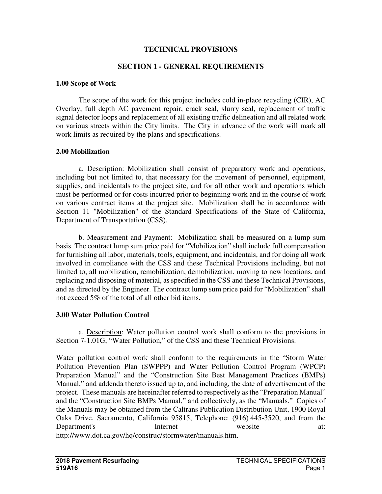#### **TECHNICAL PROVISIONS**

### **SECTION 1 - GENERAL REQUIREMENTS**

#### **1.00 Scope of Work**

 The scope of the work for this project includes cold in-place recycling (CIR), AC Overlay, full depth AC pavement repair, crack seal, slurry seal, replacement of traffic signal detector loops and replacement of all existing traffic delineation and all related work on various streets within the City limits. The City in advance of the work will mark all work limits as required by the plans and specifications.

#### **2.00 Mobilization**

 a. Description: Mobilization shall consist of preparatory work and operations, including but not limited to, that necessary for the movement of personnel, equipment, supplies, and incidentals to the project site, and for all other work and operations which must be performed or for costs incurred prior to beginning work and in the course of work on various contract items at the project site. Mobilization shall be in accordance with Section 11 "Mobilization" of the Standard Specifications of the State of California, Department of Transportation (CSS).

 b. Measurement and Payment: Mobilization shall be measured on a lump sum basis. The contract lump sum price paid for "Mobilization" shall include full compensation for furnishing all labor, materials, tools, equipment, and incidentals, and for doing all work involved in compliance with the CSS and these Technical Provisions including, but not limited to, all mobilization, remobilization, demobilization, moving to new locations, and replacing and disposing of material, as specified in the CSS and these Technical Provisions, and as directed by the Engineer. The contract lump sum price paid for "Mobilization" shall not exceed 5% of the total of all other bid items.

## **3.00 Water Pollution Control**

a. Description: Water pollution control work shall conform to the provisions in Section 7-1.01G, "Water Pollution," of the CSS and these Technical Provisions.

Water pollution control work shall conform to the requirements in the "Storm Water Pollution Prevention Plan (SWPPP) and Water Pollution Control Program (WPCP) Preparation Manual" and the "Construction Site Best Management Practices (BMPs) Manual," and addenda thereto issued up to, and including, the date of advertisement of the project. These manuals are hereinafter referred to respectively as the "Preparation Manual" and the "Construction Site BMPs Manual," and collectively, as the "Manuals." Copies of the Manuals may be obtained from the Caltrans Publication Distribution Unit, 1900 Royal Oaks Drive, Sacramento, California 95815, Telephone: (916) 445-3520, and from the Department's Internet website at: http://www.dot.ca.gov/hq/construc/stormwater/manuals.htm.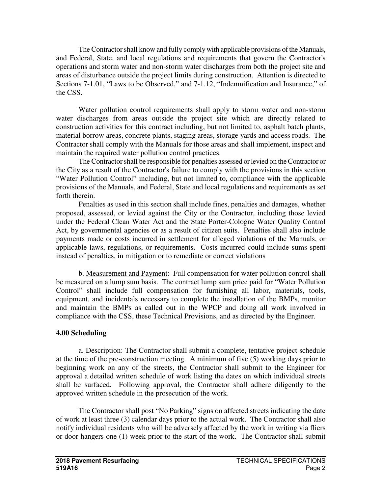The Contractor shall know and fully comply with applicable provisions of the Manuals, and Federal, State, and local regulations and requirements that govern the Contractor's operations and storm water and non-storm water discharges from both the project site and areas of disturbance outside the project limits during construction. Attention is directed to Sections 7-1.01, "Laws to be Observed," and 7-1.12, "Indemnification and Insurance," of the CSS.

Water pollution control requirements shall apply to storm water and non-storm water discharges from areas outside the project site which are directly related to construction activities for this contract including, but not limited to, asphalt batch plants, material borrow areas, concrete plants, staging areas, storage yards and access roads. The Contractor shall comply with the Manuals for those areas and shall implement, inspect and maintain the required water pollution control practices.

The Contractor shall be responsible for penalties assessed or levied on the Contractor or the City as a result of the Contractor's failure to comply with the provisions in this section "Water Pollution Control" including, but not limited to, compliance with the applicable provisions of the Manuals, and Federal, State and local regulations and requirements as set forth therein.

Penalties as used in this section shall include fines, penalties and damages, whether proposed, assessed, or levied against the City or the Contractor, including those levied under the Federal Clean Water Act and the State Porter-Cologne Water Quality Control Act, by governmental agencies or as a result of citizen suits. Penalties shall also include payments made or costs incurred in settlement for alleged violations of the Manuals, or applicable laws, regulations, or requirements. Costs incurred could include sums spent instead of penalties, in mitigation or to remediate or correct violations

b. Measurement and Payment: Full compensation for water pollution control shall be measured on a lump sum basis. The contract lump sum price paid for "Water Pollution Control" shall include full compensation for furnishing all labor, materials, tools, equipment, and incidentals necessary to complete the installation of the BMPs, monitor and maintain the BMPs as called out in the WPCP and doing all work involved in compliance with the CSS, these Technical Provisions, and as directed by the Engineer.

## **4.00 Scheduling**

a. Description: The Contractor shall submit a complete, tentative project schedule at the time of the pre-construction meeting. A minimum of five (5) working days prior to beginning work on any of the streets, the Contractor shall submit to the Engineer for approval a detailed written schedule of work listing the dates on which individual streets shall be surfaced. Following approval, the Contractor shall adhere diligently to the approved written schedule in the prosecution of the work.

The Contractor shall post "No Parking" signs on affected streets indicating the date of work at least three (3) calendar days prior to the actual work. The Contractor shall also notify individual residents who will be adversely affected by the work in writing via fliers or door hangers one (1) week prior to the start of the work. The Contractor shall submit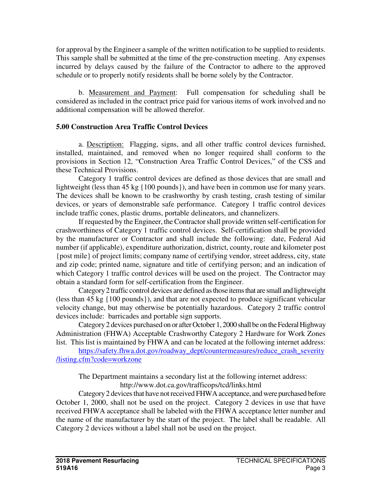for approval by the Engineer a sample of the written notification to be supplied to residents. This sample shall be submitted at the time of the pre-construction meeting. Any expenses incurred by delays caused by the failure of the Contractor to adhere to the approved schedule or to properly notify residents shall be borne solely by the Contractor.

 b. Measurement and Payment: Full compensation for scheduling shall be considered as included in the contract price paid for various items of work involved and no additional compensation will be allowed therefor.

## **5.00 Construction Area Traffic Control Devices**

a. Description: Flagging, signs, and all other traffic control devices furnished, installed, maintained, and removed when no longer required shall conform to the provisions in Section 12, "Construction Area Traffic Control Devices," of the CSS and these Technical Provisions.

Category 1 traffic control devices are defined as those devices that are small and lightweight (less than 45 kg {100 pounds}), and have been in common use for many years. The devices shall be known to be crashworthy by crash testing, crash testing of similar devices, or years of demonstrable safe performance. Category 1 traffic control devices include traffic cones, plastic drums, portable delineators, and channelizers.

If requested by the Engineer, the Contractor shall provide written self-certification for crashworthiness of Category 1 traffic control devices. Self-certification shall be provided by the manufacturer or Contractor and shall include the following: date, Federal Aid number (if applicable), expenditure authorization, district, county, route and kilometer post {post mile} of project limits; company name of certifying vendor, street address, city, state and zip code; printed name, signature and title of certifying person; and an indication of which Category 1 traffic control devices will be used on the project. The Contractor may obtain a standard form for self-certification from the Engineer.

Category 2 traffic control devices are defined as those items that are small and lightweight (less than 45 kg {100 pounds}), and that are not expected to produce significant vehicular velocity change, but may otherwise be potentially hazardous. Category 2 traffic control devices include: barricades and portable sign supports.

Category 2 devices purchased on or after October 1, 2000 shall be on the Federal Highway Administration (FHWA) Acceptable Crashworthy Category 2 Hardware for Work Zones list. This list is maintained by FHWA and can be located at the following internet address:

https://safety.fhwa.dot.gov/roadway\_dept/countermeasures/reduce\_crash\_severity\_ /listing.cfm?code=workzone

 The Department maintains a secondary list at the following internet address: http://www.dot.ca.gov/trafficops/tcd/links.html

Category 2 devices that have not received FHWA acceptance, and were purchased before October 1, 2000, shall not be used on the project. Category 2 devices in use that have received FHWA acceptance shall be labeled with the FHWA acceptance letter number and the name of the manufacturer by the start of the project. The label shall be readable. All Category 2 devices without a label shall not be used on the project.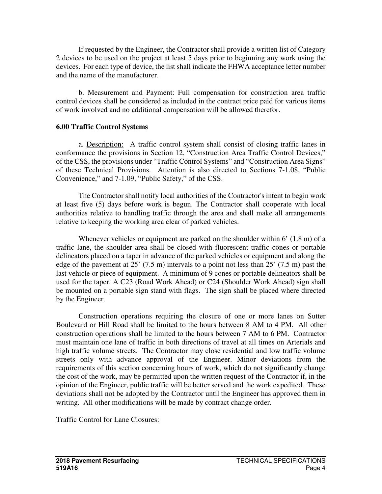If requested by the Engineer, the Contractor shall provide a written list of Category 2 devices to be used on the project at least 5 days prior to beginning any work using the devices. For each type of device, the list shall indicate the FHWA acceptance letter number and the name of the manufacturer.

b. Measurement and Payment: Full compensation for construction area traffic control devices shall be considered as included in the contract price paid for various items of work involved and no additional compensation will be allowed therefor.

## **6.00 Traffic Control Systems**

a. Description: A traffic control system shall consist of closing traffic lanes in conformance the provisions in Section 12, "Construction Area Traffic Control Devices," of the CSS, the provisions under "Traffic Control Systems" and "Construction Area Signs" of these Technical Provisions. Attention is also directed to Sections 7-1.08, "Public Convenience," and 7-1.09, "Public Safety," of the CSS.

 The Contractor shall notify local authorities of the Contractor's intent to begin work at least five (5) days before work is begun. The Contractor shall cooperate with local authorities relative to handling traffic through the area and shall make all arrangements relative to keeping the working area clear of parked vehicles.

Whenever vehicles or equipment are parked on the shoulder within 6'  $(1.8 \text{ m})$  of a traffic lane, the shoulder area shall be closed with fluorescent traffic cones or portable delineators placed on a taper in advance of the parked vehicles or equipment and along the edge of the pavement at 25' (7.5 m) intervals to a point not less than 25' (7.5 m) past the last vehicle or piece of equipment. A minimum of 9 cones or portable delineators shall be used for the taper. A C23 (Road Work Ahead) or C24 (Shoulder Work Ahead) sign shall be mounted on a portable sign stand with flags. The sign shall be placed where directed by the Engineer.

Construction operations requiring the closure of one or more lanes on Sutter Boulevard or Hill Road shall be limited to the hours between 8 AM to 4 PM. All other construction operations shall be limited to the hours between 7 AM to 6 PM. Contractor must maintain one lane of traffic in both directions of travel at all times on Arterials and high traffic volume streets. The Contractor may close residential and low traffic volume streets only with advance approval of the Engineer. Minor deviations from the requirements of this section concerning hours of work, which do not significantly change the cost of the work, may be permitted upon the written request of the Contractor if, in the opinion of the Engineer, public traffic will be better served and the work expedited. These deviations shall not be adopted by the Contractor until the Engineer has approved them in writing. All other modifications will be made by contract change order.

Traffic Control for Lane Closures: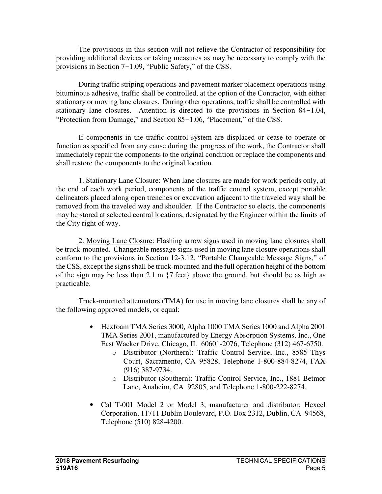The provisions in this section will not relieve the Contractor of responsibility for providing additional devices or taking measures as may be necessary to comply with the provisions in Section 7-1.09, "Public Safety," of the CSS.

 During traffic striping operations and pavement marker placement operations using bituminous adhesive, traffic shall be controlled, at the option of the Contractor, with either stationary or moving lane closures. During other operations, traffic shall be controlled with stationary lane closures. Attention is directed to the provisions in Section 84-1.04, "Protection from Damage," and Section 85-1.06, "Placement," of the CSS.

 If components in the traffic control system are displaced or cease to operate or function as specified from any cause during the progress of the work, the Contractor shall immediately repair the components to the original condition or replace the components and shall restore the components to the original location.

 1. Stationary Lane Closure: When lane closures are made for work periods only, at the end of each work period, components of the traffic control system, except portable delineators placed along open trenches or excavation adjacent to the traveled way shall be removed from the traveled way and shoulder. If the Contractor so elects, the components may be stored at selected central locations, designated by the Engineer within the limits of the City right of way.

2. Moving Lane Closure: Flashing arrow signs used in moving lane closures shall be truck-mounted. Changeable message signs used in moving lane closure operations shall conform to the provisions in Section 12-3.12, "Portable Changeable Message Signs," of the CSS, except the signs shall be truck-mounted and the full operation height of the bottom of the sign may be less than 2.1 m {7 feet} above the ground, but should be as high as practicable.

Truck-mounted attenuators (TMA) for use in moving lane closures shall be any of the following approved models, or equal:

- Hexfoam TMA Series 3000, Alpha 1000 TMA Series 1000 and Alpha 2001 TMA Series 2001, manufactured by Energy Absorption Systems, Inc., One East Wacker Drive, Chicago, IL 60601-2076, Telephone (312) 467-6750.
	- o Distributor (Northern): Traffic Control Service, Inc., 8585 Thys Court, Sacramento, CA 95828, Telephone 1-800-884-8274, FAX (916) 387-9734.
	- o Distributor (Southern): Traffic Control Service, Inc., 1881 Betmor Lane, Anaheim, CA 92805, and Telephone 1-800-222-8274.
- Cal T-001 Model 2 or Model 3, manufacturer and distributor: Hexcel Corporation, 11711 Dublin Boulevard, P.O. Box 2312, Dublin, CA 94568, Telephone (510) 828-4200.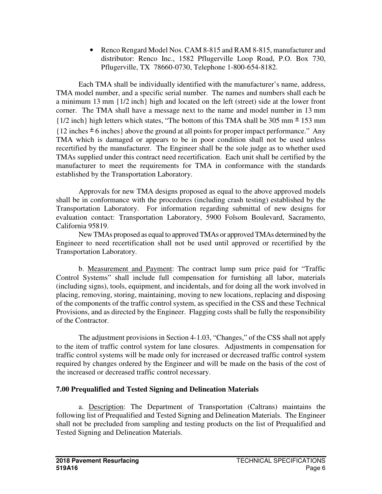• Renco Rengard Model Nos. CAM 8-815 and RAM 8-815, manufacturer and distributor: Renco Inc., 1582 Pflugerville Loop Road, P.O. Box 730, Pflugerville, TX 78660-0730, Telephone 1-800-654-8182.

Each TMA shall be individually identified with the manufacturer's name, address, TMA model number, and a specific serial number. The names and numbers shall each be a minimum 13 mm {1/2 inch} high and located on the left (street) side at the lower front corner. The TMA shall have a message next to the name and model number in 13 mm  ${1/2}$  inch} high letters which states, "The bottom of this TMA shall be 305 mm  $\pm$  153 mm  ${12}$  inches  $\pm$  6 inches above the ground at all points for proper impact performance." Any TMA which is damaged or appears to be in poor condition shall not be used unless recertified by the manufacturer. The Engineer shall be the sole judge as to whether used TMAs supplied under this contract need recertification. Each unit shall be certified by the manufacturer to meet the requirements for TMA in conformance with the standards established by the Transportation Laboratory.

Approvals for new TMA designs proposed as equal to the above approved models shall be in conformance with the procedures (including crash testing) established by the Transportation Laboratory. For information regarding submittal of new designs for evaluation contact: Transportation Laboratory, 5900 Folsom Boulevard, Sacramento, California 95819.

New TMAs proposed as equal to approved TMAs or approved TMAs determined by the Engineer to need recertification shall not be used until approved or recertified by the Transportation Laboratory.

 b. Measurement and Payment: The contract lump sum price paid for "Traffic Control Systems" shall include full compensation for furnishing all labor, materials (including signs), tools, equipment, and incidentals, and for doing all the work involved in placing, removing, storing, maintaining, moving to new locations, replacing and disposing of the components of the traffic control system, as specified in the CSS and these Technical Provisions, and as directed by the Engineer. Flagging costs shall be fully the responsibility of the Contractor.

The adjustment provisions in Section 4-1.03, "Changes," of the CSS shall not apply to the item of traffic control system for lane closures. Adjustments in compensation for traffic control systems will be made only for increased or decreased traffic control system required by changes ordered by the Engineer and will be made on the basis of the cost of the increased or decreased traffic control necessary.

# **7.00 Prequalified and Tested Signing and Delineation Materials**

a. Description: The Department of Transportation (Caltrans) maintains the following list of Prequalified and Tested Signing and Delineation Materials. The Engineer shall not be precluded from sampling and testing products on the list of Prequalified and Tested Signing and Delineation Materials.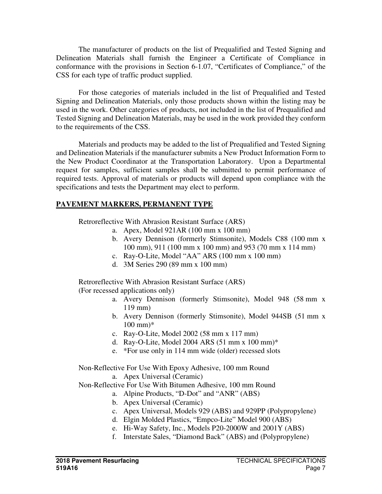The manufacturer of products on the list of Prequalified and Tested Signing and Delineation Materials shall furnish the Engineer a Certificate of Compliance in conformance with the provisions in Section 6-1.07, "Certificates of Compliance," of the CSS for each type of traffic product supplied.

For those categories of materials included in the list of Prequalified and Tested Signing and Delineation Materials, only those products shown within the listing may be used in the work. Other categories of products, not included in the list of Prequalified and Tested Signing and Delineation Materials, may be used in the work provided they conform to the requirements of the CSS.

Materials and products may be added to the list of Prequalified and Tested Signing and Delineation Materials if the manufacturer submits a New Product Information Form to the New Product Coordinator at the Transportation Laboratory. Upon a Departmental request for samples, sufficient samples shall be submitted to permit performance of required tests. Approval of materials or products will depend upon compliance with the specifications and tests the Department may elect to perform.

#### **PAVEMENT MARKERS, PERMANENT TYPE**

Retroreflective With Abrasion Resistant Surface (ARS)

- a. Apex, Model 921AR (100 mm x 100 mm)
- b. Avery Dennison (formerly Stimsonite), Models C88 (100 mm x 100 mm), 911 (100 mm x 100 mm) and 953 (70 mm x 114 mm)
- c. Ray-O-Lite, Model "AA" ARS (100 mm x 100 mm)
- d. 3M Series 290 (89 mm x 100 mm)

Retroreflective With Abrasion Resistant Surface (ARS) (For recessed applications only)

- a. Avery Dennison (formerly Stimsonite), Model 948 (58 mm x 119 mm)
- b. Avery Dennison (formerly Stimsonite), Model 944SB (51 mm x  $100 \text{ mm}$ <sup>\*</sup>
- c. Ray-O-Lite, Model 2002 (58 mm x 117 mm)
- d. Ray-O-Lite, Model 2004 ARS (51 mm x 100 mm)\*
- e. \*For use only in 114 mm wide (older) recessed slots

Non-Reflective For Use With Epoxy Adhesive, 100 mm Round

a. Apex Universal (Ceramic)

Non-Reflective For Use With Bitumen Adhesive, 100 mm Round

- a. Alpine Products, "D-Dot" and "ANR" (ABS)
- b. Apex Universal (Ceramic)
- c. Apex Universal, Models 929 (ABS) and 929PP (Polypropylene)
- d. Elgin Molded Plastics, "Empco-Lite" Model 900 (ABS)
- e. Hi-Way Safety, Inc., Models P20-2000W and 2001Y (ABS)
- f. Interstate Sales, "Diamond Back" (ABS) and (Polypropylene)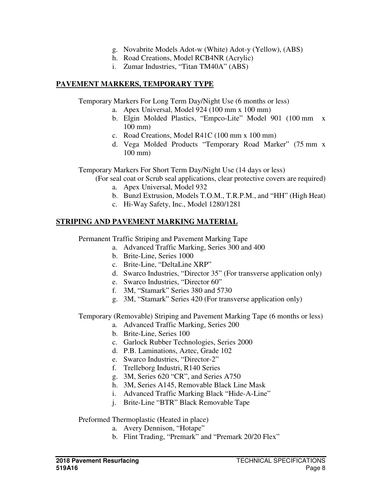- g. Novabrite Models Adot-w (White) Adot-y (Yellow), (ABS)
- h. Road Creations, Model RCB4NR (Acrylic)
- i. Zumar Industries, "Titan TM40A" (ABS)

## **PAVEMENT MARKERS, TEMPORARY TYPE**

Temporary Markers For Long Term Day/Night Use (6 months or less)

- a. Apex Universal, Model 924 (100 mm x 100 mm)
- b. Elgin Molded Plastics, "Empco-Lite" Model 901 (100 mm x 100 mm)
- c. Road Creations, Model R41C (100 mm x 100 mm)
- d. Vega Molded Products "Temporary Road Marker" (75 mm x 100 mm)

Temporary Markers For Short Term Day/Night Use (14 days or less)

(For seal coat or Scrub seal applications, clear protective covers are required)

- a. Apex Universal, Model 932
- b. Bunzl Extrusion, Models T.O.M., T.R.P.M., and "HH" (High Heat)
- c. Hi-Way Safety, Inc., Model 1280/1281

# **STRIPING AND PAVEMENT MARKING MATERIAL**

Permanent Traffic Striping and Pavement Marking Tape

- a. Advanced Traffic Marking, Series 300 and 400
- b. Brite-Line, Series 1000
- c. Brite-Line, "DeltaLine XRP"
- d. Swarco Industries, "Director 35" (For transverse application only)
- e. Swarco Industries, "Director 60"
- f. 3M, "Stamark" Series 380 and 5730
- g. 3M, "Stamark" Series 420 (For transverse application only)

Temporary (Removable) Striping and Pavement Marking Tape (6 months or less)

- a. Advanced Traffic Marking, Series 200
- b. Brite-Line, Series 100
- c. Garlock Rubber Technologies, Series 2000
- d. P.B. Laminations, Aztec, Grade 102
- e. Swarco Industries, "Director-2"
- f. Trelleborg Industri, R140 Series
- g. 3M, Series 620 "CR", and Series A750
- h. 3M, Series A145, Removable Black Line Mask
- i. Advanced Traffic Marking Black "Hide-A-Line"
- j. Brite-Line "BTR" Black Removable Tape

## Preformed Thermoplastic (Heated in place)

- a. Avery Dennison, "Hotape"
- b. Flint Trading, "Premark" and "Premark 20/20 Flex"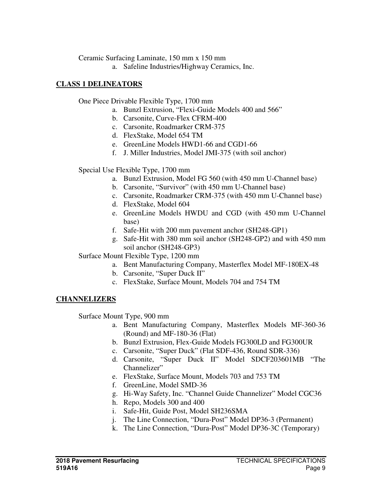Ceramic Surfacing Laminate, 150 mm x 150 mm

a. Safeline Industries/Highway Ceramics, Inc.

## **CLASS 1 DELINEATORS**

One Piece Drivable Flexible Type, 1700 mm

- a. Bunzl Extrusion, "Flexi-Guide Models 400 and 566"
- b. Carsonite, Curve-Flex CFRM-400
- c. Carsonite, Roadmarker CRM-375
- d. FlexStake, Model 654 TM
- e. GreenLine Models HWD1-66 and CGD1-66
- f. J. Miller Industries, Model JMI-375 (with soil anchor)

Special Use Flexible Type, 1700 mm

- a. Bunzl Extrusion, Model FG 560 (with 450 mm U-Channel base)
- b. Carsonite, "Survivor" (with 450 mm U-Channel base)
- c. Carsonite, Roadmarker CRM-375 (with 450 mm U-Channel base)
- d. FlexStake, Model 604
- e. GreenLine Models HWDU and CGD (with 450 mm U-Channel base)
- f. Safe-Hit with 200 mm pavement anchor (SH248-GP1)
- g. Safe-Hit with 380 mm soil anchor (SH248-GP2) and with 450 mm soil anchor (SH248-GP3)

Surface Mount Flexible Type, 1200 mm

- a. Bent Manufacturing Company, Masterflex Model MF-180EX-48
- b. Carsonite, "Super Duck II"
- c. FlexStake, Surface Mount, Models 704 and 754 TM

# **CHANNELIZERS**

Surface Mount Type, 900 mm

- a. Bent Manufacturing Company, Masterflex Models MF-360-36 (Round) and MF-180-36 (Flat)
- b. Bunzl Extrusion, Flex-Guide Models FG300LD and FG300UR
- c. Carsonite, "Super Duck" (Flat SDF-436, Round SDR-336)
- d. Carsonite, "Super Duck II" Model SDCF203601MB "The Channelizer"
- e. FlexStake, Surface Mount, Models 703 and 753 TM
- f. GreenLine, Model SMD-36
- g. Hi-Way Safety, Inc. "Channel Guide Channelizer" Model CGC36
- h. Repo, Models 300 and 400
- i. Safe-Hit, Guide Post, Model SH236SMA
- j. The Line Connection, "Dura-Post" Model DP36-3 (Permanent)
- k. The Line Connection, "Dura-Post" Model DP36-3C (Temporary)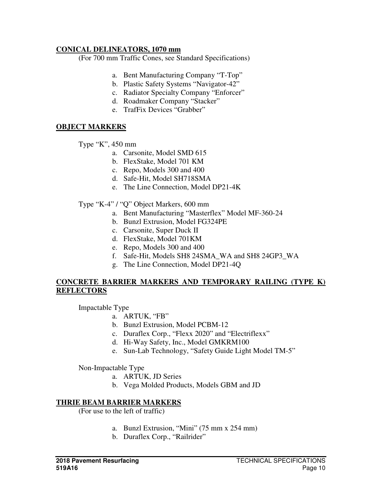#### **CONICAL DELINEATORS, 1070 mm**

(For 700 mm Traffic Cones, see Standard Specifications)

- a. Bent Manufacturing Company "T-Top"
- b. Plastic Safety Systems "Navigator-42"
- c. Radiator Specialty Company "Enforcer"
- d. Roadmaker Company "Stacker"
- e. TrafFix Devices "Grabber"

## **OBJECT MARKERS**

Type "K", 450 mm

- a. Carsonite, Model SMD 615
- b. FlexStake, Model 701 KM
- c. Repo, Models 300 and 400
- d. Safe-Hit, Model SH718SMA
- e. The Line Connection, Model DP21-4K
- Type "K-4" / "Q" Object Markers, 600 mm
	- a. Bent Manufacturing "Masterflex" Model MF-360-24
	- b. Bunzl Extrusion, Model FG324PE
	- c. Carsonite, Super Duck II
	- d. FlexStake, Model 701KM
	- e. Repo, Models 300 and 400
	- f. Safe-Hit, Models SH8 24SMA\_WA and SH8 24GP3\_WA
	- g. The Line Connection, Model DP21-4Q

#### **CONCRETE BARRIER MARKERS AND TEMPORARY RAILING (TYPE K) REFLECTORS**

Impactable Type

- a. ARTUK, "FB"
	- b. Bunzl Extrusion, Model PCBM-12
	- c. Duraflex Corp., "Flexx 2020" and "Electriflexx"
	- d. Hi-Way Safety, Inc., Model GMKRM100
	- e. Sun-Lab Technology, "Safety Guide Light Model TM-5"

Non-Impactable Type

- a. ARTUK, JD Series
- b. Vega Molded Products, Models GBM and JD

#### **THRIE BEAM BARRIER MARKERS**

(For use to the left of traffic)

- a. Bunzl Extrusion, "Mini" (75 mm x 254 mm)
- b. Duraflex Corp., "Railrider"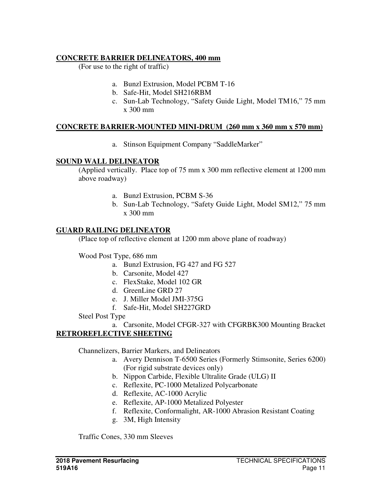# **CONCRETE BARRIER DELINEATORS, 400 mm**

(For use to the right of traffic)

- a. Bunzl Extrusion, Model PCBM T-16
- b. Safe-Hit, Model SH216RBM
- c. Sun-Lab Technology, "Safety Guide Light, Model TM16," 75 mm x 300 mm

## **CONCRETE BARRIER-MOUNTED MINI-DRUM (260 mm x 360 mm x 570 mm)**

a. Stinson Equipment Company "SaddleMarker"

## **SOUND WALL DELINEATOR**

(Applied vertically. Place top of 75 mm x 300 mm reflective element at 1200 mm above roadway)

- a. Bunzl Extrusion, PCBM S-36
- b. Sun-Lab Technology, "Safety Guide Light, Model SM12," 75 mm x 300 mm

## **GUARD RAILING DELINEATOR**

(Place top of reflective element at 1200 mm above plane of roadway)

Wood Post Type, 686 mm

- a. Bunzl Extrusion, FG 427 and FG 527
- b. Carsonite, Model 427
- c. FlexStake, Model 102 GR
- d. GreenLine GRD 27
- e. J. Miller Model JMI-375G
- f. Safe-Hit, Model SH227GRD

Steel Post Type

a. Carsonite, Model CFGR-327 with CFGRBK300 Mounting Bracket **RETROREFLECTIVE SHEETING** 

Channelizers, Barrier Markers, and Delineators

- a. Avery Dennison T-6500 Series (Formerly Stimsonite, Series 6200) (For rigid substrate devices only)
- b. Nippon Carbide, Flexible Ultralite Grade (ULG) II
- c. Reflexite, PC-1000 Metalized Polycarbonate
- d. Reflexite, AC-1000 Acrylic
- e. Reflexite, AP-1000 Metalized Polyester
- f. Reflexite, Conformalight, AR-1000 Abrasion Resistant Coating
- g. 3M, High Intensity

Traffic Cones, 330 mm Sleeves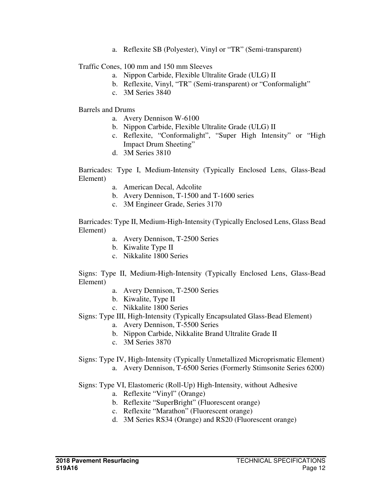a. Reflexite SB (Polyester), Vinyl or "TR" (Semi-transparent)

Traffic Cones, 100 mm and 150 mm Sleeves

- a. Nippon Carbide, Flexible Ultralite Grade (ULG) II
- b. Reflexite, Vinyl, "TR" (Semi-transparent) or "Conformalight"
- c. 3M Series 3840

Barrels and Drums

- a. Avery Dennison W-6100
- b. Nippon Carbide, Flexible Ultralite Grade (ULG) II
- c. Reflexite, "Conformalight", "Super High Intensity" or "High Impact Drum Sheeting"
- d. 3M Series 3810

Barricades: Type I, Medium-Intensity (Typically Enclosed Lens, Glass-Bead Element)

- a. American Decal, Adcolite
- b. Avery Dennison, T-1500 and T-1600 series
- c. 3M Engineer Grade, Series 3170

Barricades: Type II, Medium-High-Intensity (Typically Enclosed Lens, Glass Bead Element)

- a. Avery Dennison, T-2500 Series
- b. Kiwalite Type II
- c. Nikkalite 1800 Series

Signs: Type II, Medium-High-Intensity (Typically Enclosed Lens, Glass-Bead Element)

- a. Avery Dennison, T-2500 Series
- b. Kiwalite, Type II
- c. Nikkalite 1800 Series

Signs: Type III, High-Intensity (Typically Encapsulated Glass-Bead Element)

- a. Avery Dennison, T-5500 Series
- b. Nippon Carbide, Nikkalite Brand Ultralite Grade II
- c. 3M Series 3870

Signs: Type IV, High-Intensity (Typically Unmetallized Microprismatic Element) a. Avery Dennison, T-6500 Series (Formerly Stimsonite Series 6200)

Signs: Type VI, Elastomeric (Roll-Up) High-Intensity, without Adhesive

- a. Reflexite "Vinyl" (Orange)
- b. Reflexite "SuperBright" (Fluorescent orange)
- c. Reflexite "Marathon" (Fluorescent orange)
- d. 3M Series RS34 (Orange) and RS20 (Fluorescent orange)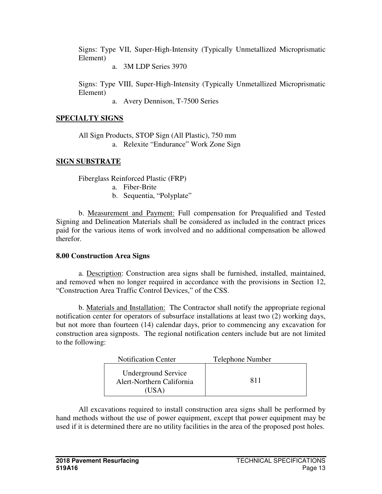Signs: Type VII, Super-High-Intensity (Typically Unmetallized Microprismatic Element)

a. 3M LDP Series 3970

Signs: Type VIII, Super-High-Intensity (Typically Unmetallized Microprismatic Element)

a. Avery Dennison, T-7500 Series

# **SPECIALTY SIGNS**

 All Sign Products, STOP Sign (All Plastic), 750 mm a. Relexite "Endurance" Work Zone Sign

# **SIGN SUBSTRATE**

Fiberglass Reinforced Plastic (FRP)

- a. Fiber-Brite
- b. Sequentia, "Polyplate"

b. Measurement and Payment: Full compensation for Prequalified and Tested Signing and Delineation Materials shall be considered as included in the contract prices paid for the various items of work involved and no additional compensation be allowed therefor.

# **8.00 Construction Area Signs**

a. Description: Construction area signs shall be furnished, installed, maintained, and removed when no longer required in accordance with the provisions in Section 12, "Construction Area Traffic Control Devices," of the CSS.

 b. Materials and Installation: The Contractor shall notify the appropriate regional notification center for operators of subsurface installations at least two (2) working days, but not more than fourteen (14) calendar days, prior to commencing any excavation for construction area signposts. The regional notification centers include but are not limited to the following:

| <b>Notification Center</b>                                       | Telephone Number |
|------------------------------------------------------------------|------------------|
| <b>Underground Service</b><br>Alert-Northern California<br>'USA) | 811              |

 All excavations required to install construction area signs shall be performed by hand methods without the use of power equipment, except that power equipment may be used if it is determined there are no utility facilities in the area of the proposed post holes.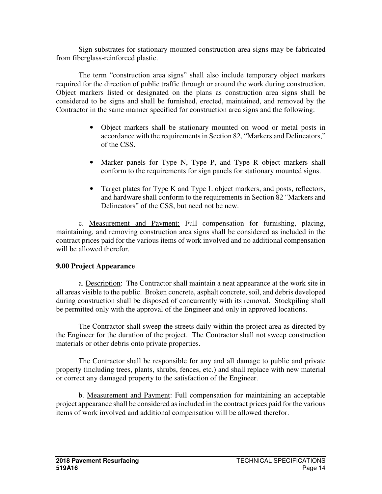Sign substrates for stationary mounted construction area signs may be fabricated from fiberglass-reinforced plastic.

 The term "construction area signs" shall also include temporary object markers required for the direction of public traffic through or around the work during construction. Object markers listed or designated on the plans as construction area signs shall be considered to be signs and shall be furnished, erected, maintained, and removed by the Contractor in the same manner specified for construction area signs and the following:

- Object markers shall be stationary mounted on wood or metal posts in accordance with the requirements in Section 82, "Markers and Delineators," of the CSS.
- Marker panels for Type N, Type P, and Type R object markers shall conform to the requirements for sign panels for stationary mounted signs.
- Target plates for Type K and Type L object markers, and posts, reflectors, and hardware shall conform to the requirements in Section 82 "Markers and Delineators" of the CSS, but need not be new.

 c. Measurement and Payment: Full compensation for furnishing, placing, maintaining, and removing construction area signs shall be considered as included in the contract prices paid for the various items of work involved and no additional compensation will be allowed therefor.

## **9.00 Project Appearance**

 a. Description: The Contractor shall maintain a neat appearance at the work site in all areas visible to the public. Broken concrete, asphalt concrete, soil, and debris developed during construction shall be disposed of concurrently with its removal. Stockpiling shall be permitted only with the approval of the Engineer and only in approved locations.

 The Contractor shall sweep the streets daily within the project area as directed by the Engineer for the duration of the project. The Contractor shall not sweep construction materials or other debris onto private properties.

 The Contractor shall be responsible for any and all damage to public and private property (including trees, plants, shrubs, fences, etc.) and shall replace with new material or correct any damaged property to the satisfaction of the Engineer.

 b. Measurement and Payment: Full compensation for maintaining an acceptable project appearance shall be considered as included in the contract prices paid for the various items of work involved and additional compensation will be allowed therefor.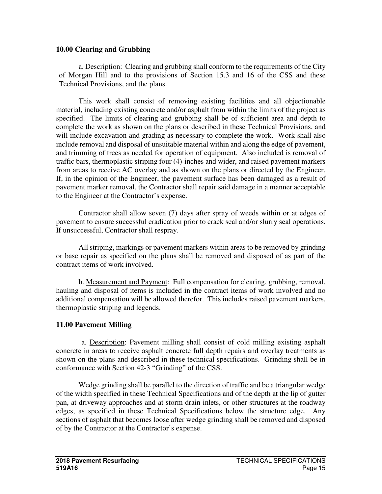#### **10.00 Clearing and Grubbing**

a. Description: Clearing and grubbing shall conform to the requirements of the City of Morgan Hill and to the provisions of Section 15.3 and 16 of the CSS and these Technical Provisions, and the plans.

This work shall consist of removing existing facilities and all objectionable material, including existing concrete and/or asphalt from within the limits of the project as specified. The limits of clearing and grubbing shall be of sufficient area and depth to complete the work as shown on the plans or described in these Technical Provisions, and will include excavation and grading as necessary to complete the work. Work shall also include removal and disposal of unsuitable material within and along the edge of pavement, and trimming of trees as needed for operation of equipment. Also included is removal of traffic bars, thermoplastic striping four (4)-inches and wider, and raised pavement markers from areas to receive AC overlay and as shown on the plans or directed by the Engineer. If, in the opinion of the Engineer, the pavement surface has been damaged as a result of pavement marker removal, the Contractor shall repair said damage in a manner acceptable to the Engineer at the Contractor's expense.

Contractor shall allow seven (7) days after spray of weeds within or at edges of pavement to ensure successful eradication prior to crack seal and/or slurry seal operations. If unsuccessful, Contractor shall respray.

All striping, markings or pavement markers within areas to be removed by grinding or base repair as specified on the plans shall be removed and disposed of as part of the contract items of work involved.

b. Measurement and Payment: Full compensation for clearing, grubbing, removal, hauling and disposal of items is included in the contract items of work involved and no additional compensation will be allowed therefor. This includes raised pavement markers, thermoplastic striping and legends.

## **11.00 Pavement Milling**

a. Description: Pavement milling shall consist of cold milling existing asphalt concrete in areas to receive asphalt concrete full depth repairs and overlay treatments as shown on the plans and described in these technical specifications. Grinding shall be in conformance with Section 42-3 "Grinding" of the CSS.

Wedge grinding shall be parallel to the direction of traffic and be a triangular wedge of the width specified in these Technical Specifications and of the depth at the lip of gutter pan, at driveway approaches and at storm drain inlets, or other structures at the roadway edges, as specified in these Technical Specifications below the structure edge. Any sections of asphalt that becomes loose after wedge grinding shall be removed and disposed of by the Contractor at the Contractor's expense.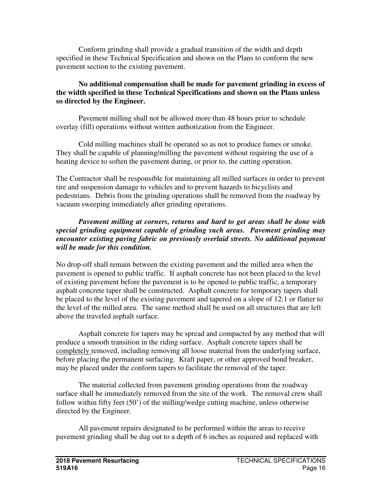Conform grinding shall provide a gradual transition of the width and depth specified in these Technical Specification and shown on the Plans to conform the new pavement section to the existing pavement.

#### **No additional compensation shall be made for pavement grinding in excess of the width specified in these Technical Specifications and shown on the Plans unless so directed by the Engineer.**

Pavement milling shall not be allowed more than 48 hours prior to schedule overlay (fill) operations without written authorization from the Engineer.

Cold milling machines shall be operated so as not to produce fumes or smoke. They shall be capable of planning/milling the pavement without requiring the use of a heating device to soften the pavement during, or prior to, the cutting operation.

The Contractor shall be responsible for maintaining all milled surfaces in order to prevent tire and suspension damage to vehicles and to prevent hazards to bicyclists and pedestrians. Debris from the grinding operations shall be removed from the roadway by vacuum sweeping immediately after grinding operations.

#### *Pavement milling at corners, returns and hard to get areas shall be done with special grinding equipment capable of grinding such areas. Pavement grinding may encounter existing paving fabric on previously overlaid streets. No additional payment will be made for this condition.*

No drop-off shall remain between the existing pavement and the milled area when the pavement is opened to public traffic. If asphalt concrete has not been placed to the level of existing pavement before the pavement is to be opened to public traffic, a temporary asphalt concrete taper shall be constructed. Asphalt concrete for temporary tapers shall be placed to the level of the existing pavement and tapered on a slope of 12:1 or flatter to the level of the milled area. The same method shall be used on all structures that are left above the traveled asphalt surface.

Asphalt concrete for tapers may be spread and compacted by any method that will produce a smooth transition in the riding surface. Asphalt concrete tapers shall be completely removed, including removing all loose material from the underlying surface, before placing the permanent surfacing. Kraft paper, or other approved bond breaker, may be placed under the conform tapers to facilitate the removal of the taper.

The material collected from pavement grinding operations from the roadway surface shall be immediately removed from the site of the work. The removal crew shall follow within fifty feet (50') of the milling/wedge cutting machine, unless otherwise directed by the Engineer.

All pavement repairs designated to be performed within the areas to receive pavement grinding shall be dug out to a depth of 6 inches as required and replaced with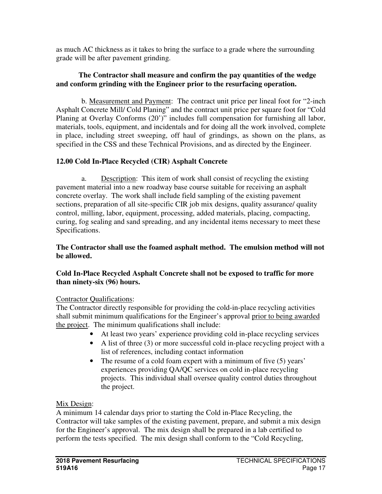as much AC thickness as it takes to bring the surface to a grade where the surrounding grade will be after pavement grinding.

#### **The Contractor shall measure and confirm the pay quantities of the wedge and conform grinding with the Engineer prior to the resurfacing operation.**

b. Measurement and Payment: The contract unit price per lineal foot for "2-inch Asphalt Concrete Mill/ Cold Planing" and the contract unit price per square foot for "Cold Planing at Overlay Conforms (20')" includes full compensation for furnishing all labor, materials, tools, equipment, and incidentals and for doing all the work involved, complete in place, including street sweeping, off haul of grindings, as shown on the plans, as specified in the CSS and these Technical Provisions, and as directed by the Engineer.

# **12.00 Cold In-Place Recycled (CIR) Asphalt Concrete**

a. Description: This item of work shall consist of recycling the existing pavement material into a new roadway base course suitable for receiving an asphalt concrete overlay. The work shall include field sampling of the existing pavement sections, preparation of all site-specific CIR job mix designs, quality assurance/ quality control, milling, labor, equipment, processing, added materials, placing, compacting, curing, fog sealing and sand spreading, and any incidental items necessary to meet these Specifications.

#### **The Contractor shall use the foamed asphalt method. The emulsion method will not be allowed.**

## **Cold In-Place Recycled Asphalt Concrete shall not be exposed to traffic for more than ninety-six (96) hours.**

## Contractor Qualifications:

The Contractor directly responsible for providing the cold-in-place recycling activities shall submit minimum qualifications for the Engineer's approval prior to being awarded the project. The minimum qualifications shall include:

- At least two years' experience providing cold in-place recycling services
- A list of three (3) or more successful cold in-place recycling project with a list of references, including contact information
- The resume of a cold foam expert with a minimum of five (5) years' experiences providing QA/QC services on cold in-place recycling projects. This individual shall oversee quality control duties throughout the project.

## Mix Design:

A minimum 14 calendar days prior to starting the Cold in-Place Recycling, the Contractor will take samples of the existing pavement, prepare, and submit a mix design for the Engineer's approval. The mix design shall be prepared in a lab certified to perform the tests specified. The mix design shall conform to the "Cold Recycling,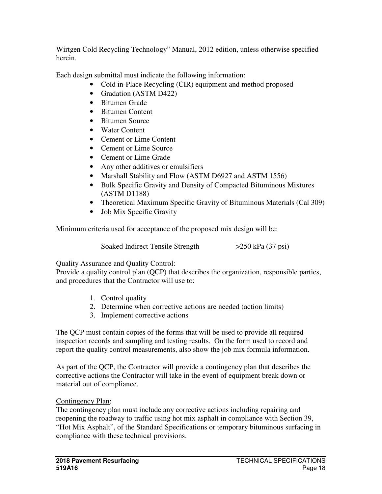Wirtgen Cold Recycling Technology" Manual, 2012 edition, unless otherwise specified herein.

Each design submittal must indicate the following information:

- Cold in-Place Recycling (CIR) equipment and method proposed
- Gradation (ASTM D422)
- Bitumen Grade
- Bitumen Content
- Bitumen Source
- Water Content
- Cement or Lime Content
- Cement or Lime Source
- Cement or Lime Grade
- Any other additives or emulsifiers
- Marshall Stability and Flow (ASTM D6927 and ASTM 1556)
- Bulk Specific Gravity and Density of Compacted Bituminous Mixtures (ASTM D1188)
- Theoretical Maximum Specific Gravity of Bituminous Materials (Cal 309)
- Job Mix Specific Gravity

Minimum criteria used for acceptance of the proposed mix design will be:

Soaked Indirect Tensile Strength >250 kPa (37 psi)

# Quality Assurance and Quality Control:

Provide a quality control plan (QCP) that describes the organization, responsible parties, and procedures that the Contractor will use to:

- 1. Control quality
- 2. Determine when corrective actions are needed (action limits)
- 3. Implement corrective actions

The QCP must contain copies of the forms that will be used to provide all required inspection records and sampling and testing results. On the form used to record and report the quality control measurements, also show the job mix formula information.

As part of the QCP, the Contractor will provide a contingency plan that describes the corrective actions the Contractor will take in the event of equipment break down or material out of compliance.

# Contingency Plan:

The contingency plan must include any corrective actions including repairing and reopening the roadway to traffic using hot mix asphalt in compliance with Section 39, "Hot Mix Asphalt", of the Standard Specifications or temporary bituminous surfacing in compliance with these technical provisions.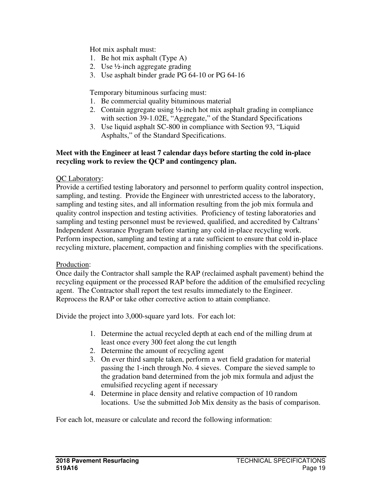Hot mix asphalt must:

- 1. Be hot mix asphalt (Type A)
- 2. Use ½-inch aggregate grading
- 3. Use asphalt binder grade PG 64-10 or PG 64-16

Temporary bituminous surfacing must:

- 1. Be commercial quality bituminous material
- 2. Contain aggregate using ½-inch hot mix asphalt grading in compliance with section 39-1.02E, "Aggregate," of the Standard Specifications
- 3. Use liquid asphalt SC-800 in compliance with Section 93, "Liquid Asphalts," of the Standard Specifications.

#### **Meet with the Engineer at least 7 calendar days before starting the cold in-place recycling work to review the QCP and contingency plan.**

### QC Laboratory:

Provide a certified testing laboratory and personnel to perform quality control inspection, sampling, and testing. Provide the Engineer with unrestricted access to the laboratory, sampling and testing sites, and all information resulting from the job mix formula and quality control inspection and testing activities. Proficiency of testing laboratories and sampling and testing personnel must be reviewed, qualified, and accredited by Caltrans' Independent Assurance Program before starting any cold in-place recycling work. Perform inspection, sampling and testing at a rate sufficient to ensure that cold in-place recycling mixture, placement, compaction and finishing complies with the specifications.

### Production:

Once daily the Contractor shall sample the RAP (reclaimed asphalt pavement) behind the recycling equipment or the processed RAP before the addition of the emulsified recycling agent. The Contractor shall report the test results immediately to the Engineer. Reprocess the RAP or take other corrective action to attain compliance.

Divide the project into 3,000-square yard lots. For each lot:

- 1. Determine the actual recycled depth at each end of the milling drum at least once every 300 feet along the cut length
- 2. Determine the amount of recycling agent
- 3. On ever third sample taken, perform a wet field gradation for material passing the 1-inch through No. 4 sieves. Compare the sieved sample to the gradation band determined from the job mix formula and adjust the emulsified recycling agent if necessary
- 4. Determine in place density and relative compaction of 10 random locations. Use the submitted Job Mix density as the basis of comparison.

For each lot, measure or calculate and record the following information: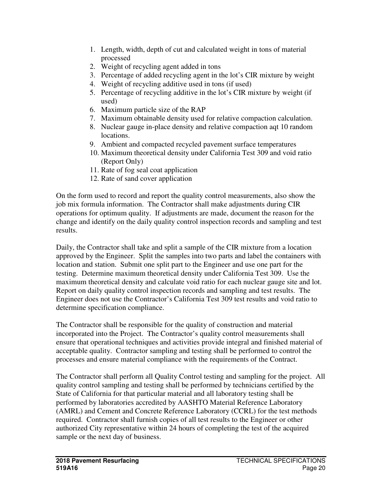- 1. Length, width, depth of cut and calculated weight in tons of material processed
- 2. Weight of recycling agent added in tons
- 3. Percentage of added recycling agent in the lot's CIR mixture by weight
- 4. Weight of recycling additive used in tons (if used)
- 5. Percentage of recycling additive in the lot's CIR mixture by weight (if used)
- 6. Maximum particle size of the RAP
- 7. Maximum obtainable density used for relative compaction calculation.
- 8. Nuclear gauge in-place density and relative compaction aqt 10 random locations.
- 9. Ambient and compacted recycled pavement surface temperatures
- 10. Maximum theoretical density under California Test 309 and void ratio (Report Only)
- 11. Rate of fog seal coat application
- 12. Rate of sand cover application

On the form used to record and report the quality control measurements, also show the job mix formula information. The Contractor shall make adjustments during CIR operations for optimum quality. If adjustments are made, document the reason for the change and identify on the daily quality control inspection records and sampling and test results.

Daily, the Contractor shall take and split a sample of the CIR mixture from a location approved by the Engineer. Split the samples into two parts and label the containers with location and station. Submit one split part to the Engineer and use one part for the testing. Determine maximum theoretical density under California Test 309. Use the maximum theoretical density and calculate void ratio for each nuclear gauge site and lot. Report on daily quality control inspection records and sampling and test results. The Engineer does not use the Contractor's California Test 309 test results and void ratio to determine specification compliance.

The Contractor shall be responsible for the quality of construction and material incorporated into the Project. The Contractor's quality control measurements shall ensure that operational techniques and activities provide integral and finished material of acceptable quality. Contractor sampling and testing shall be performed to control the processes and ensure material compliance with the requirements of the Contract.

The Contractor shall perform all Quality Control testing and sampling for the project. All quality control sampling and testing shall be performed by technicians certified by the State of California for that particular material and all laboratory testing shall be performed by laboratories accredited by AASHTO Material Reference Laboratory (AMRL) and Cement and Concrete Reference Laboratory (CCRL) for the test methods required. Contractor shall furnish copies of all test results to the Engineer or other authorized City representative within 24 hours of completing the test of the acquired sample or the next day of business.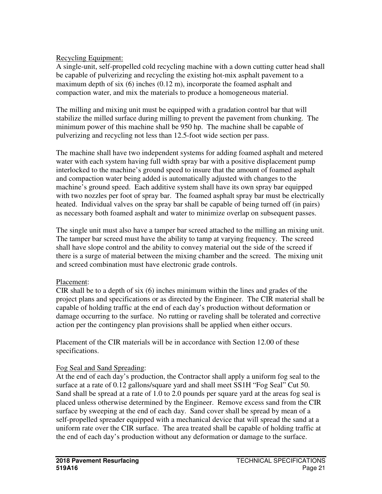## Recycling Equipment:

A single-unit, self-propelled cold recycling machine with a down cutting cutter head shall be capable of pulverizing and recycling the existing hot-mix asphalt pavement to a maximum depth of six (6) inches (0.12 m), incorporate the foamed asphalt and compaction water, and mix the materials to produce a homogeneous material.

The milling and mixing unit must be equipped with a gradation control bar that will stabilize the milled surface during milling to prevent the pavement from chunking. The minimum power of this machine shall be 950 hp. The machine shall be capable of pulverizing and recycling not less than 12.5-foot wide section per pass.

The machine shall have two independent systems for adding foamed asphalt and metered water with each system having full width spray bar with a positive displacement pump interlocked to the machine's ground speed to insure that the amount of foamed asphalt and compaction water being added is automatically adjusted with changes to the machine's ground speed. Each additive system shall have its own spray bar equipped with two nozzles per foot of spray bar. The foamed asphalt spray bar must be electrically heated. Individual valves on the spray bar shall be capable of being turned off (in pairs) as necessary both foamed asphalt and water to minimize overlap on subsequent passes.

The single unit must also have a tamper bar screed attached to the milling an mixing unit. The tamper bar screed must have the ability to tamp at varying frequency. The screed shall have slope control and the ability to convey material out the side of the screed if there is a surge of material between the mixing chamber and the screed. The mixing unit and screed combination must have electronic grade controls.

### Placement:

CIR shall be to a depth of six (6) inches minimum within the lines and grades of the project plans and specifications or as directed by the Engineer. The CIR material shall be capable of holding traffic at the end of each day's production without deformation or damage occurring to the surface. No rutting or raveling shall be tolerated and corrective action per the contingency plan provisions shall be applied when either occurs.

Placement of the CIR materials will be in accordance with Section 12.00 of these specifications.

# Fog Seal and Sand Spreading:

At the end of each day's production, the Contractor shall apply a uniform fog seal to the surface at a rate of 0.12 gallons/square yard and shall meet SS1H "Fog Seal" Cut 50. Sand shall be spread at a rate of 1.0 to 2.0 pounds per square yard at the areas fog seal is placed unless otherwise determined by the Engineer. Remove excess sand from the CIR surface by sweeping at the end of each day. Sand cover shall be spread by mean of a self-propelled spreader equipped with a mechanical device that will spread the sand at a uniform rate over the CIR surface. The area treated shall be capable of holding traffic at the end of each day's production without any deformation or damage to the surface.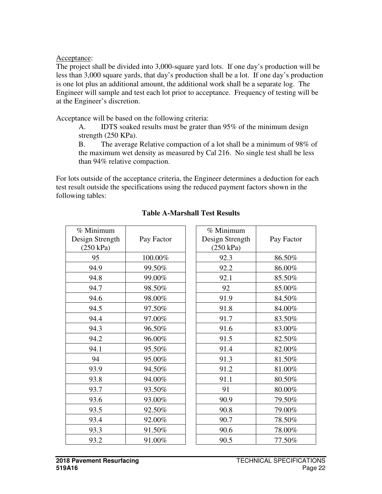Acceptance:

The project shall be divided into 3,000-square yard lots. If one day's production will be less than 3,000 square yards, that day's production shall be a lot. If one day's production is one lot plus an additional amount, the additional work shall be a separate log. The Engineer will sample and test each lot prior to acceptance. Frequency of testing will be at the Engineer's discretion.

Acceptance will be based on the following criteria:

A. IDTS soaked results must be grater than 95% of the minimum design strength (250 KPa).

B. The average Relative compaction of a lot shall be a minimum of 98% of the maximum wet density as measured by Cal 216. No single test shall be less than 94% relative compaction.

For lots outside of the acceptance criteria, the Engineer determines a deduction for each test result outside the specifications using the reduced payment factors shown in the following tables:

| % Minimum<br>Design Strength<br>(250 kPa) | Pay Factor | % Minimum<br>Design Strength<br>(250 kPa) | Pay Factor |
|-------------------------------------------|------------|-------------------------------------------|------------|
| 95                                        | 100.00%    | 92.3                                      | 86.50%     |
| 94.9                                      | 99.50%     | 92.2                                      | 86.00%     |
| 94.8                                      | 99.00%     | 92.1                                      | 85.50%     |
| 94.7                                      | 98.50%     | 92                                        | 85.00%     |
| 94.6                                      | 98.00%     | 91.9                                      | 84.50%     |
| 94.5                                      | 97.50%     | 91.8                                      | 84.00%     |
| 94.4                                      | 97.00%     | 91.7                                      | 83.50%     |
| 94.3                                      | 96.50%     | 91.6                                      | 83.00%     |
| 94.2                                      | 96.00%     | 91.5                                      | 82.50%     |
| 94.1                                      | 95.50%     | 91.4                                      | 82.00%     |
| 94                                        | 95.00%     | 91.3                                      | 81.50%     |
| 93.9                                      | 94.50%     | 91.2                                      | 81.00%     |
| 93.8                                      | 94.00%     | 91.1                                      | 80.50%     |
| 93.7                                      | 93.50%     | 91                                        | 80.00%     |
| 93.6                                      | 93.00%     | 90.9                                      | 79.50%     |
| 93.5                                      | 92.50%     | 90.8                                      | 79.00%     |
| 93.4                                      | 92.00%     | 90.7                                      | 78.50%     |
| 93.3                                      | 91.50%     | 90.6                                      | 78.00%     |
| 93.2                                      | 91.00%     | 90.5                                      | 77.50%     |

# **Table A-Marshall Test Results**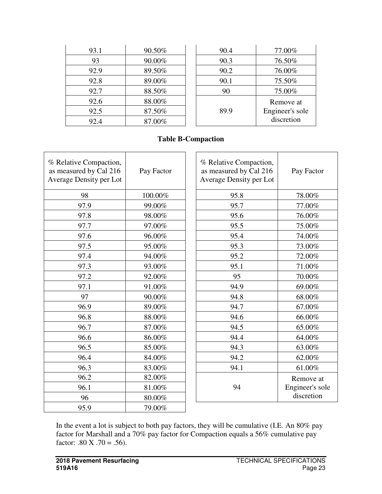| 93.1 | 90.50% | 90.4 | 77.00%          |
|------|--------|------|-----------------|
| 93   | 90.00% | 90.3 | 76.50%          |
| 92.9 | 89.50% | 90.2 | 76.00%          |
| 92.8 | 89.00% | 90.1 | 75.50%          |
| 92.7 | 88.50% | 90   | 75.00%          |
| 92.6 | 88.00% |      | Remove at       |
| 92.5 | 87.50% | 89.9 | Engineer's sole |
| 92.4 | 87.00% |      | discretion      |

## **Table B-Compaction**

| % Relative Compaction,<br>as measured by Cal 216<br>Average Density per Lot | Pay Factor | % Relative Compaction,<br>as measured by Cal 216<br>Average Density per Lot | Pay Factor      |
|-----------------------------------------------------------------------------|------------|-----------------------------------------------------------------------------|-----------------|
| 98                                                                          | 100.00%    | 95.8                                                                        | 78.00%          |
| 97.9                                                                        | 99.00%     | 95.7                                                                        | 77.00%          |
| 97.8                                                                        | 98.00%     | 95.6                                                                        | 76.00%          |
| 97.7                                                                        | 97.00%     | 95.5                                                                        | 75.00%          |
| 97.6                                                                        | 96.00%     | 95.4                                                                        | 74.00%          |
| 97.5                                                                        | 95.00%     | 95.3                                                                        | 73.00%          |
| 97.4                                                                        | 94.00%     | 95.2                                                                        | 72.00%          |
| 97.3                                                                        | 93.00%     | 95.1                                                                        | 71.00%          |
| 97.2                                                                        | 92.00%     | 95                                                                          | 70.00%          |
| 97.1                                                                        | 91.00%     | 94.9                                                                        | 69.00%          |
| 97                                                                          | 90.00%     | 94.8                                                                        | 68.00%          |
| 96.9                                                                        | 89.00%     | 94.7                                                                        | 67.00%          |
| 96.8                                                                        | 88.00%     | 94.6                                                                        | 66.00%          |
| 96.7                                                                        | 87.00%     | 94.5                                                                        | 65.00%          |
| 96.6                                                                        | 86.00%     | 94.4                                                                        | 64.00%          |
| 96.5                                                                        | 85.00%     | 94.3                                                                        | 63.00%          |
| 96.4                                                                        | 84.00%     | 94.2                                                                        | 62.00%          |
| 96.3                                                                        | 83.00%     | 94.1                                                                        | 61.00%          |
| 96.2                                                                        | 82.00%     |                                                                             | Remove at       |
| 96.1                                                                        | $81.00\%$  | 94                                                                          | Engineer's sole |
| 96                                                                          | 80.00%     |                                                                             | discretion      |
| 95.9                                                                        | 79.00%     |                                                                             |                 |

In the event a lot is subject to both pay factors, they will be cumulative (I.E. An 80% pay factor for Marshall and a 70% pay factor for Compaction equals a 56% cumulative pay factor:  $.80 \text{ X}$   $.70 = .56$ ).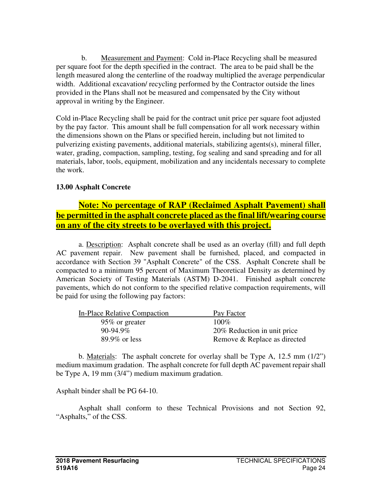b. Measurement and Payment: Cold in-Place Recycling shall be measured per square foot for the depth specified in the contract. The area to be paid shall be the length measured along the centerline of the roadway multiplied the average perpendicular width. Additional excavation/ recycling performed by the Contractor outside the lines provided in the Plans shall not be measured and compensated by the City without approval in writing by the Engineer.

Cold in-Place Recycling shall be paid for the contract unit price per square foot adjusted by the pay factor. This amount shall be full compensation for all work necessary within the dimensions shown on the Plans or specified herein, including but not limited to pulverizing existing pavements, additional materials, stabilizing agents(s), mineral filler, water, grading, compaction, sampling, testing, fog sealing and sand spreading and for all materials, labor, tools, equipment, mobilization and any incidentals necessary to complete the work.

# **13.00 Asphalt Concrete**

# **Note: No percentage of RAP (Reclaimed Asphalt Pavement) shall be permitted in the asphalt concrete placed as the final lift/wearing course on any of the city streets to be overlayed with this project.**

 a. Description: Asphalt concrete shall be used as an overlay (fill) and full depth AC pavement repair. New pavement shall be furnished, placed, and compacted in accordance with Section 39 "Asphalt Concrete" of the CSS. Asphalt Concrete shall be compacted to a minimum 95 percent of Maximum Theoretical Density as determined by American Society of Testing Materials (ASTM) D-2041. Finished asphalt concrete pavements, which do not conform to the specified relative compaction requirements, will be paid for using the following pay factors:

| In-Place Relative Compaction | Pay Factor                   |
|------------------------------|------------------------------|
| 95\% or greater              | $100\%$                      |
| $90-94.9\%$                  | 20% Reduction in unit price  |
| $89.9\%$ or less             | Remove & Replace as directed |

 b. Materials: The asphalt concrete for overlay shall be Type A, 12.5 mm (1/2") medium maximum gradation. The asphalt concrete for full depth AC pavement repair shall be Type A, 19 mm (3/4") medium maximum gradation.

Asphalt binder shall be PG 64-10.

 Asphalt shall conform to these Technical Provisions and not Section 92, "Asphalts," of the CSS.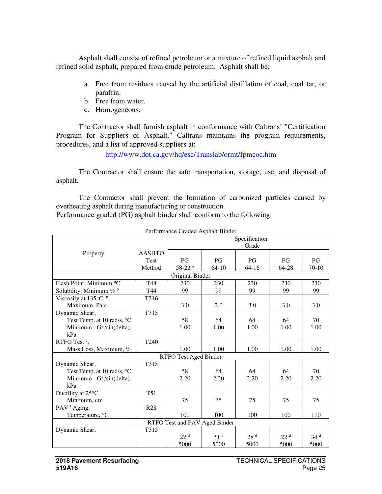Asphalt shall consist of refined petroleum or a mixture of refined liquid asphalt and refined solid asphalt, prepared from crude petroleum. Asphalt shall be:

- a. Free from residues caused by the artificial distillation of coal, coal tar, or paraffin.
- b. Free from water.
- c. Homogeneous.

The Contractor shall furnish asphalt in conformance with Caltrans' "Certification Program for Suppliers of Asphalt." Caltrans maintains the program requirements, procedures, and a list of approved suppliers at:

http://www.dot.ca.gov/hq/esc/Translab/ormt/fpmcoc.htm

 The Contractor shall ensure the safe transportation, storage, use, and disposal of asphalt.

 The Contractor shall prevent the formation of carbonized particles caused by overheating asphalt during manufacturing or construction.

Performance graded (PG) asphalt binder shall conform to the following:

|                                                |                  |                               |                 | Specification<br>Grade |                 |                 |
|------------------------------------------------|------------------|-------------------------------|-----------------|------------------------|-----------------|-----------------|
| Property                                       | <b>AASHTO</b>    |                               |                 |                        |                 |                 |
|                                                | <b>Test</b>      | PG                            | PG              | <b>PG</b>              | PG              | PG              |
|                                                | Method           | 58-22 <sup>a</sup>            | $64-10$         | $64-16$                | 64-28           | $70-10$         |
|                                                |                  | Original Binder               |                 |                        |                 |                 |
| Flash Point, Minimum °C                        | T48              | 230                           | 230             | 230                    | 230             | 230             |
| Solubility, Minimum $\mathscr{C}^{\mathsf{b}}$ | T44              | 99                            | 99              | 99                     | 99              | 99              |
| Viscosity at 135°C, c                          | T316             |                               |                 |                        |                 |                 |
| Maximum, Pa·s                                  |                  | 3.0                           | 3.0             | 3.0                    | 3.0             | 3.0             |
| Dynamic Shear,                                 | T315             |                               |                 |                        |                 |                 |
| Test Temp. at 10 rad/s, °C                     |                  | 58                            | 64              | 64                     | 64              | 70              |
| Minimum G*/sin(delta),                         |                  | 1.00                          | 1.00            | 1.00                   | 1.00            | 1.00            |
| kPa                                            |                  |                               |                 |                        |                 |                 |
| RTFO Test <sup>e</sup> ,                       | T <sub>240</sub> |                               |                 |                        |                 |                 |
| Mass Loss, Maximum, %                          |                  | 1.00                          | 1.00            | 1.00                   | 1.00            | 1.00            |
|                                                |                  | RTFO Test Aged Binder         |                 |                        |                 |                 |
| Dynamic Shear,                                 | T315             |                               |                 |                        |                 |                 |
| Test Temp. at 10 rad/s, °C                     |                  | 58                            | 64              | 64                     | 64              | 70              |
| Minimum G*/sin(delta),                         |                  | 2.20                          | 2.20            | 2.20                   | 2.20            | 2.20            |
| kPa                                            |                  |                               |                 |                        |                 |                 |
| Ductility at 25°C                              | T <sub>51</sub>  |                               |                 |                        |                 |                 |
| Minimum, cm                                    |                  | 75                            | 75              | 75                     | 75              | 75              |
| PAV <sup>f</sup> Aging,                        | <b>R28</b>       |                               |                 |                        |                 |                 |
| Temperature, °C                                |                  | 100                           | 100             | 100                    | 100             | 110             |
|                                                |                  | RTFO Test and PAV Aged Binder |                 |                        |                 |                 |
| Dynamic Shear,                                 | T315             |                               |                 |                        |                 |                 |
|                                                |                  | 22 <sup>d</sup>               | 31 <sup>d</sup> | 28 <sup>d</sup>        | 22 <sup>d</sup> | 34 <sup>d</sup> |
|                                                |                  | 5000                          | 5000            | 5000                   | 5000            | 5000            |

Performance Graded Asphalt Binder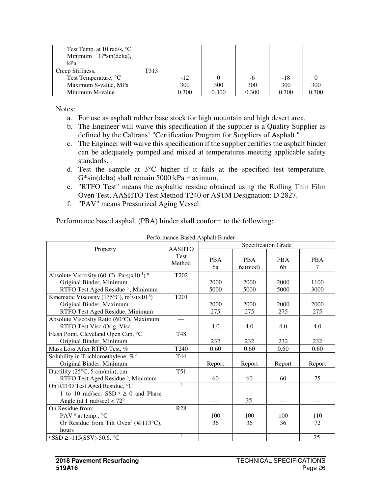| Test Temp. at 10 rad/s, $^{\circ}$ C<br>Minimum $G*sin(detta)$ ,<br>kPa |      |       |       |       |       |       |
|-------------------------------------------------------------------------|------|-------|-------|-------|-------|-------|
| Creep Stiffness,                                                        | T313 |       |       |       |       |       |
| Test Temperature, °C                                                    |      | $-12$ |       | -6    | $-18$ |       |
| Maximum S-value, MPa                                                    |      | 300   | 300   | 300   | 300   | 300   |
| Minimum M-value                                                         |      | 0.300 | 0.300 | 0.300 | 0.300 | 0.300 |

Notes:

- a. For use as asphalt rubber base stock for high mountain and high desert area.
- b. The Engineer will waive this specification if the supplier is a Quality Supplier as defined by the Caltrans' "Certification Program for Suppliers of Asphalt."
- c. The Engineer will waive this specification if the supplier certifies the asphalt binder can be adequately pumped and mixed at temperatures meeting applicable safety standards.
- d. Test the sample at 3°C higher if it fails at the specified test temperature. G\*sin(delta) shall remain 5000 kPa maximum.
- e. "RTFO Test" means the asphaltic residue obtained using the Rolling Thin Film Oven Test, AASHTO Test Method T240 or ASTM Designation: D 2827.
- f. "PAV" means Pressurized Aging Vessel.

Performance based asphalt (PBA) binder shall conform to the following:

|                                                                                     | <b>AASHTO</b>         |                  |                             | Specification Grade |                 |
|-------------------------------------------------------------------------------------|-----------------------|------------------|-----------------------------|---------------------|-----------------|
| Property                                                                            | <b>Test</b><br>Method | <b>PBA</b><br>6a | <b>PBA</b><br>$6a \pmod{2}$ | <b>PBA</b><br>6b    | <b>PBA</b><br>7 |
| Absolute Viscosity (60 $^{\circ}$ C), Pa $\cdot$ s(x10 <sup>-1</sup> ) <sup>a</sup> | T <sub>202</sub>      |                  |                             |                     |                 |
| Original Binder, Minimum                                                            |                       | 2000             | 2000                        | 2000                | 1100            |
| RTFO Test Aged Residue <sup>b</sup> , Minimum                                       |                       | 5000             | 5000                        | 5000                | 3000            |
| Kinematic Viscosity (135 $\degree$ C), m <sup>2</sup> /s(x10 <sup>-6</sup> )        | T201                  |                  |                             |                     |                 |
| Original Binder, Maximum                                                            |                       | 2000             | 2000                        | 2000                | 2000            |
| RTFO Test Aged Residue, Minimum                                                     |                       | 275              | 275                         | 275                 | 275             |
| Absolute Viscosity Ratio (60°C), Maximum<br>RTFO Test Visc./Orig. Visc.             |                       | 4.0              | 4.0                         | 4.0                 | 4.0             |
| Flash Point, Cleveland Open Cup, °C                                                 | T48                   |                  |                             |                     |                 |
| Original Binder, Minimum                                                            |                       | 232              | 232                         | 232                 | 232             |
| Mass Loss After RTFO Test, %                                                        | T240                  | 0.60             | 0.60                        | 0.60                | 0.60            |
| Solubility in Trichloroethylene, % c                                                | T44                   |                  |                             |                     |                 |
| Original Binder, Minimum                                                            |                       | Report           | Report                      | Report              | Report          |
| Ductility $(25^{\circ}C, 5 \text{ cm/min})$ , cm                                    | T51                   |                  |                             |                     |                 |
| RTFO Test Aged Residue <sup>b</sup> , Minimum                                       |                       | 60               | 60                          | 60                  | 75              |
| On RTFO Test Aged Residue, °C                                                       | f                     |                  |                             |                     |                 |
| 1 to 10 rad/sec: SSD $\epsilon \ge 0$ and Phase                                     |                       |                  |                             |                     |                 |
| Angle (at 1 rad/sec) $< 72^{\circ}$                                                 |                       |                  | 35                          |                     |                 |
| On Residue from:                                                                    | <b>R28</b>            |                  |                             |                     |                 |
| PAV $\textdegree$ at temp., $\textdegree$ C                                         |                       | 100              | 100                         | 100                 | 110             |
| Or Residue from Tilt Oven <sup>f</sup> (@113°C),                                    |                       | 36               | 36                          | 36                  | 72              |
| hours                                                                               |                       |                  |                             |                     |                 |
| $\text{°SSD} \geq -115$ (SSV)-50.6, $\text{°C}$                                     | f                     |                  |                             |                     | 25              |

Performance Based Asphalt Binder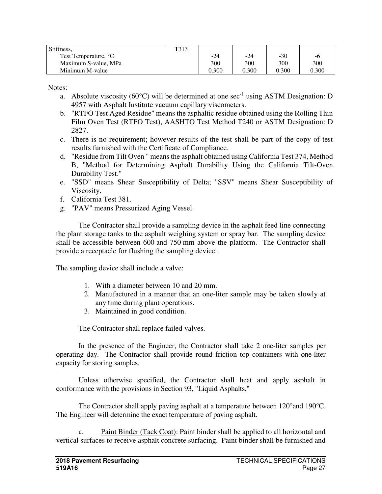| Stiffness,                       | T313 |       |       |       |       |
|----------------------------------|------|-------|-------|-------|-------|
| Test Temperature, <sup>o</sup> C |      | -24   | $-24$ | $-30$ | -6    |
| Maximum S-value, MPa             |      | 300   | 300   | 300   | 300   |
| Minimum M-value                  |      | 0.300 | 0.300 | 0.300 | 0.300 |

Notes:

- a. Absolute viscosity (60 $^{\circ}$ C) will be determined at one sec<sup>-1</sup> using ASTM Designation: D 4957 with Asphalt Institute vacuum capillary viscometers.
- b. "RTFO Test Aged Residue" means the asphaltic residue obtained using the Rolling Thin Film Oven Test (RTFO Test), AASHTO Test Method T240 or ASTM Designation: D 2827.
- c. There is no requirement; however results of the test shall be part of the copy of test results furnished with the Certificate of Compliance.
- d. "Residue from Tilt Oven " means the asphalt obtained using California Test 374, Method B, "Method for Determining Asphalt Durability Using the California Tilt-Oven Durability Test."
- e. "SSD" means Shear Susceptibility of Delta; "SSV" means Shear Susceptibility of Viscosity.
- f. California Test 381.
- g. "PAV" means Pressurized Aging Vessel.

The Contractor shall provide a sampling device in the asphalt feed line connecting the plant storage tanks to the asphalt weighing system or spray bar. The sampling device shall be accessible between 600 and 750 mm above the platform. The Contractor shall provide a receptacle for flushing the sampling device.

The sampling device shall include a valve:

- 1. With a diameter between 10 and 20 mm.
- 2. Manufactured in a manner that an one-liter sample may be taken slowly at any time during plant operations.
- 3. Maintained in good condition.

The Contractor shall replace failed valves.

 In the presence of the Engineer, the Contractor shall take 2 one-liter samples per operating day. The Contractor shall provide round friction top containers with one-liter capacity for storing samples.

 Unless otherwise specified, the Contractor shall heat and apply asphalt in conformance with the provisions in Section 93, "Liquid Asphalts."

 The Contractor shall apply paving asphalt at a temperature between 120°and 190°C. The Engineer will determine the exact temperature of paving asphalt.

a. Paint Binder (Tack Coat): Paint binder shall be applied to all horizontal and vertical surfaces to receive asphalt concrete surfacing. Paint binder shall be furnished and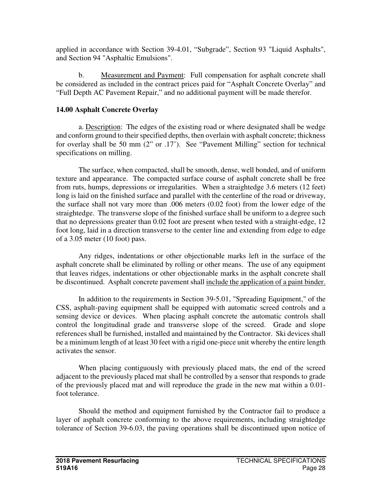applied in accordance with Section 39-4.01, "Subgrade", Section 93 "Liquid Asphalts", and Section 94 "Asphaltic Emulsions".

b. Measurement and Payment: Full compensation for asphalt concrete shall be considered as included in the contract prices paid for "Asphalt Concrete Overlay" and "Full Depth AC Pavement Repair," and no additional payment will be made therefor.

# **14.00 Asphalt Concrete Overlay**

a. Description: The edges of the existing road or where designated shall be wedge and conform ground to their specified depths, then overlain with asphalt concrete; thickness for overlay shall be 50 mm (2" or .17'). See "Pavement Milling" section for technical specifications on milling.

The surface, when compacted, shall be smooth, dense, well bonded, and of uniform texture and appearance. The compacted surface course of asphalt concrete shall be free from ruts, humps, depressions or irregularities. When a straightedge 3.6 meters (12 feet) long is laid on the finished surface and parallel with the centerline of the road or driveway, the surface shall not vary more than .006 meters (0.02 foot) from the lower edge of the straightedge. The transverse slope of the finished surface shall be uniform to a degree such that no depressions greater than 0.02 foot are present when tested with a straight-edge, 12 foot long, laid in a direction transverse to the center line and extending from edge to edge of a 3.05 meter (10 foot) pass.

Any ridges, indentations or other objectionable marks left in the surface of the asphalt concrete shall be eliminated by rolling or other means. The use of any equipment that leaves ridges, indentations or other objectionable marks in the asphalt concrete shall be discontinued. Asphalt concrete pavement shall include the application of a paint binder.

In addition to the requirements in Section 39-5.01, "Spreading Equipment," of the CSS, asphalt-paving equipment shall be equipped with automatic screed controls and a sensing device or devices. When placing asphalt concrete the automatic controls shall control the longitudinal grade and transverse slope of the screed. Grade and slope references shall be furnished, installed and maintained by the Contractor. Ski devices shall be a minimum length of at least 30 feet with a rigid one-piece unit whereby the entire length activates the sensor.

When placing contiguously with previously placed mats, the end of the screed adjacent to the previously placed mat shall be controlled by a sensor that responds to grade of the previously placed mat and will reproduce the grade in the new mat within a 0.01 foot tolerance.

Should the method and equipment furnished by the Contractor fail to produce a layer of asphalt concrete conforming to the above requirements, including straightedge tolerance of Section 39-6.03, the paving operations shall be discontinued upon notice of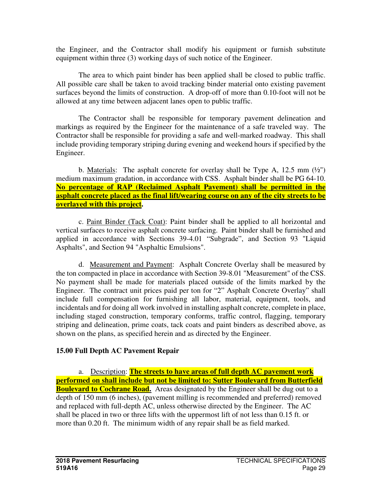the Engineer, and the Contractor shall modify his equipment or furnish substitute equipment within three (3) working days of such notice of the Engineer.

The area to which paint binder has been applied shall be closed to public traffic. All possible care shall be taken to avoid tracking binder material onto existing pavement surfaces beyond the limits of construction. A drop-off of more than 0.10-foot will not be allowed at any time between adjacent lanes open to public traffic.

The Contractor shall be responsible for temporary pavement delineation and markings as required by the Engineer for the maintenance of a safe traveled way. The Contractor shall be responsible for providing a safe and well-marked roadway. This shall include providing temporary striping during evening and weekend hours if specified by the Engineer.

b. Materials: The asphalt concrete for overlay shall be Type A,  $12.5 \text{ mm}$  ( $\frac{1}{2}$ ") medium maximum gradation, in accordance with CSS. Asphalt binder shall be PG 64-10. **No percentage of RAP (Reclaimed Asphalt Pavement) shall be permitted in the asphalt concrete placed as the final lift/wearing course on any of the city streets to be overlayed with this project.** 

c. Paint Binder (Tack Coat): Paint binder shall be applied to all horizontal and vertical surfaces to receive asphalt concrete surfacing. Paint binder shall be furnished and applied in accordance with Sections 39-4.01 "Subgrade", and Section 93 "Liquid Asphalts", and Section 94 "Asphaltic Emulsions".

d. Measurement and Payment: Asphalt Concrete Overlay shall be measured by the ton compacted in place in accordance with Section 39-8.01 "Measurement" of the CSS. No payment shall be made for materials placed outside of the limits marked by the Engineer. The contract unit prices paid per ton for "2" Asphalt Concrete Overlay" shall include full compensation for furnishing all labor, material, equipment, tools, and incidentals and for doing all work involved in installing asphalt concrete, complete in place, including staged construction, temporary conforms, traffic control, flagging, temporary striping and delineation, prime coats, tack coats and paint binders as described above, as shown on the plans, as specified herein and as directed by the Engineer.

### **15.00 Full Depth AC Pavement Repair**

a. Description: **The streets to have areas of full depth AC pavement work performed on shall include but not be limited to: Sutter Boulevard from Butterfield Boulevard to Cochrane Road.** Areas designated by the Engineer shall be dug out to a depth of 150 mm (6 inches), (pavement milling is recommended and preferred) removed and replaced with full-depth AC, unless otherwise directed by the Engineer. The AC shall be placed in two or three lifts with the uppermost lift of not less than 0.15 ft. or more than 0.20 ft. The minimum width of any repair shall be as field marked.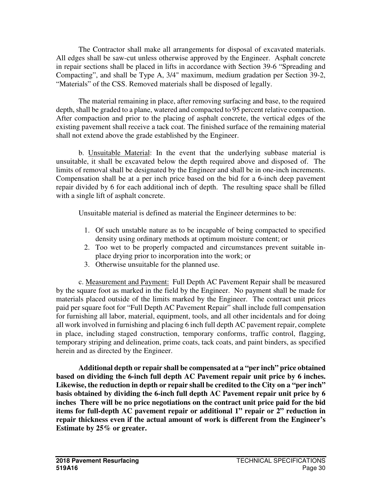The Contractor shall make all arrangements for disposal of excavated materials. All edges shall be saw-cut unless otherwise approved by the Engineer. Asphalt concrete in repair sections shall be placed in lifts in accordance with Section 39-6 "Spreading and Compacting", and shall be Type A, 3/4" maximum, medium gradation per Section 39-2, "Materials" of the CSS. Removed materials shall be disposed of legally.

 The material remaining in place, after removing surfacing and base, to the required depth, shall be graded to a plane, watered and compacted to 95 percent relative compaction. After compaction and prior to the placing of asphalt concrete, the vertical edges of the existing pavement shall receive a tack coat. The finished surface of the remaining material shall not extend above the grade established by the Engineer.

 b. Unsuitable Material: In the event that the underlying subbase material is unsuitable, it shall be excavated below the depth required above and disposed of. The limits of removal shall be designated by the Engineer and shall be in one-inch increments. Compensation shall be at a per inch price based on the bid for a 6-inch deep pavement repair divided by 6 for each additional inch of depth. The resulting space shall be filled with a single lift of asphalt concrete.

Unsuitable material is defined as material the Engineer determines to be:

- 1. Of such unstable nature as to be incapable of being compacted to specified density using ordinary methods at optimum moisture content; or
- 2. Too wet to be properly compacted and circumstances prevent suitable inplace drying prior to incorporation into the work; or
- 3. Otherwise unsuitable for the planned use.

 c. Measurement and Payment: Full Depth AC Pavement Repair shall be measured by the square foot as marked in the field by the Engineer. No payment shall be made for materials placed outside of the limits marked by the Engineer. The contract unit prices paid per square foot for "Full Depth AC Pavement Repair" shall include full compensation for furnishing all labor, material, equipment, tools, and all other incidentals and for doing all work involved in furnishing and placing 6 inch full depth AC pavement repair, complete in place, including staged construction, temporary conforms, traffic control, flagging, temporary striping and delineation, prime coats, tack coats, and paint binders, as specified herein and as directed by the Engineer.

**Additional depth or repair shall be compensated at a "per inch" price obtained based on dividing the 6-inch full depth AC Pavement repair unit price by 6 inches. Likewise, the reduction in depth or repair shall be credited to the City on a "per inch" basis obtained by dividing the 6-inch full depth AC Pavement repair unit price by 6 inches There will be no price negotiations on the contract unit price paid for the bid items for full-depth AC pavement repair or additional 1" repair or 2" reduction in repair thickness even if the actual amount of work is different from the Engineer's Estimate by 25% or greater.**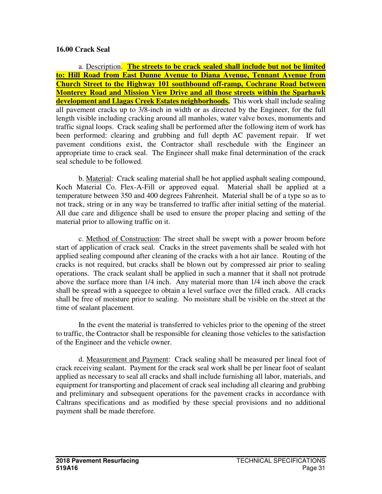#### **16.00 Crack Seal**

a. Description. **The streets to be crack sealed shall include but not be limited to: Hill Road from East Dunne Avenue to Diana Avenue, Tennant Avenue from Church Street to the Highway 101 southbound off-ramp, Cochrane Road between Monterey Road and Mission View Drive and all those streets within the Sparhawk development and Llagas Creek Estates neighborhoods.** This work shall include sealing all pavement cracks up to 3/8-inch in width or as directed by the Engineer, for the full length visible including cracking around all manholes, water valve boxes, monuments and traffic signal loops. Crack sealing shall be performed after the following item of work has been performed: clearing and grubbing and full depth AC pavement repair. If wet pavement conditions exist, the Contractor shall reschedule with the Engineer an appropriate time to crack seal. The Engineer shall make final determination of the crack seal schedule to be followed.

b. Material: Crack sealing material shall be hot applied asphalt sealing compound, Koch Material Co. Flex-A-Fill or approved equal. Material shall be applied at a temperature between 350 and 400 degrees Fahrenheit. Material shall be of a type so as to not track, string or in any way be transferred to traffic after initial setting of the material. All due care and diligence shall be used to ensure the proper placing and setting of the material prior to allowing traffic on it.

c. Method of Construction: The street shall be swept with a power broom before start of application of crack seal. Cracks in the street pavements shall be sealed with hot applied sealing compound after cleaning of the cracks with a hot air lance. Routing of the cracks is not required, but cracks shall be blown out by compressed air prior to sealing operations. The crack sealant shall be applied in such a manner that it shall not protrude above the surface more than 1/4 inch. Any material more than 1/4 inch above the crack shall be spread with a squeegee to obtain a level surface over the filled crack. All cracks shall be free of moisture prior to sealing. No moisture shall be visible on the street at the time of sealant placement.

In the event the material is transferred to vehicles prior to the opening of the street to traffic, the Contractor shall be responsible for cleaning those vehicles to the satisfaction of the Engineer and the vehicle owner.

d. Measurement and Payment: Crack sealing shall be measured per lineal foot of crack receiving sealant. Payment for the crack seal work shall be per linear foot of sealant applied as necessary to seal all cracks and shall include furnishing all labor, materials, and equipment for transporting and placement of crack seal including all clearing and grubbing and preliminary and subsequent operations for the pavement cracks in accordance with Caltrans specifications and as modified by these special provisions and no additional payment shall be made therefore.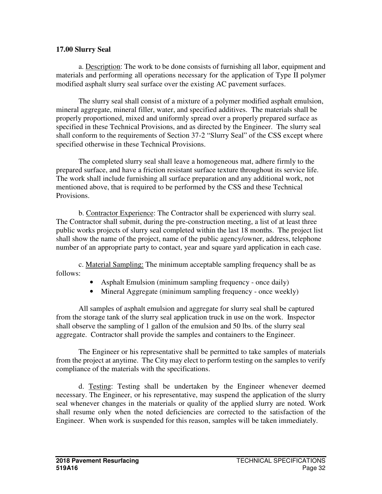#### **17.00 Slurry Seal**

 a. Description: The work to be done consists of furnishing all labor, equipment and materials and performing all operations necessary for the application of Type II polymer modified asphalt slurry seal surface over the existing AC pavement surfaces.

 The slurry seal shall consist of a mixture of a polymer modified asphalt emulsion, mineral aggregate, mineral filler, water, and specified additives. The materials shall be properly proportioned, mixed and uniformly spread over a properly prepared surface as specified in these Technical Provisions, and as directed by the Engineer. The slurry seal shall conform to the requirements of Section 37-2 "Slurry Seal" of the CSS except where specified otherwise in these Technical Provisions.

 The completed slurry seal shall leave a homogeneous mat, adhere firmly to the prepared surface, and have a friction resistant surface texture throughout its service life. The work shall include furnishing all surface preparation and any additional work, not mentioned above, that is required to be performed by the CSS and these Technical Provisions.

 b. Contractor Experience: The Contractor shall be experienced with slurry seal. The Contractor shall submit, during the pre-construction meeting, a list of at least three public works projects of slurry seal completed within the last 18 months. The project list shall show the name of the project, name of the public agency/owner, address, telephone number of an appropriate party to contact, year and square yard application in each case.

 c. Material Sampling: The minimum acceptable sampling frequency shall be as follows:

- Asphalt Emulsion (minimum sampling frequency once daily)
- Mineral Aggregate (minimum sampling frequency once weekly)

 All samples of asphalt emulsion and aggregate for slurry seal shall be captured from the storage tank of the slurry seal application truck in use on the work. Inspector shall observe the sampling of 1 gallon of the emulsion and 50 lbs. of the slurry seal aggregate. Contractor shall provide the samples and containers to the Engineer.

 The Engineer or his representative shall be permitted to take samples of materials from the project at anytime. The City may elect to perform testing on the samples to verify compliance of the materials with the specifications.

 d. Testing: Testing shall be undertaken by the Engineer whenever deemed necessary. The Engineer, or his representative, may suspend the application of the slurry seal whenever changes in the materials or quality of the applied slurry are noted. Work shall resume only when the noted deficiencies are corrected to the satisfaction of the Engineer. When work is suspended for this reason, samples will be taken immediately.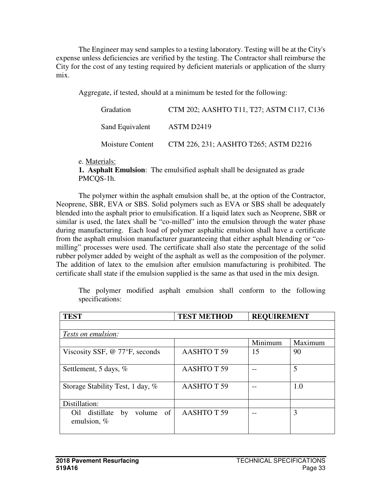The Engineer may send samples to a testing laboratory. Testing will be at the City's expense unless deficiencies are verified by the testing. The Contractor shall reimburse the City for the cost of any testing required by deficient materials or application of the slurry mix.

Aggregate, if tested, should at a minimum be tested for the following:

| Gradation        | CTM 202; AASHTO T11, T27; ASTM C117, C136 |
|------------------|-------------------------------------------|
| Sand Equivalent  | ASTM D2419                                |
| Moisture Content | CTM 226, 231; AASHTO T265; ASTM D2216     |

e. Materials:

**1. Asphalt Emulsion**: The emulsified asphalt shall be designated as grade PMCQS-1h.

The polymer within the asphalt emulsion shall be, at the option of the Contractor, Neoprene, SBR, EVA or SBS. Solid polymers such as EVA or SBS shall be adequately blended into the asphalt prior to emulsification. If a liquid latex such as Neoprene, SBR or similar is used, the latex shall be "co-milled" into the emulsion through the water phase during manufacturing. Each load of polymer asphaltic emulsion shall have a certificate from the asphalt emulsion manufacturer guaranteeing that either asphalt blending or "comilling" processes were used. The certificate shall also state the percentage of the solid rubber polymer added by weight of the asphalt as well as the composition of the polymer. The addition of latex to the emulsion after emulsion manufacturing is prohibited. The certificate shall state if the emulsion supplied is the same as that used in the mix design.

The polymer modified asphalt emulsion shall conform to the following specifications:

| <b>TEST</b>                                      | <b>TEST METHOD</b>    | <b>REQUIREMENT</b> |         |
|--------------------------------------------------|-----------------------|--------------------|---------|
|                                                  |                       |                    |         |
| Tests on emulsion:                               |                       |                    |         |
|                                                  |                       | Minimum            | Maximum |
| Viscosity SSF, $@$ 77 ${}^{\circ}$ F, seconds    | <b>AASHTOT 59</b>     | 15                 | 90      |
| Settlement, 5 days, %                            | <b>AASHTOT 59</b>     |                    | 5       |
| Storage Stability Test, 1 day, %                 | <b>AASHTOT 59</b>     |                    | 1.0     |
| Distillation:                                    |                       |                    |         |
| distillate by<br>volume of<br>Oil<br>emulsion, % | AASHTOT <sub>59</sub> |                    | 3       |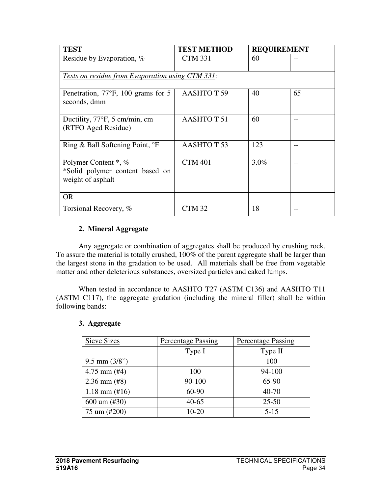| <b>TEST</b>                                                                  | <b>TEST METHOD</b> | <b>REQUIREMENT</b> |      |  |  |  |
|------------------------------------------------------------------------------|--------------------|--------------------|------|--|--|--|
| Residue by Evaporation, %                                                    | <b>CTM 331</b>     | 60                 |      |  |  |  |
| Tests on residue from Evaporation using CTM 331:                             |                    |                    |      |  |  |  |
| Penetration, $77^{\circ}$ F, 100 grams for 5<br>seconds, dmm                 | <b>AASHTOT 59</b>  | 40                 | 65   |  |  |  |
| Ductility, 77°F, 5 cm/min, cm<br>(RTFO Aged Residue)                         | <b>AASHTO T 51</b> | 60                 |      |  |  |  |
| Ring & Ball Softening Point, <sup>o</sup> F                                  | <b>AASHTOT 53</b>  | 123                | $ -$ |  |  |  |
| Polymer Content *, %<br>*Solid polymer content based on<br>weight of asphalt | <b>CTM 401</b>     | 3.0%               |      |  |  |  |
| <b>OR</b>                                                                    |                    |                    |      |  |  |  |
| Torsional Recovery, %                                                        | CTM <sub>32</sub>  | 18                 |      |  |  |  |

### **2. Mineral Aggregate**

Any aggregate or combination of aggregates shall be produced by crushing rock. To assure the material is totally crushed, 100% of the parent aggregate shall be larger than the largest stone in the gradation to be used. All materials shall be free from vegetable matter and other deleterious substances, oversized particles and caked lumps.

When tested in accordance to AASHTO T27 (ASTM C136) and AASHTO T11 (ASTM C117), the aggregate gradation (including the mineral filler) shall be within following bands:

| Sieve Sizes               | <b>Percentage Passing</b> | <b>Percentage Passing</b> |
|---------------------------|---------------------------|---------------------------|
|                           | Type I                    | Type II                   |
| $9.5$ mm $(3/8")$         |                           | 100                       |
| $4.75$ mm $(\#4)$         | 100                       | 94-100                    |
| $2.36$ mm $(\#8)$         | 90-100                    | 65-90                     |
| $1.18$ mm $(\text{\#}16)$ | 60-90                     | $40 - 70$                 |
| $600 \text{ um } (\#30)$  | $40 - 65$                 | $25 - 50$                 |
| 75 um (#200)              | $10 - 20$                 | $5 - 15$                  |

#### **3. Aggregate**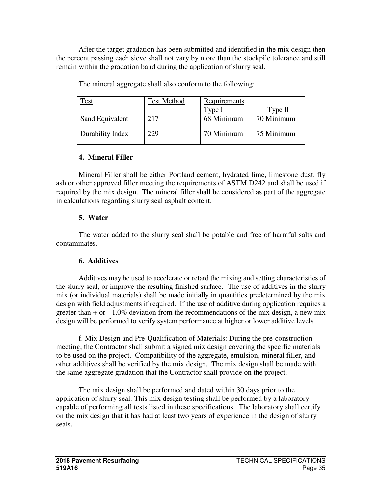After the target gradation has been submitted and identified in the mix design then the percent passing each sieve shall not vary by more than the stockpile tolerance and still remain within the gradation band during the application of slurry seal.

| `est             | <b>Test Method</b> | Requirements |            |
|------------------|--------------------|--------------|------------|
|                  |                    | Type I       | Type $II$  |
| Sand Equivalent  | 217                | 68 Minimum   | 70 Minimum |
| Durability Index | 229                | 70 Minimum   | 75 Minimum |

The mineral aggregate shall also conform to the following:

### **4. Mineral Filler**

Mineral Filler shall be either Portland cement, hydrated lime, limestone dust, fly ash or other approved filler meeting the requirements of ASTM D242 and shall be used if required by the mix design. The mineral filler shall be considered as part of the aggregate in calculations regarding slurry seal asphalt content.

# **5. Water**

 The water added to the slurry seal shall be potable and free of harmful salts and contaminates.

# **6. Additives**

 Additives may be used to accelerate or retard the mixing and setting characteristics of the slurry seal, or improve the resulting finished surface. The use of additives in the slurry mix (or individual materials) shall be made initially in quantities predetermined by the mix design with field adjustments if required. If the use of additive during application requires a greater than  $+$  or  $-1.0\%$  deviation from the recommendations of the mix design, a new mix design will be performed to verify system performance at higher or lower additive levels.

 f. Mix Design and Pre-Qualification of Materials: During the pre-construction meeting, the Contractor shall submit a signed mix design covering the specific materials to be used on the project. Compatibility of the aggregate, emulsion, mineral filler, and other additives shall be verified by the mix design. The mix design shall be made with the same aggregate gradation that the Contractor shall provide on the project.

 The mix design shall be performed and dated within 30 days prior to the application of slurry seal. This mix design testing shall be performed by a laboratory capable of performing all tests listed in these specifications. The laboratory shall certify on the mix design that it has had at least two years of experience in the design of slurry seals.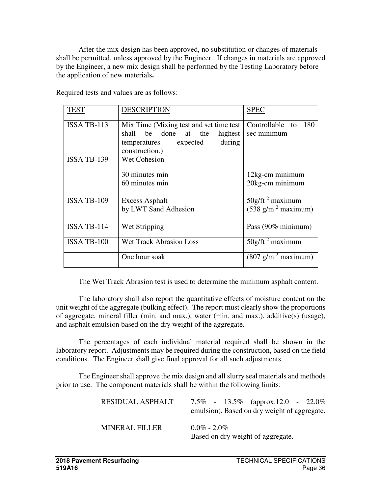After the mix design has been approved, no substitution or changes of materials shall be permitted, unless approved by the Engineer. If changes in materials are approved by the Engineer, a new mix design shall be performed by the Testing Laboratory before the application of new materials**.**

| TEST               | <b>DESCRIPTION</b>                                                                                                                  | <b>SPEC</b>                           |
|--------------------|-------------------------------------------------------------------------------------------------------------------------------------|---------------------------------------|
| <b>ISSA TB-113</b> | Mix Time (Mixing test and set time test)<br>shall be done at the<br>highest<br>during<br>temperatures<br>expected<br>construction.) | Controllable to<br>180<br>sec minimum |
| <b>ISSA TB-139</b> | <b>Wet Cohesion</b>                                                                                                                 |                                       |
|                    | 30 minutes min                                                                                                                      | 12kg-cm minimum                       |
|                    | 60 minutes min                                                                                                                      | 20kg-cm minimum                       |
| ISSA TB-109        | <b>Excess Asphalt</b>                                                                                                               | $50g$ /ft <sup>2</sup> maximum        |
|                    | by LWT Sand Adhesion                                                                                                                | $(538 \text{ g/m}^2 \text{ maximum})$ |
| <b>ISSA TB-114</b> | Wet Stripping                                                                                                                       | Pass (90% minimum)                    |
| ISSA TB-100        | <b>Wet Track Abrasion Loss</b>                                                                                                      | $50g$ /ft <sup>2</sup> maximum        |
|                    | One hour soak                                                                                                                       | $(807 \text{ g/m}^2 \text{ maximum})$ |

Required tests and values are as follows:

The Wet Track Abrasion test is used to determine the minimum asphalt content.

 The laboratory shall also report the quantitative effects of moisture content on the unit weight of the aggregate (bulking effect). The report must clearly show the proportions of aggregate, mineral filler (min. and max.), water (min. and max.), additive(s) (usage), and asphalt emulsion based on the dry weight of the aggregate.

 The percentages of each individual material required shall be shown in the laboratory report. Adjustments may be required during the construction, based on the field conditions. The Engineer shall give final approval for all such adjustments.

 The Engineer shall approve the mix design and all slurry seal materials and methods prior to use. The component materials shall be within the following limits:

| RESIDUAL ASPHALT      | 7.5\% - 13.5\% (approx.12.0 - 22.0\%)<br>emulsion). Based on dry weight of aggregate. |
|-----------------------|---------------------------------------------------------------------------------------|
| <b>MINERAL FILLER</b> | $0.0\% - 2.0\%$<br>Based on dry weight of aggregate.                                  |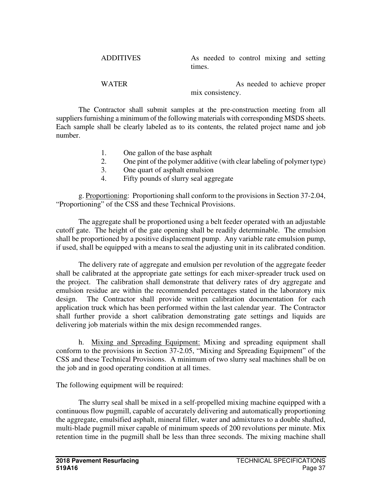ADDITIVES As needed to control mixing and setting times.

WATER As needed to achieve proper mix consistency.

 The Contractor shall submit samples at the pre-construction meeting from all suppliers furnishing a minimum of the following materials with corresponding MSDS sheets. Each sample shall be clearly labeled as to its contents, the related project name and job number.

- 1. One gallon of the base asphalt
- 2. One pint of the polymer additive (with clear labeling of polymer type)
- 3. One quart of asphalt emulsion
- 4. Fifty pounds of slurry seal aggregate

g. Proportioning: Proportioning shall conform to the provisions in Section 37-2.04, "Proportioning" of the CSS and these Technical Provisions.

 The aggregate shall be proportioned using a belt feeder operated with an adjustable cutoff gate. The height of the gate opening shall be readily determinable. The emulsion shall be proportioned by a positive displacement pump. Any variable rate emulsion pump, if used, shall be equipped with a means to seal the adjusting unit in its calibrated condition.

 The delivery rate of aggregate and emulsion per revolution of the aggregate feeder shall be calibrated at the appropriate gate settings for each mixer-spreader truck used on the project. The calibration shall demonstrate that delivery rates of dry aggregate and emulsion residue are within the recommended percentages stated in the laboratory mix design. The Contractor shall provide written calibration documentation for each application truck which has been performed within the last calendar year. The Contractor shall further provide a short calibration demonstrating gate settings and liquids are delivering job materials within the mix design recommended ranges.

h. Mixing and Spreading Equipment: Mixing and spreading equipment shall conform to the provisions in Section 37-2.05, "Mixing and Spreading Equipment" of the CSS and these Technical Provisions. A minimum of two slurry seal machines shall be on the job and in good operating condition at all times.

The following equipment will be required:

The slurry seal shall be mixed in a self-propelled mixing machine equipped with a continuous flow pugmill, capable of accurately delivering and automatically proportioning the aggregate, emulsified asphalt, mineral filler, water and admixtures to a double shafted, multi-blade pugmill mixer capable of minimum speeds of 200 revolutions per minute. Mix retention time in the pugmill shall be less than three seconds. The mixing machine shall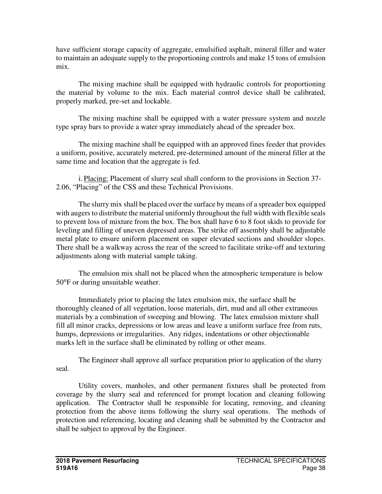have sufficient storage capacity of aggregate, emulsified asphalt, mineral filler and water to maintain an adequate supply to the proportioning controls and make 15 tons of emulsion mix.

The mixing machine shall be equipped with hydraulic controls for proportioning the material by volume to the mix. Each material control device shall be calibrated, properly marked, pre-set and lockable.

The mixing machine shall be equipped with a water pressure system and nozzle type spray bars to provide a water spray immediately ahead of the spreader box.

The mixing machine shall be equipped with an approved fines feeder that provides a uniform, positive, accurately metered, pre-determined amount of the mineral filler at the same time and location that the aggregate is fed.

i. Placing: Placement of slurry seal shall conform to the provisions in Section 37- 2.06, "Placing" of the CSS and these Technical Provisions.

 The slurry mix shall be placed over the surface by means of a spreader box equipped with augers to distribute the material uniformly throughout the full width with flexible seals to prevent loss of mixture from the box. The box shall have 6 to 8 foot skids to provide for leveling and filling of uneven depressed areas. The strike off assembly shall be adjustable metal plate to ensure uniform placement on super elevated sections and shoulder slopes. There shall be a walkway across the rear of the screed to facilitate strike-off and texturing adjustments along with material sample taking.

 The emulsion mix shall not be placed when the atmospheric temperature is below 50°F or during unsuitable weather.

 Immediately prior to placing the latex emulsion mix, the surface shall be thoroughly cleaned of all vegetation, loose materials, dirt, mud and all other extraneous materials by a combination of sweeping and blowing. The latex emulsion mixture shall fill all minor cracks, depressions or low areas and leave a uniform surface free from ruts, humps, depressions or irregularities. Any ridges, indentations or other objectionable marks left in the surface shall be eliminated by rolling or other means.

 The Engineer shall approve all surface preparation prior to application of the slurry seal.

Utility covers, manholes, and other permanent fixtures shall be protected from coverage by the slurry seal and referenced for prompt location and cleaning following application. The Contractor shall be responsible for locating, removing, and cleaning protection from the above items following the slurry seal operations. The methods of protection and referencing, locating and cleaning shall be submitted by the Contractor and shall be subject to approval by the Engineer.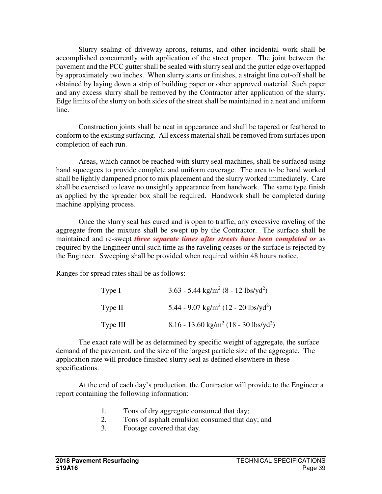Slurry sealing of driveway aprons, returns, and other incidental work shall be accomplished concurrently with application of the street proper. The joint between the pavement and the PCC gutter shall be sealed with slurry seal and the gutter edge overlapped by approximately two inches. When slurry starts or finishes, a straight line cut-off shall be obtained by laying down a strip of building paper or other approved material. Such paper and any excess slurry shall be removed by the Contractor after application of the slurry. Edge limits of the slurry on both sides of the street shall be maintained in a neat and uniform line.

Construction joints shall be neat in appearance and shall be tapered or feathered to conform to the existing surfacing. All excess material shall be removed from surfaces upon completion of each run.

Areas, which cannot be reached with slurry seal machines, shall be surfaced using hand squeegees to provide complete and uniform coverage. The area to be hand worked shall be lightly dampened prior to mix placement and the slurry worked immediately. Care shall be exercised to leave no unsightly appearance from handwork. The same type finish as applied by the spreader box shall be required. Handwork shall be completed during machine applying process.

Once the slurry seal has cured and is open to traffic, any excessive raveling of the aggregate from the mixture shall be swept up by the Contractor. The surface shall be maintained and re-swept *three separate times after streets have been completed or* as required by the Engineer until such time as the raveling ceases or the surface is rejected by the Engineer. Sweeping shall be provided when required within 48 hours notice.

Ranges for spread rates shall be as follows:

| Type I   | $3.63 - 5.44$ kg/m <sup>2</sup> (8 - 12 lbs/yd <sup>2</sup> ) |
|----------|---------------------------------------------------------------|
| Type II  | 5.44 - 9.07 kg/m <sup>2</sup> (12 - 20 lbs/yd <sup>2</sup> )  |
| Type III | 8.16 - 13.60 kg/m <sup>2</sup> (18 - 30 lbs/yd <sup>2</sup> ) |

 The exact rate will be as determined by specific weight of aggregate, the surface demand of the pavement, and the size of the largest particle size of the aggregate. The application rate will produce finished slurry seal as defined elsewhere in these specifications.

 At the end of each day's production, the Contractor will provide to the Engineer a report containing the following information:

- 1. Tons of dry aggregate consumed that day;
- 2. Tons of asphalt emulsion consumed that day; and
- 3. Footage covered that day.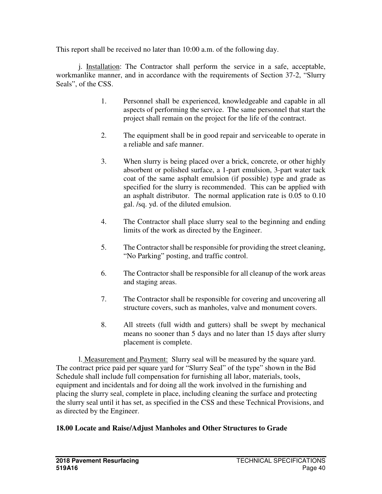This report shall be received no later than 10:00 a.m. of the following day.

j. Installation: The Contractor shall perform the service in a safe, acceptable, workmanlike manner, and in accordance with the requirements of Section 37-2, "Slurry Seals", of the CSS.

- 1. Personnel shall be experienced, knowledgeable and capable in all aspects of performing the service. The same personnel that start the project shall remain on the project for the life of the contract.
- 2. The equipment shall be in good repair and serviceable to operate in a reliable and safe manner.
- 3. When slurry is being placed over a brick, concrete, or other highly absorbent or polished surface, a 1-part emulsion, 3-part water tack coat of the same asphalt emulsion (if possible) type and grade as specified for the slurry is recommended. This can be applied with an asphalt distributor. The normal application rate is 0.05 to 0.10 gal. /sq. yd. of the diluted emulsion.
- 4. The Contractor shall place slurry seal to the beginning and ending limits of the work as directed by the Engineer.
- 5. The Contractor shall be responsible for providing the street cleaning, "No Parking" posting, and traffic control.
- 6. The Contractor shall be responsible for all cleanup of the work areas and staging areas.
- 7. The Contractor shall be responsible for covering and uncovering all structure covers, such as manholes, valve and monument covers.
- 8. All streets (full width and gutters) shall be swept by mechanical means no sooner than 5 days and no later than 15 days after slurry placement is complete.

l. Measurement and Payment: Slurry seal will be measured by the square yard. The contract price paid per square yard for "Slurry Seal" of the type" shown in the Bid Schedule shall include full compensation for furnishing all labor, materials, tools, equipment and incidentals and for doing all the work involved in the furnishing and placing the slurry seal, complete in place, including cleaning the surface and protecting the slurry seal until it has set, as specified in the CSS and these Technical Provisions, and as directed by the Engineer.

### **18.00 Locate and Raise/Adjust Manholes and Other Structures to Grade**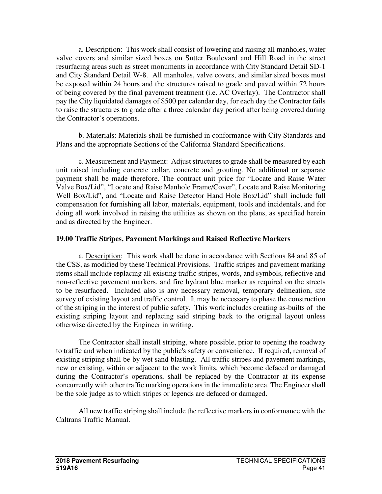a. Description: This work shall consist of lowering and raising all manholes, water valve covers and similar sized boxes on Sutter Boulevard and Hill Road in the street resurfacing areas such as street monuments in accordance with City Standard Detail SD-1 and City Standard Detail W-8. All manholes, valve covers, and similar sized boxes must be exposed within 24 hours and the structures raised to grade and paved within 72 hours of being covered by the final pavement treatment (i.e. AC Overlay). The Contractor shall pay the City liquidated damages of \$500 per calendar day, for each day the Contractor fails to raise the structures to grade after a three calendar day period after being covered during the Contractor's operations.

 b. Materials: Materials shall be furnished in conformance with City Standards and Plans and the appropriate Sections of the California Standard Specifications.

c. Measurement and Payment: Adjust structures to grade shall be measured by each unit raised including concrete collar, concrete and grouting. No additional or separate payment shall be made therefore. The contract unit price for "Locate and Raise Water Valve Box/Lid", "Locate and Raise Manhole Frame/Cover", Locate and Raise Monitoring Well Box/Lid", and "Locate and Raise Detector Hand Hole Box/Lid" shall include full compensation for furnishing all labor, materials, equipment, tools and incidentals, and for doing all work involved in raising the utilities as shown on the plans, as specified herein and as directed by the Engineer.

# **19.00 Traffic Stripes, Pavement Markings and Raised Reflective Markers**

 a. Description: This work shall be done in accordance with Sections 84 and 85 of the CSS, as modified by these Technical Provisions. Traffic stripes and pavement marking items shall include replacing all existing traffic stripes, words, and symbols, reflective and non-reflective pavement markers, and fire hydrant blue marker as required on the streets to be resurfaced. Included also is any necessary removal, temporary delineation, site survey of existing layout and traffic control. It may be necessary to phase the construction of the striping in the interest of public safety. This work includes creating as-builts of the existing striping layout and replacing said striping back to the original layout unless otherwise directed by the Engineer in writing.

 The Contractor shall install striping, where possible, prior to opening the roadway to traffic and when indicated by the public's safety or convenience. If required, removal of existing striping shall be by wet sand blasting. All traffic stripes and pavement markings, new or existing, within or adjacent to the work limits, which become defaced or damaged during the Contractor's operations, shall be replaced by the Contractor at its expense concurrently with other traffic marking operations in the immediate area. The Engineer shall be the sole judge as to which stripes or legends are defaced or damaged.

 All new traffic striping shall include the reflective markers in conformance with the Caltrans Traffic Manual.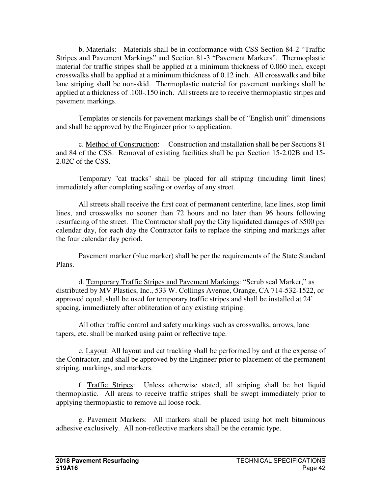b. Materials: Materials shall be in conformance with CSS Section 84-2 "Traffic Stripes and Pavement Markings" and Section 81-3 "Pavement Markers". Thermoplastic material for traffic stripes shall be applied at a minimum thickness of 0.060 inch, except crosswalks shall be applied at a minimum thickness of 0.12 inch. All crosswalks and bike lane striping shall be non-skid. Thermoplastic material for pavement markings shall be applied at a thickness of .100-.150 inch. All streets are to receive thermoplastic stripes and pavement markings.

 Templates or stencils for pavement markings shall be of "English unit" dimensions and shall be approved by the Engineer prior to application.

 c. Method of Construction: Construction and installation shall be per Sections 81 and 84 of the CSS. Removal of existing facilities shall be per Section 15-2.02B and 15- 2.02C of the CSS.

 Temporary "cat tracks" shall be placed for all striping (including limit lines) immediately after completing sealing or overlay of any street.

All streets shall receive the first coat of permanent centerline, lane lines, stop limit lines, and crosswalks no sooner than 72 hours and no later than 96 hours following resurfacing of the street. The Contractor shall pay the City liquidated damages of \$500 per calendar day, for each day the Contractor fails to replace the striping and markings after the four calendar day period.

 Pavement marker (blue marker) shall be per the requirements of the State Standard Plans.

 d. Temporary Traffic Stripes and Pavement Markings: "Scrub seal Marker," as distributed by MV Plastics, Inc., 533 W. Collings Avenue, Orange, CA 714-532-1522, or approved equal, shall be used for temporary traffic stripes and shall be installed at 24' spacing, immediately after obliteration of any existing striping.

 All other traffic control and safety markings such as crosswalks, arrows, lane tapers, etc. shall be marked using paint or reflective tape.

 e. Layout: All layout and cat tracking shall be performed by and at the expense of the Contractor, and shall be approved by the Engineer prior to placement of the permanent striping, markings, and markers.

 f. Traffic Stripes: Unless otherwise stated, all striping shall be hot liquid thermoplastic. All areas to receive traffic stripes shall be swept immediately prior to applying thermoplastic to remove all loose rock.

 g. Pavement Markers: All markers shall be placed using hot melt bituminous adhesive exclusively. All non-reflective markers shall be the ceramic type.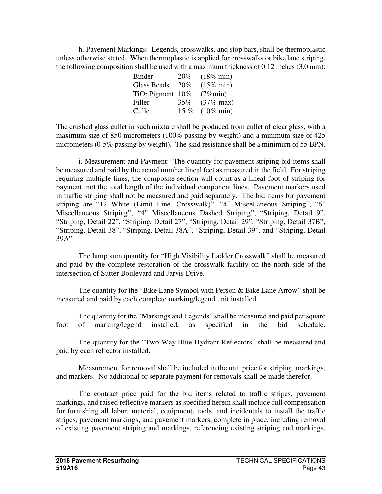h. Pavement Markings: Legends, crosswalks, and stop bars, shall be thermoplastic unless otherwise stated. When thermoplastic is applied for crosswalks or bike lane striping, the following composition shall be used with a maximum thickness of 0.12 inches (3.0 mm):

| <b>Binder</b>         | 20%  | $(18\% \text{ min})$ |
|-----------------------|------|----------------------|
| <b>Glass Beads</b>    | 20%  | $(15\% \text{ min})$ |
| $TiO2$ Pigment $10\%$ |      | $(7\%$ min)          |
| Filler                | 35%  | $(37\% \text{ max})$ |
| Cullet                | 15 % | $(10\% \text{ min})$ |

The crushed glass cullet in such mixture shall be produced from cullet of clear glass, with a maximum size of 850 micrometers (100% passing by weight) and a minimum size of 425 micrometers (0-5% passing by weight). The skid resistance shall be a minimum of 55 BPN.

 i. Measurement and Payment: The quantity for pavement striping bid items shall be measured and paid by the actual number lineal feet as measured in the field. For striping requiring multiple lines, the composite section will count as a lineal foot of striping for payment, not the total length of the individual component lines. Pavement markers used in traffic striping shall not be measured and paid separately. The bid items for pavement striping are "12 White (Limit Line, Crosswalk)", "4" Miscellaneous Striping", "6" Miscellaneous Striping", "4" Miscellaneous Dashed Striping", "Striping, Detail 9", "Striping, Detail 22", "Striping, Detail 27", "Striping, Detail 29", "Striping, Detail 37B", "Striping, Detail 38", "Striping, Detail 38A", "Striping, Detail 39", and "Striping, Detail 39A"

 The lump sum quantity for "High Visibility Ladder Crosswalk" shall be measured and paid by the complete restoration of the crosswalk facility on the north side of the intersection of Sutter Boulevard and Jarvis Drive.

 The quantity for the "Bike Lane Symbol with Person & Bike Lane Arrow" shall be measured and paid by each complete marking/legend unit installed.

 The quantity for the "Markings and Legends" shall be measured and paid per square foot of marking/legend installed, as specified in the bid schedule.

 The quantity for the "Two-Way Blue Hydrant Reflectors" shall be measured and paid by each reflector installed.

 Measurement for removal shall be included in the unit price for striping, markings, and markers. No additional or separate payment for removals shall be made therefor.

 The contract price paid for the bid items related to traffic stripes, pavement markings, and raised reflective markers as specified herein shall include full compensation for furnishing all labor, material, equipment, tools, and incidentals to install the traffic stripes, pavement markings, and pavement markers, complete in place, including removal of existing pavement striping and markings, referencing existing striping and markings,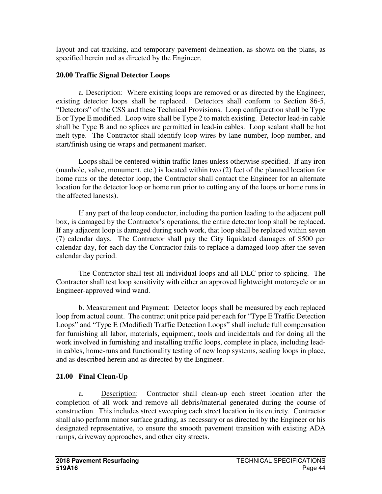layout and cat-tracking, and temporary pavement delineation, as shown on the plans, as specified herein and as directed by the Engineer.

# **20.00 Traffic Signal Detector Loops**

a. Description: Where existing loops are removed or as directed by the Engineer, existing detector loops shall be replaced. Detectors shall conform to Section 86-5, "Detectors" of the CSS and these Technical Provisions. Loop configuration shall be Type E or Type E modified. Loop wire shall be Type 2 to match existing. Detector lead-in cable shall be Type B and no splices are permitted in lead-in cables. Loop sealant shall be hot melt type. The Contractor shall identify loop wires by lane number, loop number, and start/finish using tie wraps and permanent marker.

Loops shall be centered within traffic lanes unless otherwise specified. If any iron (manhole, valve, monument, etc.) is located within two (2) feet of the planned location for home runs or the detector loop, the Contractor shall contact the Engineer for an alternate location for the detector loop or home run prior to cutting any of the loops or home runs in the affected lanes(s).

If any part of the loop conductor, including the portion leading to the adjacent pull box, is damaged by the Contractor's operations, the entire detector loop shall be replaced. If any adjacent loop is damaged during such work, that loop shall be replaced within seven (7) calendar days. The Contractor shall pay the City liquidated damages of \$500 per calendar day, for each day the Contractor fails to replace a damaged loop after the seven calendar day period.

The Contractor shall test all individual loops and all DLC prior to splicing. The Contractor shall test loop sensitivity with either an approved lightweight motorcycle or an Engineer-approved wind wand.

b. Measurement and Payment: Detector loops shall be measured by each replaced loop from actual count. The contract unit price paid per each for "Type E Traffic Detection Loops" and "Type E (Modified) Traffic Detection Loops" shall include full compensation for furnishing all labor, materials, equipment, tools and incidentals and for doing all the work involved in furnishing and installing traffic loops, complete in place, including leadin cables, home-runs and functionality testing of new loop systems, sealing loops in place, and as described herein and as directed by the Engineer.

# **21.00 Final Clean-Up**

a. Description: Contractor shall clean-up each street location after the completion of all work and remove all debris/material generated during the course of construction. This includes street sweeping each street location in its entirety. Contractor shall also perform minor surface grading, as necessary or as directed by the Engineer or his designated representative, to ensure the smooth pavement transition with existing ADA ramps, driveway approaches, and other city streets.